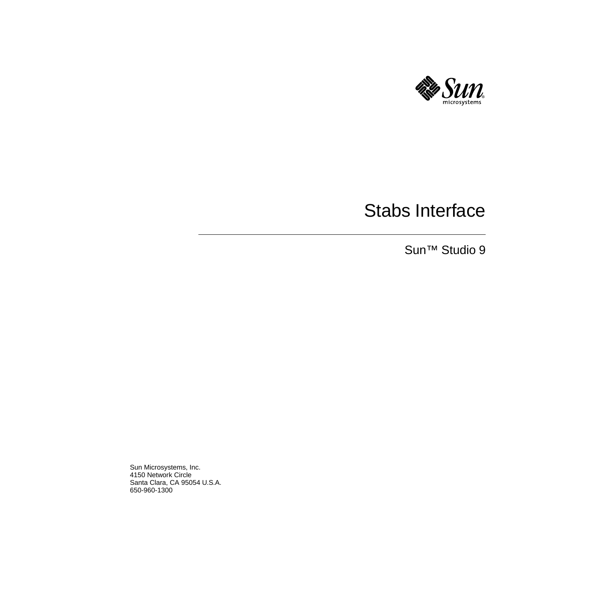

# Stabs Interface

Sun™ Studio 9

Sun Microsystems, Inc. 4150 Network Circle Santa Clara, CA 95054 U.S.A. 650-960-1300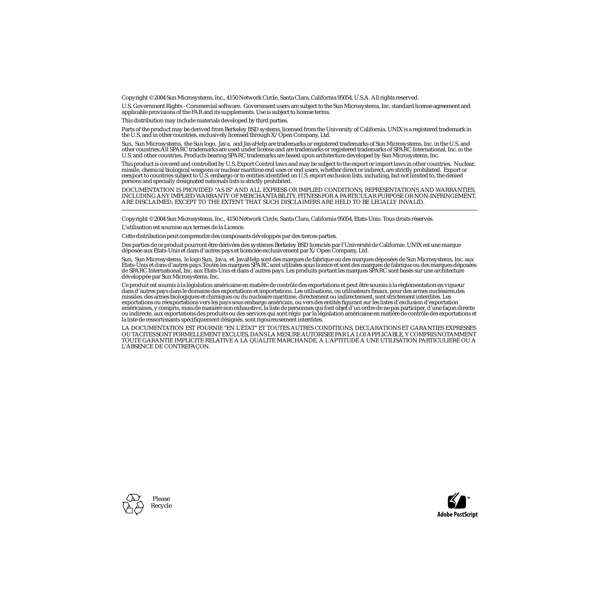Copyright © 2004 Sun Microsystems, Inc., 4150 Network Circle, Santa Clara, California 95054, U.S.A. All rights reserved.

U.S. Government Rights - Commercial software. Government users are subject to the Sun Microsystems, Inc. standard license agreement and applicable provisions of the FAR and its supplements. Use is subject to license terms.

This distribution may include materials developed by third parties.

Parts of the product may be derived from Berkeley BSD systems, licensed from the University of California. UNIX is a registered trademark in the U.S. and in other countries, exclusively licensed through X/Open Company, Ltd.

Sun, Sun Microsystems, the Sun logo, Java, and JavaHelp are trademarks or registered trademarks of Sun Microsystems, Inc. in the U.S. and other countries.All SPARC trademarks are used under license and are trademarks or registered trademarks of SPARC International, Inc. in the U.S. and other countries. Products bearing SPARC trademarks are based upon architecture developed by Sun Microsystems, Inc.

This product is covered and controlled by U.S. Export Control laws and may be subject to the export or import laws in other countries. Nuclear, missile, chemical biological weapons or nuclear maritime end uses or end users, whether direct or indirect, are strictly prohibited. Export or<br>reexport to countries subject to U.S. embargo or to entities identified on U.S. persons and specially designated nationals lists is strictly prohibited.

DOCUMENTATION IS PROVIDED "AS IS" AND ALL EXPRESS OR IMPLIED CONDITIONS, REPRESENTATIONS AND WARRANTIES, INCLUDING ANY IMPLIED WARRANTY OF MERCHANTABILITY, FITNESS FOR A PARTICULAR PURPOSE OR NON-INFRINGEMENT, ARE DISCLAIMED, EXCEPT TO THE EXTENT THAT SUCH DISCLAIMERS ARE HELD TO BE LEGALLY INVALID.

Copyright © 2004 Sun Microsystems, Inc., 4150 Network Circle, Santa Clara, California 95054, Etats-Unis. Tous droits réservés.

L'utilisation est soumise aux termes de la Licence.

Cette distribution peut comprendre des composants développés par des tierces parties.

Des parties de ce produit pourront être dérivées des systèmes Berkeley BSD licenciés par l'Université de Californie. UNIX est une marque déposée aux Etats-Unis et dans d'autres pays et licenciée exclusivement par X/Open Company, Ltd.

Sun, Sun Microsystems, le logo Sun, Java, et JavaHelp sont des marques de fabrique ou des marques déposées de Sun Microsystems, Inc. aux Etats-Unis et dans d'autres pays.Toutes les marques SPARC sont utilisées sous licence et sont des marques de fabrique ou des marques déposées de SPARC International, Inc. aux Etats-Unis et dans d'autres pays. Les produits portant les marques SPARC sont basés sur une architecture développée par Sun Microsystems, Inc.

Ce produit est soumis à la législation américaine en matière de contrôle des exportations et peut être soumis à la règlementation en vigueur dans d'autres pays dans le domaine des exportations et importations. Les utilisations, ou utilisateurs finaux, pour des armes nucléaires,des missiles, des armes biologiques et chimiques ou du nucléaire maritime, directement ou indirectement, sont strictement interdites. Les exportations ou réexportations vers les pays sous embargo américain, ou vers des entités figurant sur les listes d'exclusion d'exportation américaines, y compris, mais de manière non exhaustive, la liste de personnes qui font objet d'un ordre de ne pas participer, d'une façon directe ou indirecte, aux exportations des produits ou des services qui sont régis par la législation américaine en matière de contrôle des exportations et la liste de ressortissants spécifiquement désignés, sont rigoureusement interdites.

LA DOCUMENTATION EST FOURNIE "EN L'ÉTAT" ET TOUTES AUTRES CONDITIONS, DECLARATIONS ET GARANTIES EXPRESSES OU TACITES SONT FORMELLEMENT EXCLUES, DANS LA MESURE AUTORISEE PAR LA LOI APPLICABLE, Y COMPRIS NOTAMMENT TOUTE GARANTIE IMPLICITE RELATIVE A LA QUALITE MARCHANDE, A L'APTITUDE A UNE UTILISATION PARTICULIERE OU A L'ABSENCE DE CONTREFAÇON.



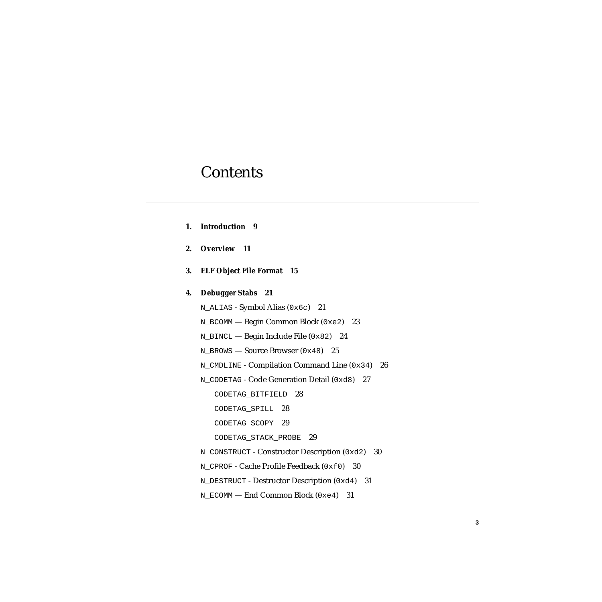### **Contents**

- **1. [Introduction](#page-8-0) 9**
- **2. [Overview 1](#page-10-0)1**
- **3. [ELF Object File Format 1](#page-14-0)5**

#### **4. [Debugger Stabs 2](#page-20-0)1**

[N\\_ALIAS](#page-20-1) - Symbol Alias (0x6c) 21

[N\\_BCOMM](#page-22-0) — Begin Common Block (0xe2) 23

[N\\_BINCL](#page-23-0) — Begin Include File (0x82) 24

[N\\_BROWS](#page-24-0) — Source Browser (0x48) 25

[N\\_CMDLINE](#page-25-0) - Compilation Command Line (0x34) 26

[N\\_CODETAG](#page-26-0) - Code Generation Detail (0xd8) 27

[CODETAG\\_BITFIELD](#page-27-0) 28

[CODETAG\\_SPILL](#page-27-1) 28

[CODETAG\\_SCOPY](#page-28-0) 29

[CODETAG\\_STACK\\_PROBE](#page-28-1) 29

[N\\_CONSTRUCT](#page-29-0) - Constructor Description (0xd2) 30

N CPROF - Cache Profile Feedback (0xf0) 30

[N\\_DESTRUCT](#page-30-0) - Destructor Description (0xd4) 31

[N\\_ECOMM](#page-30-1) — End Common Block (0xe4) 31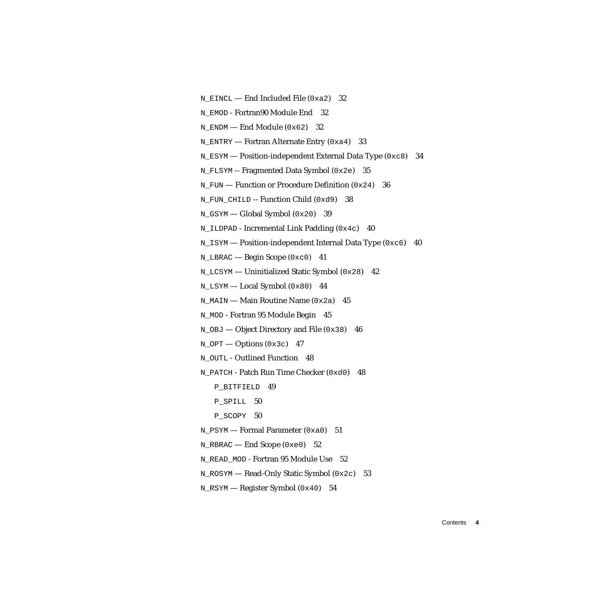N EINCL — End Included File  $(0xa2)$  32

N EMOD - Fortran90 Module End 32

[N\\_ENDM](#page-31-2) — End Module (0x62) 32

[N\\_ENTRY](#page-32-0) — Fortran Alternate Entry  $(0xa4)$  33

[N\\_ESYM](#page-33-0) — Position-independent External Data Type (0xc8) 34

[N\\_FLSYM](#page-34-0) -- Fragmented Data Symbol (0x2e) 35

N FUN — Function or Procedure Definition (0x24) 36

N FUN CHILD -- Function Child (0xd9) 38

[N\\_GSYM](#page-38-0) — Global Symbol (0x20) 39

N ILDPAD - Incremental Link Padding  $(0x4c)$  40

[N\\_ISYM](#page-39-1) — Position-independent Internal Data Type (0xc6) 40

[N\\_LBRAC](#page-40-0) — Begin Scope (0xc0) 41

N LCSYM — Uninitialized Static Symbol  $(0x28)$  42

[N\\_LSYM](#page-43-0) — Local Symbol (0x80) 44

 $N_MATN$  — Main Routine Name (0x2a) 45

[N\\_MOD](#page-44-1) - Fortran 95 Module Begin 45

 $N_O$ BJ — Object Directory and File (0x38) 46

 $N_{OPT}$  — Options (0x3c) 47

N OUTL - Outlined Function 48

N PATCH - Patch Run Time Checker (0xd0) 48

[P\\_BITFIELD](#page-48-0) 49

P SPILL 50

P SCOPY 50

[N\\_PSYM](#page-50-0) — Formal Parameter (0xa0) 51

[N\\_RBRAC](#page-51-0) — End Scope (0xe0) 52

[N\\_READ\\_MOD](#page-51-1) - Fortran 95 Module Use 52

[N\\_ROSYM](#page-52-0) — Read-Only Static Symbol (0x2c) 53

N RSYM — Register Symbol  $(0x40)$  54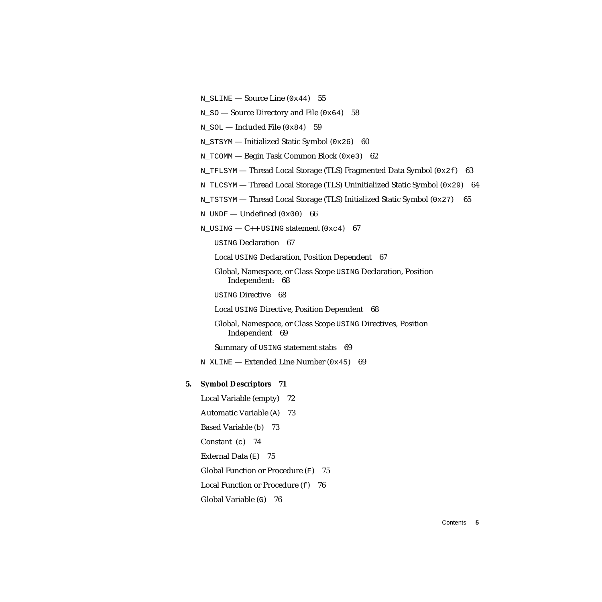- N SLINE Source Line  $(0x44)$  55
- $N_S$  $N_S$ O Source Directory and File (0x64) 58
- $N_SOL$  Included File (0x84) 59
- N STSYM Initialized Static Symbol (0x26) 60
- [N\\_TCOMM](#page-61-0) Begin Task Common Block (0xe3) 62
- [N\\_TFLSYM](#page-62-0) Thread Local Storage (TLS) Fragmented Data Symbol  $(0 \times 2f)$  63
- [N\\_TLCSYM](#page-63-0) Thread Local Storage (TLS) Uninitialized Static Symbol (0x29) 64
- N TSTSYM Thread Local Storage (TLS) Initialized Static Symbol  $(0x27)$  65
- $N_UNDF$  Undefined  $(0x00)$  66
- N USING  $-$  C++ USING statement (0xc4) 67

[USING](#page-66-1) Declaration 67

[Local](#page-66-2) USING Declaration, Position Dependent 67

- [Global, Namespace, or Class Scope](#page-67-0) USING Declaration, Position Independent: 68
- [USING](#page-67-1) Directive 68

[Local](#page-67-2) USING Directive, Position Dependent 68

[Global, Namespace, or Class Scope](#page-68-0) USING Directives, Position Independent 69

[Summary of](#page-68-1) USING statement stabs 69

[N\\_XLINE](#page-68-2) — Extended Line Number (0x45) 69

#### **5. [Symbol Descriptors 7](#page-70-0)1**

[Local Variable \(empty\) 7](#page-71-0)2 [Automatic Variable \(](#page-72-0)A) 73 [Based Variable \(](#page-72-1)b) 73 [Constant \(](#page-73-0)c) 74 External Data  $(E)$  75 [Global Function or Procedure \(](#page-74-1)F) 75 [Local Function or Procedure \(](#page-75-0)f) 76 [Global Variable \(](#page-75-1)G) 76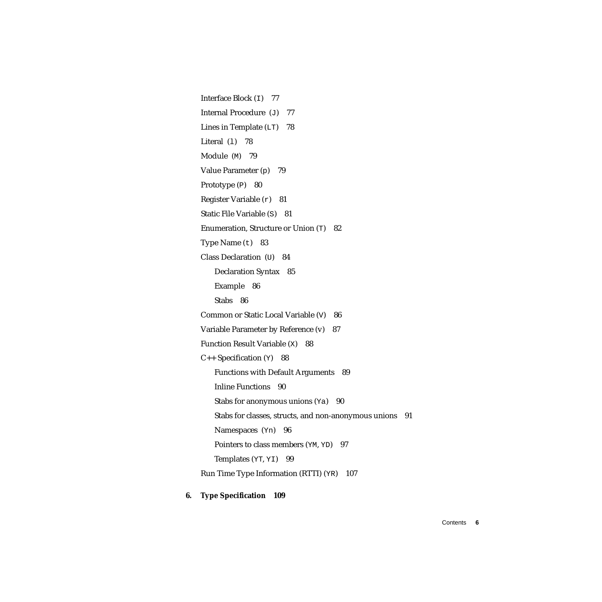[Interface Block \(](#page-76-0)I) 77 [Internal Procedure \(](#page-76-1)J) 77 Lines in Template  $(LT)$  78 Literal  $(1)$  78 [Module \(](#page-78-0)M) 79 [Value Parameter \(](#page-78-1)p) 79 [Prototype \(](#page-78-2)P) 80 [Register Variable \(](#page-80-0)r) 81 [Static File Variable \(](#page-80-1)S) 81 [Enumeration, Structure or Union \(](#page-81-0)T) 82 [Type Name \(](#page-82-0)t) 83 [Class Declaration \(](#page-83-0)U) 84 [Declaration Syntax 8](#page-84-0)5 [Example 8](#page-85-0)6 [Stabs 8](#page-85-1)6 [Common or Static Local Variable \(](#page-85-2)V) 86 [Variable Parameter by Reference \(v\)](#page-86-0) 87 [Function Result Variable \(](#page-87-0)X) 88  $C_{++}$  Specification (Y) 88 [Functions with Default Arguments 8](#page-88-0)9 [Inline Functions](#page-89-0) 90 Stabs for anonymous unions  $(Ya)$  90 [Stabs for classes, structs, and non-anonymous unions](#page-90-0) 91 [Namespaces \(](#page-95-0)Yn) 96 [Pointers to class members \(](#page-96-0)YM, YD) 97 [Templates \(](#page-98-0)YT, YI) 99 [Run Time Type Information \(RTTI\) \(](#page-106-0)YR) 107

#### **6. [Type Specification 1](#page-108-0)09**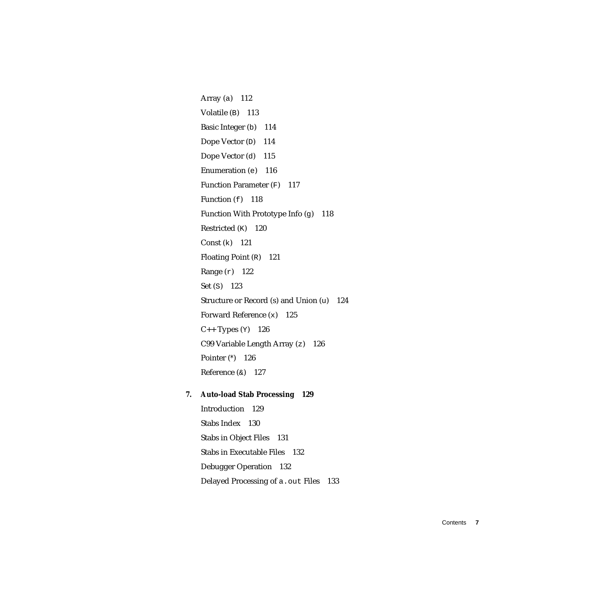[Array \(](#page-111-0)a) 112 [Volatile \(](#page-112-0)B) 113 [Basic Integer \(](#page-113-0)b) 114 [Dope Vector \(](#page-113-1)D) 114 [Dope Vector \(](#page-114-0)d) 115 [Enumeration \(](#page-115-0)e) 116 [Function Parameter \(](#page-116-0)F) 117 Function  $(f)$  118 [Function With Prototype Info \(](#page-117-1)g) 118 [Restricted \(](#page-119-0)K) 120 [Const \(](#page-120-0)k) 121 [Floating Point \(](#page-120-1)R) 121 [Range \(](#page-121-0)r) 122 [Set \(](#page-122-0)S) 123 [Structure or Record \(s\) and Union \(](#page-123-0)u) 124 [Forward Reference \(](#page-124-0)x) 125  $C_{++}$  Types  $(Y)$  126 [C99 Variable Length Array \(](#page-125-1)z) 126 [Pointer \(](#page-125-2)*\**) 126 Reference  $(x)$  127

#### **7. [Auto-load Stab Processing](#page-128-0) 129**

[Introduction](#page-128-1) 129 [Stabs Index](#page-129-0) 130 [Stabs in Object Files](#page-130-0) 131 [Stabs in Executable Files 1](#page-131-0)32 [Debugger Operation](#page-131-1) 132 [Delayed Processing of](#page-132-0) a.out Files 133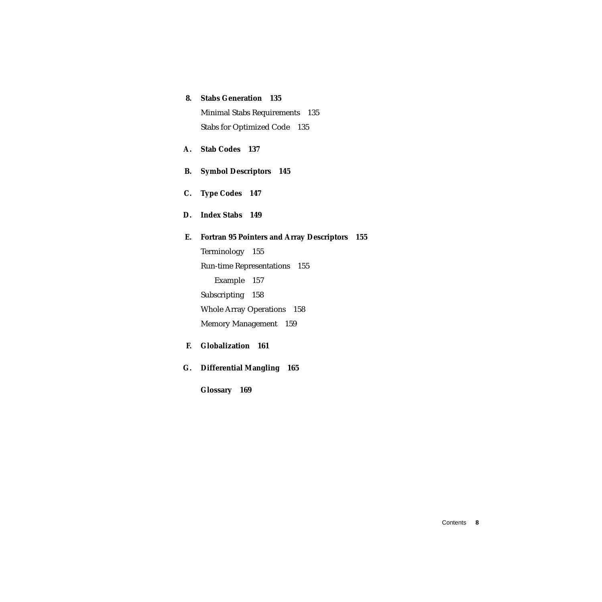#### **8. [Stabs Generation 1](#page-134-0)35** [Minimal Stabs Requirements 1](#page-134-1)35 [Stabs for Optimized Code](#page-134-2) 135

**A. [Stab Codes](#page-136-0) 137**

**B. [Symbol Descriptors 1](#page-144-0)45**

**C. [Type Codes](#page-146-0) 147**

**D. [Index Stabs 1](#page-148-0)49**

### **E. [Fortran 95 Pointers and Array Descriptors 1](#page-154-0)55** [Terminology 1](#page-154-1)55 [Run-time Representations](#page-154-2) 155 [Example 1](#page-156-0)57 [Subscripting](#page-157-0) 158 [Whole Array Operations 1](#page-157-1)58 [Memory Management 1](#page-158-0)59

- **F. [Globalization 1](#page-160-0)61**
- **G. [Differential Mangling 1](#page-164-0)65**

**[Glossary](#page-168-0) 169**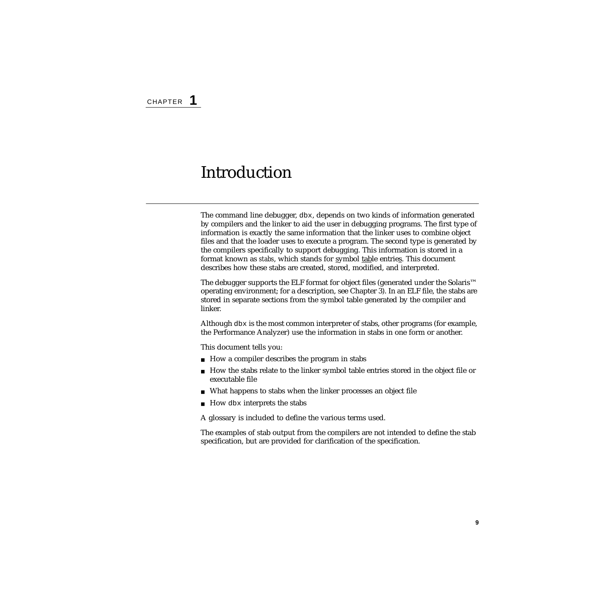## <span id="page-8-0"></span>Introduction

The command line debugger, dbx, depends on two kinds of information generated by compilers and the linker to aid the user in debugging programs. The first type of information is exactly the same information that the linker uses to combine object files and that the loader uses to execute a program. The second type is generated by the compilers specifically to support debugging. This information is stored in a format known as *stabs*, which stands for symbol table entries. This document describes how these stabs are created, stored, modified, and interpreted.

The debugger supports the ELF format for object files (generated under the Solaris™ operating environment; for a description, see Chapter 3). In an ELF file, the stabs are stored in separate sections from the symbol table generated by the compiler and linker.

Although dbx is the most common interpreter of stabs, other programs (for example, the Performance Analyzer) use the information in stabs in one form or another.

This document tells you:

- How a compiler describes the program in stabs
- How the stabs relate to the linker symbol table entries stored in the object file or executable file
- What happens to stabs when the linker processes an object file
- How dbx interprets the stabs

A glossary is included to define the various terms used.

The examples of stab output from the compilers are not intended to define the stab specification, but are provided for clarification of the specification.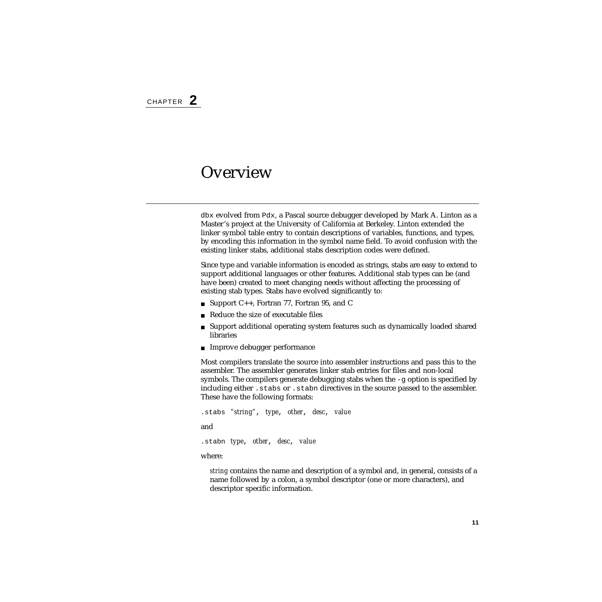#### <span id="page-10-0"></span>**Overview**

dbx evolved from Pdx, a Pascal source debugger developed by Mark A. Linton as a Master's project at the University of California at Berkeley. Linton extended the linker symbol table entry to contain descriptions of variables, functions, and types, by encoding this information in the symbol name field. To avoid confusion with the existing linker stabs, additional stabs description codes were defined.

Since type and variable information is encoded as strings, stabs are easy to extend to support additional languages or other features. Additional stab types can be (and have been) created to meet changing needs without affecting the processing of existing stab types. Stabs have evolved significantly to:

- Support C++, Fortran 77, Fortran 95, and C
- Reduce the size of executable files
- Support additional operating system features such as dynamically loaded shared libraries
- Improve debugger performance

Most compilers translate the source into assembler instructions and pass this to the assembler. The assembler generates linker stab entries for files and non-local symbols. The compilers generate debugging stabs when the -g option is specified by including either .stabs or .stabn directives in the source passed to the assembler. These have the following formats:

```
.stabs "string", type, other, desc, value
and
.stabn type, other, desc, value
where:
```
*string* contains the name and description of a symbol and, in general, consists of a name followed by a colon, a symbol descriptor (one or more characters), and descriptor specific information.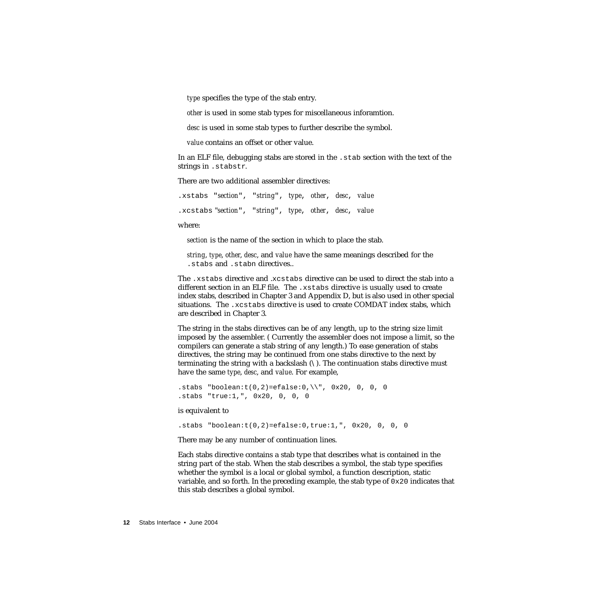*type* specifies the type of the stab entry.

*other* is used in some stab types for miscellaneous inforamtion.

*desc* is used in some stab types to further describe the symbol.

*value* contains an offset or other value.

In an ELF file, debugging stabs are stored in the .stab section with the text of the strings in .stabstr.

There are two additional assembler directives:

.xstabs "*section*", "*string*", *type*, *other*, *desc*, *value* .xcstabs "*section*", "*string*", *type*, *other*, *desc*, *value*

where:

*section* is the name of the section in which to place the stab.

*string*, *type*, *other*, *desc*, and *value* have the same meanings described for the .stabs and .stabn directives..

The .xstabs directive and .xcstabs directive can be used to direct the stab into a different section in an ELF file. The .xstabs directive is usually used to create index stabs, described in [Chapter 3](#page-14-1) and [Appendix D](#page-148-1), but is also used in other special situations. The .xcstabs directive is used to create COMDAT index stabs, which are described in [Chapter 3](#page-14-1).

The string in the stabs directives can be of any length, up to the string size limit imposed by the assembler. ( Currently the assembler does not impose a limit, so the compilers can generate a stab string of any length.) To ease generation of stabs directives, the string may be continued from one stabs directive to the next by terminating the string with a backslash  $(\cdot)$ . The continuation stabs directive must have the same *type*, *desc*, and *value*. For example,

```
.stabs "boolean:t(0,2)=efalse:0,\\", 0x20, 0, 0, 0
.stabs "true:1,", 0x20, 0, 0, 0
```
is equivalent to

```
.stabs "boolean:t(0,2)=efalse:0,true:1,", 0x20, 0, 0, 0
```
There may be any number of continuation lines.

Each stabs directive contains a stab type that describes what is contained in the string part of the stab. When the stab describes a symbol, the stab type specifies whether the symbol is a local or global symbol, a function description, static variable, and so forth. In the preceding example, the stab type of  $0 \times 20$  indicates that this stab describes a global symbol.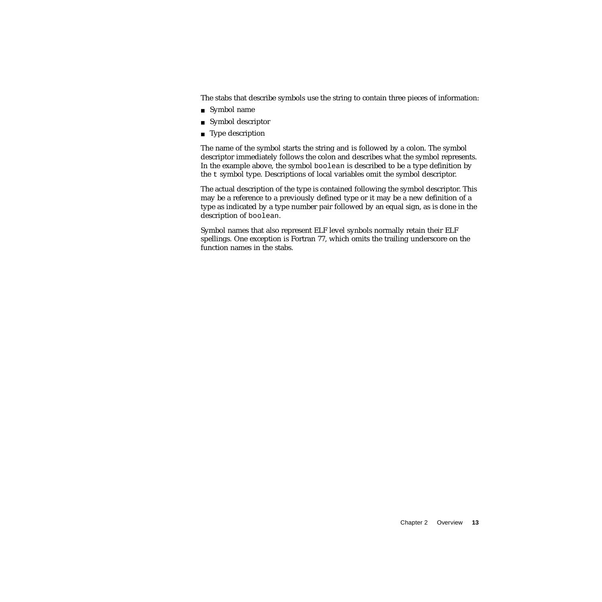The stabs that describe symbols use the string to contain three pieces of information:

- Symbol name
- Symbol descriptor
- Type description

The name of the symbol starts the string and is followed by a colon. The symbol descriptor immediately follows the colon and describes what the symbol represents. In the example above, the symbol boolean is described to be a type definition by the t symbol type. Descriptions of local variables omit the symbol descriptor.

The actual description of the type is contained following the symbol descriptor. This may be a reference to a previously defined type or it may be a new definition of a type as indicated by a type number pair followed by an equal sign, as is done in the description of boolean.

Symbol names that also represent ELF level synbols normally retain their ELF spellings. One exception is Fortran 77, which omits the trailing underscore on the function names in the stabs.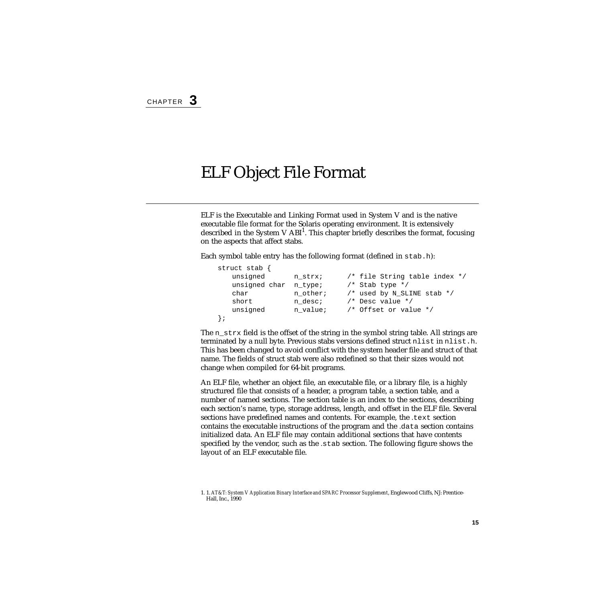## <span id="page-14-1"></span><span id="page-14-0"></span>ELF Object File Format

ELF is the Executable and Linking Format used in System V and is the native executable file format for the Solaris operating environment. It is extensively described in the System V  $ABI<sup>1</sup>$ . This chapter briefly describes the format, focusing on the aspects that affect stabs.

Each symbol table entry has the following format (defined in stab.h):

| struct stab $\{$ |          |                                |
|------------------|----------|--------------------------------|
| unsigned         | n strx;  | /* file String table index */  |
| unsigned char    | n type;  | $/*$ Stab type $*/$            |
| char             | n other; | $/*$ used by N SLINE stab $*/$ |
| short            | n desc;  | $/*$ Desc value $*/$           |
| unsigned         | n value; | /* Offset or value */          |
|                  |          |                                |

The n  $strx$  field is the offset of the string in the symbol string table. All strings are terminated by a null byte. Previous stabs versions defined struct nlist in nlist.h. This has been changed to avoid conflict with the system header file and struct of that name. The fields of struct stab were also redefined so that their sizes would not change when compiled for 64-bit programs.

An ELF file, whether an object file, an executable file, or a library file, is a highly structured file that consists of a header, a program table, a section table, and a number of named sections. The section table is an index to the sections, describing each section's name, type, storage address, length, and offset in the ELF file. Several sections have predefined names and contents. For example, the *.*text section contains the executable instructions of the program and the *.*data section contains initialized data. An ELF file may contain additional sections that have contents specified by the vendor, such as the *.*stab section. The following figure shows the layout of an ELF executable file.

<sup>1. 1.</sup> *AT&T: System V Application Binary Interface and SPARC Processor Supplement*, Englewood Cliffs, NJ: Prentice-Hall, Inc., 1990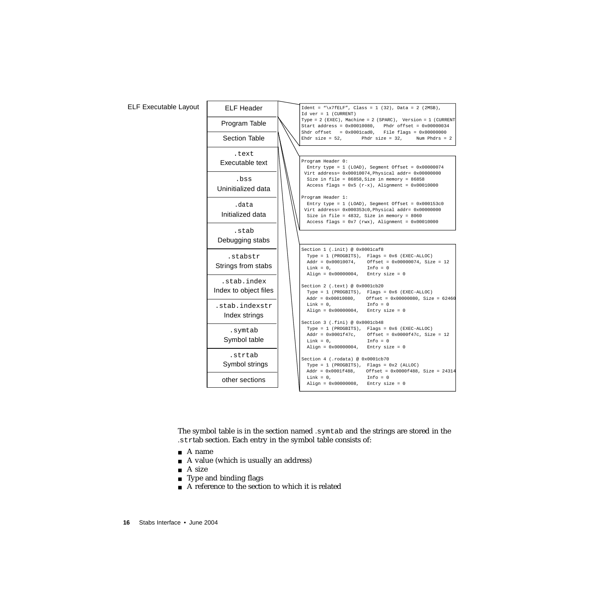#### ELF Executable Layout

| <b>ELF Header</b>     | $Ident = "\x7fELF", Class = 1 (32), Data = 2 (2MSB),$<br>$Id \nvert = 1$ (CURRENT)                                                                                                |
|-----------------------|-----------------------------------------------------------------------------------------------------------------------------------------------------------------------------------|
| Program Table         | Type = 2 (EXEC), Machine = 2 (SPARC), Version = 1 (CURRENT<br>Start address = $0x00010080$ , Phdr offset = $0x00000034$<br>Shdr offset = $0x0001cad0$ , File flags = $0x00000000$ |
| <b>Section Table</b>  | Phdr size = $32$ ,<br>Ehdr size = $52,$<br>Num Phdrs = $2$                                                                                                                        |
| .text                 |                                                                                                                                                                                   |
| Executable text       | Program Header 0:                                                                                                                                                                 |
|                       | Entry type = $1$ (LOAD), Segment Offset = $0x00000074$                                                                                                                            |
|                       | Virt address= 0x00010074, Physical addr= 0x00000000                                                                                                                               |
| .bss                  | Size in file = $86858$ , Size in memory = $86858$                                                                                                                                 |
| Uninitialized data    | Access flags = $0x5$ (r-x), Alignment = $0x00010000$                                                                                                                              |
|                       | Program Header 1:                                                                                                                                                                 |
| .data                 | Entry type = $1$ (LOAD), Segment Offset = $0x000153c0$                                                                                                                            |
| Initialized data      | Virt address= 0x000353c0, Physical addr= 0x00000000                                                                                                                               |
|                       | Size in file = 4832, Size in memory = 8060                                                                                                                                        |
|                       | Access flags = $0x7$ (rwx), Alignment = $0x00010000$                                                                                                                              |
| .stab                 |                                                                                                                                                                                   |
| Debugging stabs       |                                                                                                                                                                                   |
|                       | Section 1 (.init) @ 0x0001caf8                                                                                                                                                    |
| .stabstr              | Type = 1 (PROGBITS), Flags = 0x6 (EXEC-ALLOC)                                                                                                                                     |
| Strings from stabs    | Addr = $0x00010074$ , Offset = $0x00000074$ , Size = 12                                                                                                                           |
|                       | $Link = 0$ ,<br>$Info = 0$<br>Align = $0x00000004$ , Entry size = 0                                                                                                               |
| .stab.index           |                                                                                                                                                                                   |
|                       | Section 2 (.text) @ 0x0001cb20                                                                                                                                                    |
| Index to object files | Type = 1 (PROGBITS), Flags = 0x6 (EXEC-ALLOC)                                                                                                                                     |
|                       | Addr = $0x00010080$ , Offset = $0x00000080$ , Size = 62460                                                                                                                        |
| .stab.indexstr        | $Link = 0$ ,<br>$Info = 0$<br>Align = $0x00000004$ , Entry size = 0                                                                                                               |
| Index strings         |                                                                                                                                                                                   |
|                       | Section 3 (.fini) @ 0x0001cb48                                                                                                                                                    |
| .symtab               | Type = 1 (PROGBITS), Flags = 0x6 (EXEC-ALLOC)                                                                                                                                     |
| Symbol table          | Addr = $0x0001f47c$ , Offset = $0x0000f47c$ , Size = 12<br>$Info = 0$                                                                                                             |
|                       | $Link = 0$ ,<br>Align = $0x00000004$ , Entry size = 0                                                                                                                             |
| .strtab               |                                                                                                                                                                                   |
|                       | Section 4 (.rodata) @ 0x0001cb70                                                                                                                                                  |
| Symbol strings        | Type = $1$ (PROGBITS), Flags = $0x2$ (ALLOC)                                                                                                                                      |
|                       | Addr = $0x0001f488$ , Offset = $0x0000f488$ , Size = 24314<br>$Link = 0$ ,<br>$Info = 0$                                                                                          |
| other sections        | Align = $0x00000008$ , Entry size = $0$                                                                                                                                           |
|                       |                                                                                                                                                                                   |

The symbol table is in the section named *.*symtab and the strings are stored in the *.*strtab section. Each entry in the symbol table consists of:

- A name
- A value (which is usually an address)
- $\blacksquare$  A size
- Type and binding flags
- A reference to the section to which it is related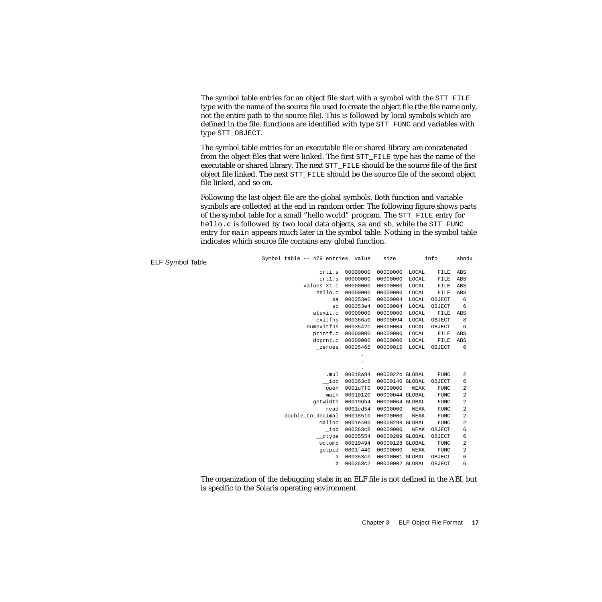The symbol table entries for an object file start with a symbol with the STT\_FILE type with the name of the source file used to create the object file (the file name only, not the entire path to the source file). This is followed by local symbols which are defined in the file, functions are identified with type STT\_FUNC and variables with type STT\_OBJECT.

The symbol table entries for an executable file or shared library are concatenated from the object files that were linked. The first STT\_FILE type has the name of the executable or shared library. The next STT\_FILE should be the source file of the first object file linked. The next STT\_FILE should be the source file of the second object file linked, and so on.

Following the last object file are the global symbols. Both function and variable symbols are collected at the end in random order. The following figure shows parts of the symbol table for a small "hello world" program. The STT\_FILE entry for hello.c is followed by two local data objects, sa and sb, while the STT\_FUNC entry for main appears much later in the symbol table. Nothing in the symbol table indicates which source file contains any global function.

| <b>ELF Symbol Table</b> | Symbol table -- 479 entries value |          | size            |       | info        | shndx                   |
|-------------------------|-----------------------------------|----------|-----------------|-------|-------------|-------------------------|
|                         | crti.s                            | 00000000 | 00000000        | LOCAL | FILE        | ABS                     |
|                         | crt1.s                            | 00000000 | 00000000        | LOCAL | FILE        | ABS                     |
|                         | values-Xt.c                       | 00000000 | 00000000        | LOCAL | FILE        | ABS                     |
|                         | hello.c                           | 00000000 | 00000000        | LOCAL | FILE        | ABS                     |
|                         | sa                                | 000353e0 | 00000004        | LOCAL | OBJECT      | 6                       |
|                         | sb                                | 000353e4 | 00000004        | LOCAL | OBJECT      | 6                       |
|                         | atexit.c                          | 00000000 | 00000000        | LOCAL | FILE        | ABS                     |
|                         | exitfns                           | 000366a0 | 00000094        | LOCAL | OBJECT      | 8                       |
|                         | numexitfns                        | 0003542c | 00000004        | LOCAL | OBJECT      | 6                       |
|                         | printf.c                          | 00000000 | 00000000        | LOCAL | FILE        | ABS                     |
|                         | doprnt.c                          | 00000000 | 00000000        | LOCAL | FILE        | ABS                     |
|                         | zeroes                            | 00035465 | 00000015        | LOCAL | OBJECT      | 6                       |
|                         |                                   |          |                 |       |             |                         |
|                         |                                   |          |                 |       |             |                         |
|                         | .mul                              | 00018a84 | 0000022c GLOBAL |       | <b>FUNC</b> | $\overline{a}$          |
|                         | iob                               | 000363c8 | 00000140 GLOBAL |       | OBJECT      | 6                       |
|                         | open                              | 0001d7f0 | 00000000        | WEAK  | <b>FUNC</b> | 2                       |
|                         | main                              | 00010120 | 00000044 GLOBAL |       | <b>FUNC</b> | $\overline{a}$          |
|                         | qetwidth                          | 000196b4 | 00000064 GLOBAL |       | <b>FUNC</b> | 2                       |
|                         | read                              | 0001cd54 | 00000000        | WEAK  | <b>FUNC</b> | $\overline{\mathbf{c}}$ |
|                         | double_to_decimal                 | 00018510 | 00000000        | WEAK  | <b>FUNC</b> | $\overline{\mathbf{c}}$ |
|                         | malloc                            | 0001e400 | 00000298 GLOBAL |       | <b>FUNC</b> | 2                       |
|                         | $\_i$ ob                          | 000363c8 | 00000000        | WEAK  | OBJECT      | 6                       |
|                         | $_{\rm \_ctype}$                  | 00035554 | 00000209 GLOBAL |       | OBJECT      | 6                       |
|                         | wctomb                            | 00019494 | 00000128 GLOBAL |       | <b>FUNC</b> | $\overline{\mathbf{c}}$ |
|                         | getpid                            | 0001f440 | 00000000        | WEAK  | <b>FUNC</b> | 2                       |
|                         | a                                 | 000353c0 | 00000001 GLOBAL |       | OBJECT      | 6                       |
|                         | b                                 | 000353c2 | 00000002 GLOBAL |       | OBJECT      | 6                       |

The organization of the debugging stabs in an ELF file is not defined in the ABI, but is specific to the Solaris operating environment.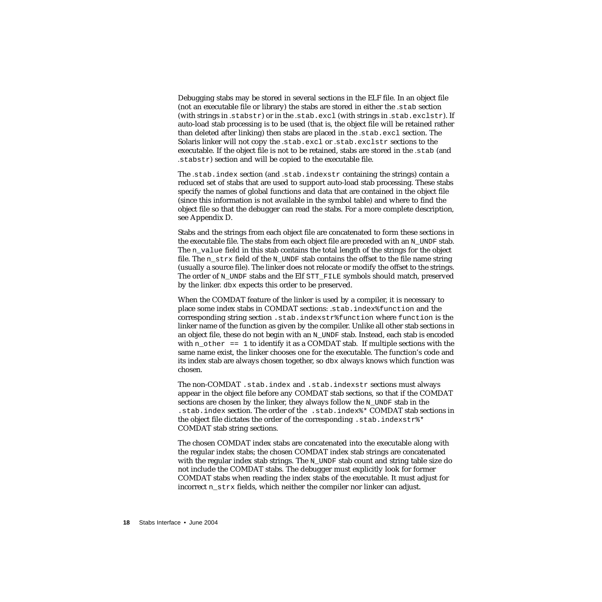Debugging stabs may be stored in several sections in the ELF file. In an object file (not an executable file or library) the stabs are stored in either the *.*stab section (with strings in *.*stabstr) or in the *.*stab.excl (with strings in *.*stab.exclstr). If auto-load stab processing is to be used (that is, the object file will be retained rather than deleted after linking) then stabs are placed in the *.*stab.excl section. The Solaris linker will not copy the *.*stab.excl or *.*stab.exclstr sections to the executable. If the object file is not to be retained, stabs are stored in the *.*stab (and *.*stabstr) section and will be copied to the executable file.

The *.*stab.index section (and *.*stab.indexstr containing the strings) contain a reduced set of stabs that are used to support auto-load stab processing. These stabs specify the names of global functions and data that are contained in the object file (since this information is not available in the symbol table) and where to find the object file so that the debugger can read the stabs. For a more complete description, see Appendix D.

Stabs and the strings from each object file are concatenated to form these sections in the executable file. The stabs from each object file are preceded with an  $N$  UNDF stab. The n\_value field in this stab contains the total length of the strings for the object file. The n  $strx$  field of the N UNDF stab contains the offset to the file name string (usually a source file). The linker does not relocate or modify the offset to the strings. The order of N\_UNDF stabs and the Elf STT\_FILE symbols should match, preserved by the linker. dbx expects this order to be preserved.

When the COMDAT feature of the linker is used by a compiler, it is necessary to place some index stabs in COMDAT sections: .stab.index%function and the corresponding string section .stab.indexstr%function where function is the linker name of the function as given by the compiler. Unlike all other stab sections in an object file, these do not begin with an  $N$  UNDF stab. Instead, each stab is encoded with n\_other == 1 to identify it as a COMDAT stab. If multiple sections with the same name exist, the linker chooses one for the executable. The function's code and its index stab are always chosen together, so dbx always knows which function was chosen.

The non-COMDAT .stab.index and .stab.indexstr sections must always appear in the object file before any COMDAT stab sections, so that if the COMDAT sections are chosen by the linker, they always follow the N\_UNDF stab in the .stab.index section. The order of the .stab.index%\* COMDAT stab sections in the object file dictates the order of the corresponding . stab.indexstr $\zeta^*$ COMDAT stab string sections.

The chosen COMDAT index stabs are concatenated into the executable along with the regular index stabs; the chosen COMDAT index stab strings are concatenated with the regular index stab strings. The  $N$  UNDF stab count and string table size do not include the COMDAT stabs. The debugger must explicitly look for former COMDAT stabs when reading the index stabs of the executable. It must adjust for incorrect n\_strx fields, which neither the compiler nor linker can adjust.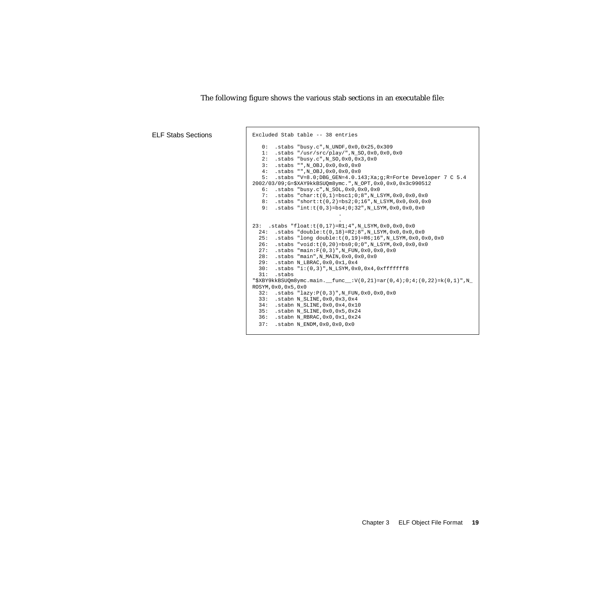```
ELF Stabs Sections | Excluded Stab table -- 38 entries
                                 0: .stabs "busy.c",N_UNDF,0x0,0x25,0x309
                               1: .stabs "/usr/src/play/",N_SO,0x0,0x0,0x0
                               2: .stabs "busy.c",N_SO,0x0,0x3,0x0
                                 3: .stabs "",N_OBJ,0x0,0x0,0x0
                                 4: .stabs "",N_OBJ,0x0,0x0,0x0
                                 5: .stabs "V=8.0;DBG_GEN=4.0.143;Xa;g;R=Forte Developer 7 C 5.4
                             2002/03/09;G=$XAY9kkBSUQm8ymc.",N_OPT,0x0,0x0,0x3c990512
                               6: .stabs "busy.c",N_SOL,0x0,0x0,0x0
                               7: .stabs "char:t(0,1)=bsc1;0;8",N_LSYM,0x0,0x0,0x0
                                 8: .stabs "short:t(0,2)=bs2;0;16",N_LSYM,0x0,0x0,0x0
                                 9: .stabs "int:t(0,3)=bs4;0;32",N_LSYM,0x0,0x0,0x0
                               .
                               .
                             23: .stabs "float:t(0,17)=R1;4",N_LSYM,0x0,0x0,0x0
                                24: .stabs "double:t(0,18)=R2;8",N_LSYM,0x0,0x0,0x0
                                25: .stabs "long double:t(0,19)=R6;16",N_LSYM,0x0,0x0,0x0
                                26: .stabs "void:t(0,20)=bs0;0;0",N_LSYM,0x0,0x0,0x0
                                27: .stabs "main:F(0,3)",N_FUN,0x0,0x0,0x0
                                28: .stabs "main",N_MAIN,0x0,0x0,0x0
                                29: .stabn N_LBRAC,0x0,0x1,0x4
                               30: .stabs "i:(0,3)",N_LSYM,0x0,0x4,0xfffffff8
                               31: .stabs
                             "\$XBY9kkBSUQm8ymc.main. func:V(0,21)=ar(0,4);0;4;(0,22)=k(0,1)",N_
                             ROSYM,0x0,0x5,0x0
                                32: .stabs "lazy:P(0,3)",N_FUN,0x0,0x0,0x0
                                33: .stabn N_SLINE,0x0,0x3,0x4
                                34: .stabn N_SLINE,0x0,0x4,0x10
                                35: .stabn N_SLINE,0x0,0x5,0x24
                                36: .stabn N_RBRAC,0x0,0x1,0x24
                                37: .stabn N_ENDM,0x0,0x0,0x0
```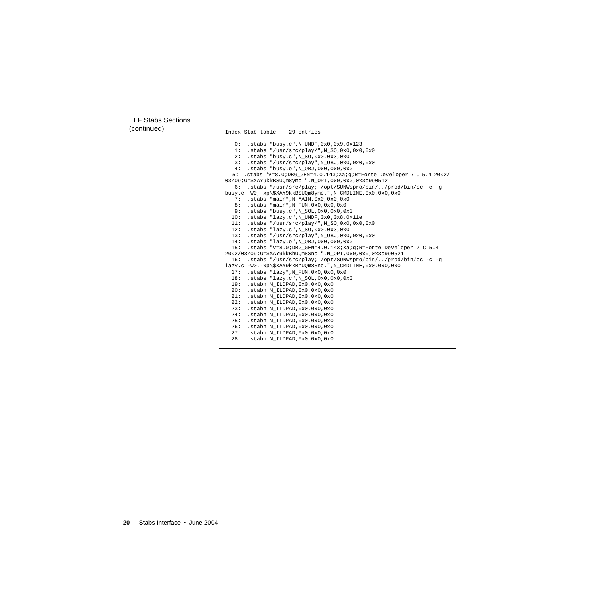## ELF Stabs Sections

.

```
(continued) Index Stab table -- 29 entries
                                  0: .stabs "busy.c",N_UNDF,0x0,0x9,0x123
                                  1: .stabs "/usr/src/play/",N_SO,0x0,0x0,0x0
                               2: .stabs "busy.c",N_SO,0x0,0x3,0x0
                               3: .stabs "/usr/src/play",N_OBJ,0x0,0x0,0x0
                                  4: .stabs "busy.o",N_OBJ,0x0,0x0,0x0
                                5: .stabs "V=8.0;DBG_GEN=4.0.143;Xa;g;R=Forte Developer 7 C 5.4 2002/
                              03/09;G=$XAY9kkBSUQm8ymc.",N_OPT,0x0,0x0,0x3c990512
                                  6: .stabs "/usr/src/play; /opt/SUNWspro/bin/../prod/bin/cc -c -g
                              busy.c -W0,-xp\$XAY9kkBSUQm8ymc.",N_CMDLINE,0x0,0x0,0x0
                                  7: .stabs "main",N_MAIN,0x0,0x0,0x0
                                  8: .stabs "main",N_FUN,0x0,0x0,0x0
                                  9: .stabs "busy.c",N_SOL,0x0,0x0,0x0
                                 10: .stabs "lazy.c",N_UNDF,0x0,0x8,0x11e
                                 11: .stabs "/usr/src/play/",N_SO,0x0,0x0,0x0
                                 12: .stabs "lazy.c",N_SO,0x0,0x3,0x0
                                 13: .stabs "/usr/src/play",N_OBJ,0x0,0x0,0x0
                                 14: .stabs "lazy.o",N_OBJ,0x0,0x0,0x0
                                 15: .stabs "V=8.0;DBG_GEN=4.0.143;Xa;g;R=Forte Developer 7 C 5.4
                              2002/03/09;G=$XAY9kkBhUQm8Snc.",N_OPT,0x0,0x0,0x3c990521
                                 16: .stabs "/usr/src/play; /opt/SUNWspro/bin/../prod/bin/cc -c -g
                              lazy.c -W0,-xp\$XAY9kkBhUQm8Snc.",N_CMDLINE,0x0,0x0,0x0
                                 17: .stabs "lazy",N_FUN,0x0,0x0,0x0
                                18: .stabs "lazy.c", N_SOL,0x0,0x0,0x0<br>19: .stabn N ILDPAD,0x0,0x0,0x0
                                     .stabn N_ILDPAD,0x0,0x0,0x0
                                 20: .stabn N_ILDPAD,0x0,0x0,0x0
                                 21: .stabn N_ILDPAD,0x0,0x0,0x0
                                 22: .stabn N_ILDPAD,0x0,0x0,0x0
                                 23: .stabn N_ILDPAD,0x0,0x0,0x0
                                 24: .stabn N_ILDPAD,0x0,0x0,0x0
                               25: .stabn N_ILDPAD,0x0,0x0,0x0
                               26: .stabn N_ILDPAD,0x0,0x0,0x0
                                 27: .stabn N_ILDPAD,0x0,0x0,0x0
                                 28: .stabn N_ILDPAD,0x0,0x0,0x0
```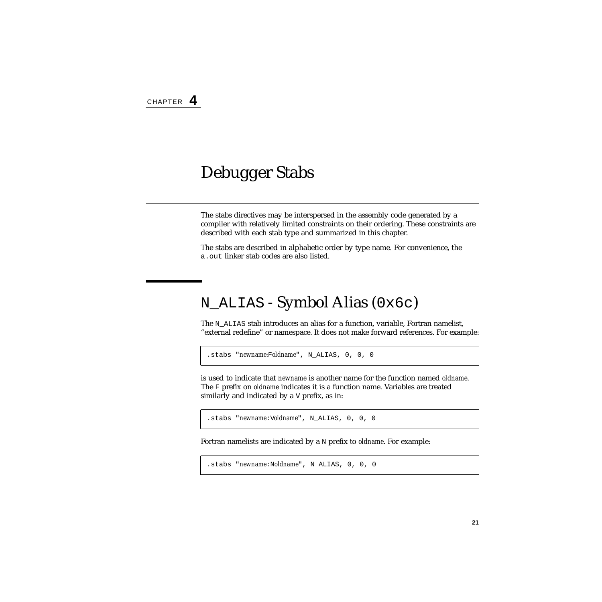## <span id="page-20-0"></span>Debugger Stabs

The stabs directives may be interspersed in the assembly code generated by a compiler with relatively limited constraints on their ordering. These constraints are described with each stab type and summarized in this chapter.

The stabs are described in alphabetic order by type name. For convenience, the a.out linker stab codes are also listed.

## <span id="page-20-1"></span>N\_ALIAS - Symbol Alias (0x6c)

The N<sub>ALIAS</sub> stab introduces an alias for a function, variable, Fortran namelist, "external redefine" or namespace. It does not make forward references. For example:

```
.stabs "newname:Foldname", N_ALIAS, 0, 0, 0
```
is used to indicate that *newname* is another name for the function named *oldname*. The F prefix on *oldname* indicates it is a function name. Variables are treated similarly and indicated by a V prefix, as in:

.stabs "*newname*:V*oldname*", N\_ALIAS, 0, 0, 0

Fortran namelists are indicated by a N prefix to *oldname*. For example:

```
.stabs "newname:Noldname", N_ALIAS, 0, 0, 0
```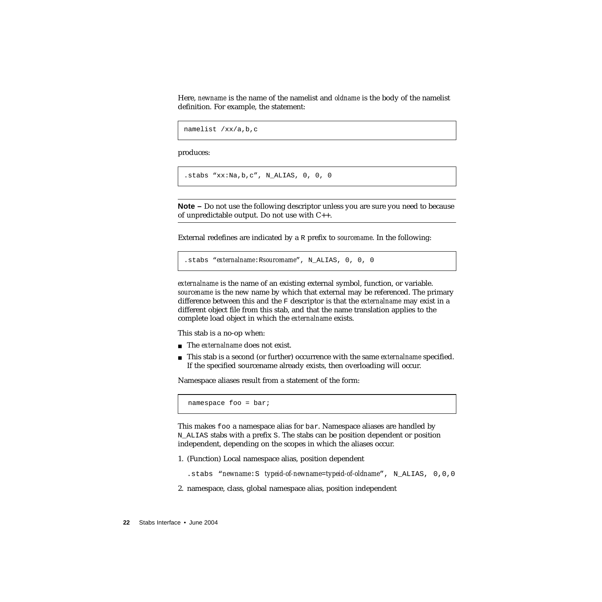Here, *newname* is the name of the namelist and *oldname* is the body of the namelist definition. For example, the statement:

```
namelist /xx/a,b,c
```
produces:

.stabs "xx:Na,b,c", N\_ALIAS, 0, 0, 0

**Note –** Do not use the following descriptor unless you are sure you need to because of unpredictable output. Do not use with C++.

External redefines are indicated by a R prefix to *sourcename*. In the following:

```
.stabs "externalname:Rsourcename", N_ALIAS, 0, 0, 0
```
*externalname* is the name of an existing external symbol, function, or variable. *sourcename* is the new name by which that external may be referenced. The primary difference between this and the F descriptor is that the *externalname* may exist in a different object file from this stab, and that the name translation applies to the complete load object in which the *externalname* exists.

This stab is a no-op when:

- The *externalname* does not exist.
- This stab is a second (or further) occurrence with the same *externalname* specified. If the specified sourcename already exists, then overloading will occur.

Namespace aliases result from a statement of the form:

namespace foo = bar;

This makes foo a namespace alias for bar. Namespace aliases are handled by N\_ALIAS stabs with a prefix S. The stabs can be position dependent or position independent, depending on the scopes in which the aliases occur.

1. (Function) Local namespace alias, position dependent

.stabs "*newname*:S *typeid-of-newname*=*typeid-of-oldname*", N\_ALIAS, 0,0,0

2. namespace, class, global namespace alias, position independent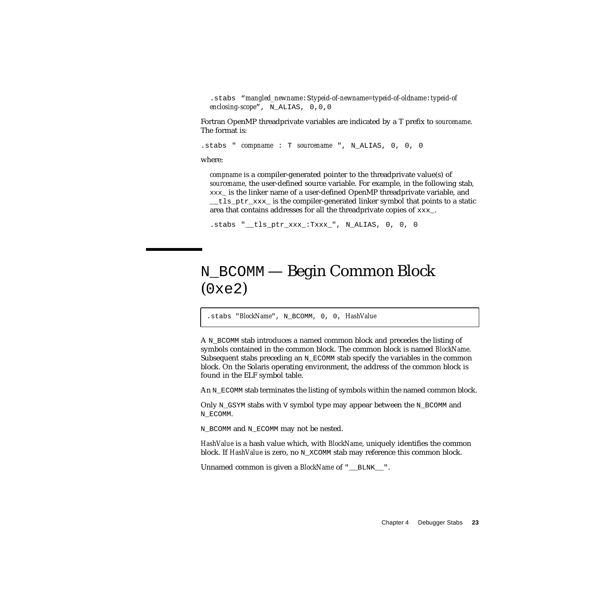.stabs "*mangled\_newname*:S*typeid-of-newname*=*typeid-of-oldname*:*typeid-of enclosing-scope*", N\_ALIAS, 0,0,0

Fortran OpenMP threadprivate variables are indicated by a T prefix to *sourcename*. The format is:

.stabs " *compname* : T *sourcename* ", N\_ALIAS, 0, 0, 0

where:

*compname* is a compiler-generated pointer to the threadprivate value(s) of *sourcename*, the user-defined source variable. For example, in the following stab, xxx\_ is the linker name of a user-defined OpenMP threadprivate variable, and tls ptr\_xxx\_ is the compiler-generated linker symbol that points to a static area that contains addresses for all the threadprivate copies of xxx.

```
.stabs " tls ptr xxx :Txxx ", N ALIAS, 0, 0, 0
```
# <span id="page-22-0"></span>N\_BCOMM — Begin Common Block  $(0xe2)$

.stabs "*BlockName*", N\_BCOMM, 0, 0, *HashValue*

A N\_BCOMM stab introduces a named common block and precedes the listing of symbols contained in the common block. The common block is named *BlockName*. Subsequent stabs preceding an  $N$  ECOMM stab specify the variables in the common block. On the Solaris operating environment, the address of the common block is found in the ELF symbol table.

An N\_ECOMM stab terminates the listing of symbols within the named common block.

Only  $N$  GSYM stabs with V symbol type may appear between the N\_BCOMM and N\_ECOMM.

N\_BCOMM and N\_ECOMM may not be nested.

*HashValue* is a hash value which, with *BlockName*, uniquely identifies the common block. If *HashValue* is zero, no N\_XCOMM stab may reference this common block.

Unnamed common is given a *BlockName* of "\_\_BLNK\_\_".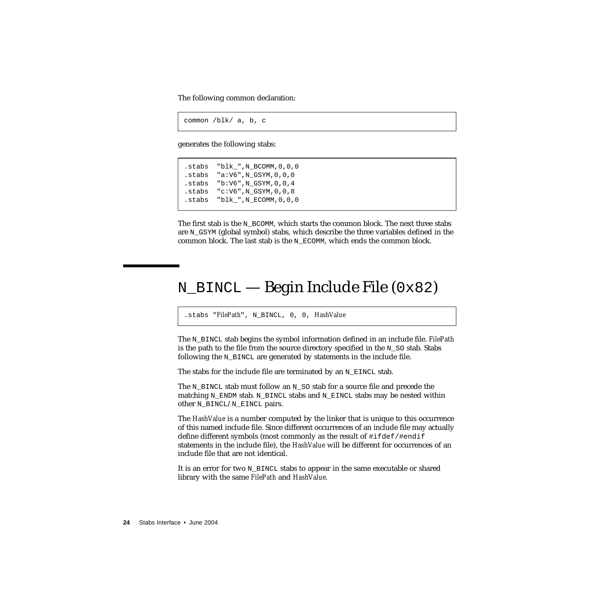The following common declaration:

common /blk/ a, b, c

generates the following stabs:

```
.stabs "blk_",N_BCOMM,0,0,0
.stabs "a:V6",N_GSYM,0,0,0
.stabs "b:V6",N_GSYM,0,0,4
.stabs "c:V6",N_GSYM,0,0,8
.stabs "blk_",N_ECOMM,0,0,0
```
The first stab is the N\_BCOMM, which starts the common block. The next three stabs are  $N_G$  GSYM (global symbol) stabs, which describe the three variables defined in the common block. The last stab is the  $N$  ECOMM, which ends the common block.

## <span id="page-23-0"></span>N\_BINCL — Begin Include File (0x82)

.stabs "*FilePath*", N\_BINCL, 0, 0, *HashValue*

The N\_BINCL stab begins the symbol information defined in an include file. *FilePath* is the path to the file from the source directory specified in the  $N$  SO stab. Stabs following the N\_BINCL are generated by statements in the include file.

The stabs for the include file are terminated by an  $N$  EINCL stab.

The N\_BINCL stab must follow an N\_SO stab for a source file and precede the matching N\_ENDM stab. N\_BINCL stabs and N\_EINCL stabs may be nested within other N\_BINCL/N\_EINCL pairs.

The *HashValue* is a number computed by the linker that is unique to this occurrence of this named include file. Since different occurrences of an include file may actually define different symbols (most commonly as the result of #ifdef/#endif statements in the include file), the *HashValue* will be different for occurrences of an include file that are not identical.

It is an error for two N\_BINCL stabs to appear in the same executable or shared library with the same *FilePath* and *HashValue*.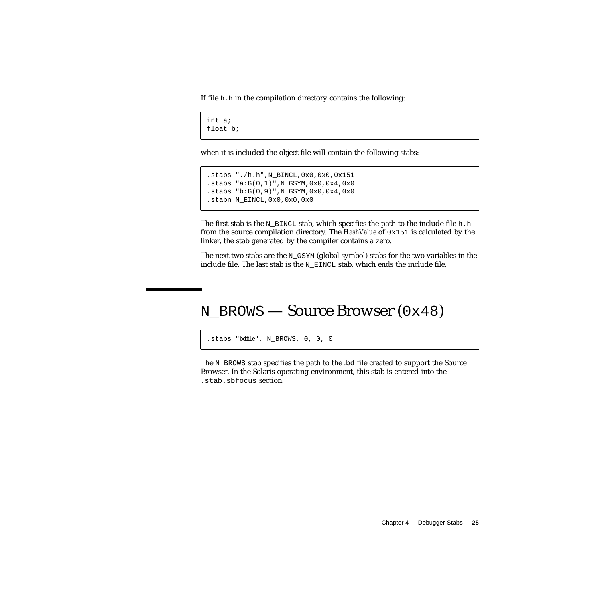If file h.h in the compilation directory contains the following:

```
int a;
float b;
```
when it is included the object file will contain the following stabs:

```
.stabs "./h.h",N_BINCL,0x0,0x0,0x151
.stabs "a:G(0,1)", N_GSYM, 0x0, 0x4, 0x0
.stabs "b:G(0,9)",N_GSYM,0x0,0x4,0x0
.stabn N_EINCL,0x0,0x0,0x0
```
The first stab is the N\_BINCL stab, which specifies the path to the include file h.h from the source compilation directory. The *HashValue* of 0x151 is calculated by the linker, the stab generated by the compiler contains a zero.

The next two stabs are the N\_GSYM (global symbol) stabs for the two variables in the include file. The last stab is the N\_EINCL stab, which ends the include file.

## <span id="page-24-0"></span>N\_BROWS — Source Browser (0x48)

.stabs "*bdfile*", N\_BROWS, 0, 0, 0

The N\_BROWS stab specifies the path to the *.*bd file created to support the Source Browser. In the Solaris operating environment, this stab is entered into the .stab.sbfocus section.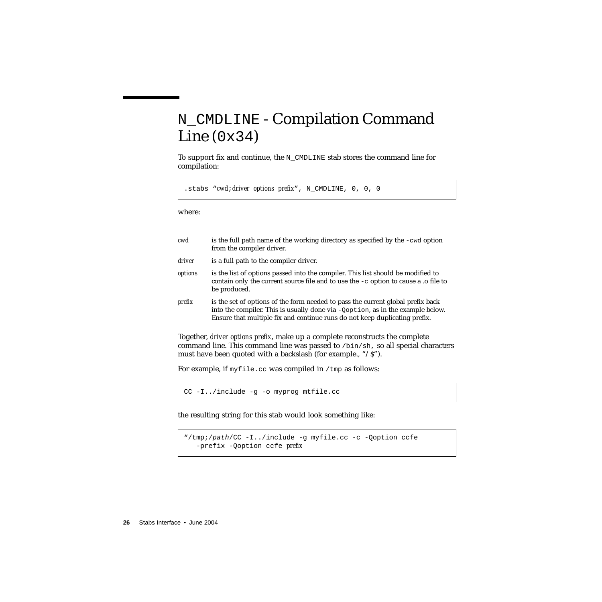# <span id="page-25-0"></span>N\_CMDLINE - Compilation Command Line  $(0x34)$

To support fix and continue, the  $N$  CMDLINE stab stores the command line for compilation:

.stabs "*cwd*;*driver options prefix*", N\_CMDLINE, 0, 0, 0

where:

| cwd     | is the full path name of the working directory as specified by the $-cwd$ option<br>from the compiler driver.                                                                                                                                   |
|---------|-------------------------------------------------------------------------------------------------------------------------------------------------------------------------------------------------------------------------------------------------|
| driver  | is a full path to the compiler driver.                                                                                                                                                                                                          |
| options | is the list of options passed into the compiler. This list should be modified to<br>contain only the current source file and to use the $-c$ option to cause a .o file to<br>be produced.                                                       |
| prefix  | is the set of options of the form needed to pass the current global prefix back<br>into the compiler. This is usually done via -Qoption, as in the example below.<br>Ensure that multiple fix and continue runs do not keep duplicating prefix. |
|         | Together, driver options prefix, make up a complete reconstructs the complete                                                                                                                                                                   |

command line. This command line was passed to /bin/sh, so all special characters must have been quoted with a backslash (for example., "/\$").

For example, if  $myfile$ .cc was compiled in /tmp as follows:

```
CC -I../include -g -o myprog mtfile.cc
```
the resulting string for this stab would look something like:

```
"/tmp;/path/CC -I../include -g myfile.cc -c -Qoption ccfe
  -prefix -Qoption ccfe prefix
```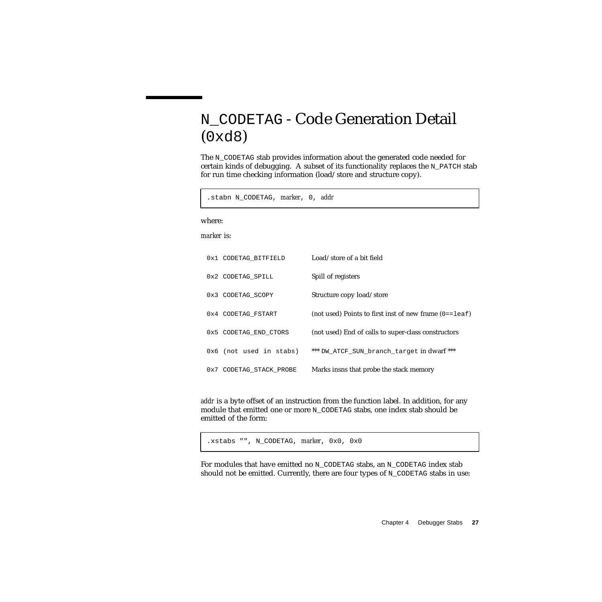# <span id="page-26-0"></span>N\_CODETAG - Code Generation Detail (0xd8)

The N\_CODETAG stab provides information about the generated code needed for certain kinds of debugging. A subset of its functionality replaces the  $N$  PATCH stab for run time checking information (load/store and structure copy).

.stabn N\_CODETAG, *marker*, 0, *addr*

where:

*marker* is:

| 0x1 CODETAG BITFIELD    | Load/store of a bit field                               |
|-------------------------|---------------------------------------------------------|
| 0x2 CODETAG SPILL       | Spill of registers                                      |
| 0x3 CODETAG SCOPY       | Structure copy load/store                               |
| 0x4 CODETAG_FSTART      | (not used) Points to first inst of new frame $(0 = -1)$ |
| 0x5 CODETAG END CTORS   | (not used) End of calls to super-class constructors     |
| 0x6 (not used in stabs) | *** DW ATCF SUN branch target in dwarf ***              |
| 0x7 CODETAG_STACK_PROBE | Marks insns that probe the stack memory                 |

*addr* is a byte offset of an instruction from the function label. In addition, for any module that emitted one or more N\_CODETAG stabs, one index stab should be emitted of the form:

.xstabs "", N\_CODETAG, *marker*, 0x0, 0x0

For modules that have emitted no N\_CODETAG stabs, an N\_CODETAG index stab should not be emitted. Currently, there are four types of  $N$ \_CODETAG stabs in use: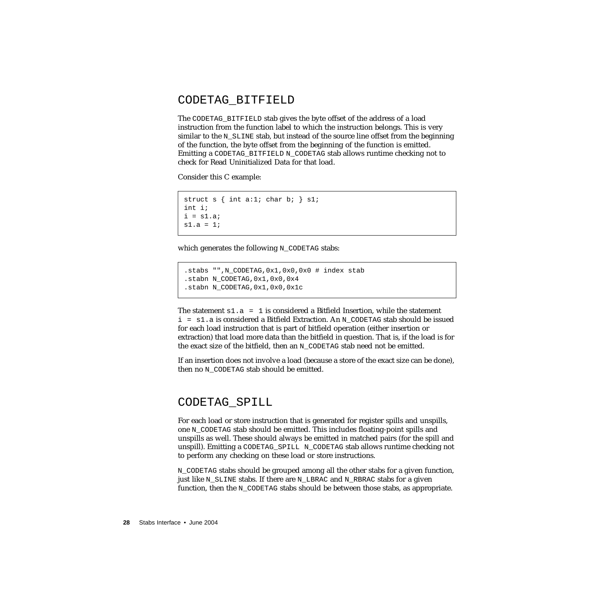#### <span id="page-27-0"></span>CODETAG\_BITFIELD

The CODETAG\_BITFIELD stab gives the byte offset of the address of a load instruction from the function label to which the instruction belongs. This is very similar to the  $N$  SLINE stab, but instead of the source line offset from the beginning of the function, the byte offset from the beginning of the function is emitted. Emitting a CODETAG\_BITFIELD N\_CODETAG stab allows runtime checking not to check for Read Uninitialized Data for that load.

Consider this C example:

```
struct s \{ int a:1; char b: \} s1;int i;
i = s1.a;
s1.a = 1;
```
which generates the following N\_CODETAG stabs:

```
.stabs "",N_CODETAG,0x1,0x0,0x0 # index stab
.stabn N_CODETAG,0x1,0x0,0x4
.stabn N_CODETAG,0x1,0x0,0x1c
```
The statement  $s1.a = 1$  is considered a Bitfield Insertion, while the statement  $i = s1$ . a is considered a Bitfield Extraction. An N\_CODETAG stab should be issued for each load instruction that is part of bitfield operation (either insertion or extraction) that load more data than the bitfield in question. That is, if the load is for the exact size of the bitfield, then an N\_CODETAG stab need not be emitted.

If an insertion does not involve a load (because a store of the exact size can be done), then no N\_CODETAG stab should be emitted.

#### <span id="page-27-1"></span>CODETAG\_SPILL

For each load or store instruction that is generated for register spills and unspills, one N\_CODETAG stab should be emitted. This includes floating-point spills and unspills as well. These should always be emitted in matched pairs (for the spill and unspill). Emitting a CODETAG\_SPILL N\_CODETAG stab allows runtime checking not to perform any checking on these load or store instructions.

N\_CODETAG stabs should be grouped among all the other stabs for a given function, just like  $N$  SLINE stabs. If there are  $N$  LBRAC and  $N$  RBRAC stabs for a given function, then the N\_CODETAG stabs should be between those stabs, as appropriate.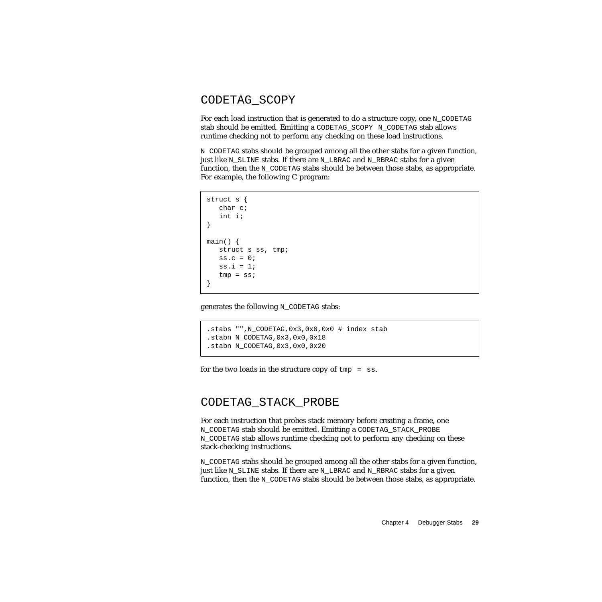#### <span id="page-28-0"></span>CODETAG\_SCOPY

For each load instruction that is generated to do a structure copy, one N\_CODETAG stab should be emitted. Emitting a CODETAG\_SCOPY N\_CODETAG stab allows runtime checking not to perform any checking on these load instructions.

N\_CODETAG stabs should be grouped among all the other stabs for a given function, just like N\_SLINE stabs. If there are N\_LBRAC and N\_RBRAC stabs for a given function, then the N\_CODETAG stabs should be between those stabs, as appropriate. For example, the following C program:

```
struct s {
  char c;
   int i;
}
main() {
  struct s ss, tmp;
  ss.c = 0;ss.i = 1;
   tmp = ss;}
```
generates the following N\_CODETAG stabs:

```
.stabs "",N_CODETAG,0x3,0x0,0x0 # index stab
.stabn N_CODETAG,0x3,0x0,0x18
.stabn N_CODETAG,0x3,0x0,0x20
```
for the two loads in the structure copy of  $tmp = ss$ .

#### <span id="page-28-1"></span>CODETAG\_STACK\_PROBE

For each instruction that probes stack memory before creating a frame, one N\_CODETAG stab should be emitted. Emitting a CODETAG\_STACK\_PROBE N\_CODETAG stab allows runtime checking not to perform any checking on these stack-checking instructions.

N\_CODETAG stabs should be grouped among all the other stabs for a given function, just like N\_SLINE stabs. If there are N\_LBRAC and N\_RBRAC stabs for a given function, then the N\_CODETAG stabs should be between those stabs, as appropriate.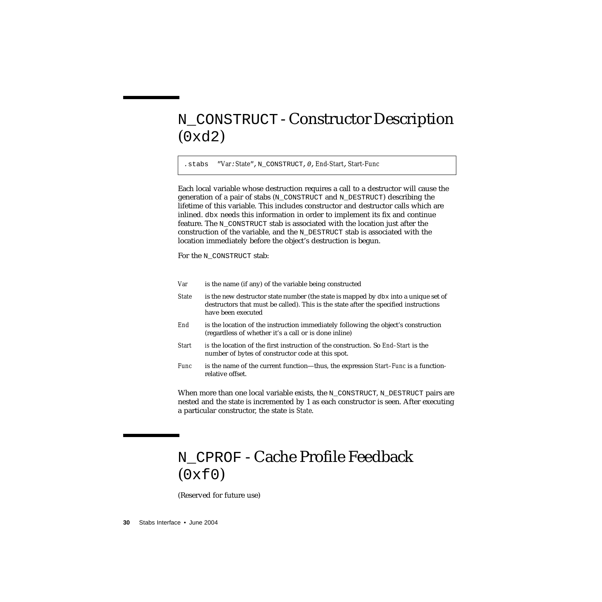# <span id="page-29-0"></span>N\_CONSTRUCT - Constructor Description (0xd2)

.stabs "*Var*:*State*",N\_CONSTRUCT,0,*End-Start*,*Start-Func*

Each local variable whose destruction requires a call to a destructor will cause the generation of a pair of stabs (N\_CONSTRUCT and N\_DESTRUCT) describing the lifetime of this variable. This includes constructor and destructor calls which are inlined. dbx needs this information in order to implement its fix and continue feature. The N\_CONSTRUCT stab is associated with the location just after the construction of the variable, and the N\_DESTRUCT stab is associated with the location immediately before the object's destruction is begun.

For the N\_CONSTRUCT stab:

| Var |  |  | is the name (if any) of the variable being constructed |  |
|-----|--|--|--------------------------------------------------------|--|
|-----|--|--|--------------------------------------------------------|--|

- *State* is the new destructor state number (the state is mapped by dbx into a unique set of destructors that must be called). This is the state after the specified instructions have been executed
- *End* is the location of the instruction immediately following the object's construction (regardless of whether it's a call or is done inline)
- *Start is* the location of the first instruction of the construction. So *End–Start* is the number of bytes of constructor code at this spot.
- *Func* is the name of the current function—thus, the expression *Start–Func* is a functionrelative offset.

When more than one local variable exists, the  $N$  CONSTRUCT,  $N$  DESTRUCT pairs are nested and the state is incremented by 1 as each constructor is seen. After executing a particular constructor, the state is *State*.

# <span id="page-29-1"></span>N\_CPROF - Cache Profile Feedback  $(0xf0)$

(Reserved for future use)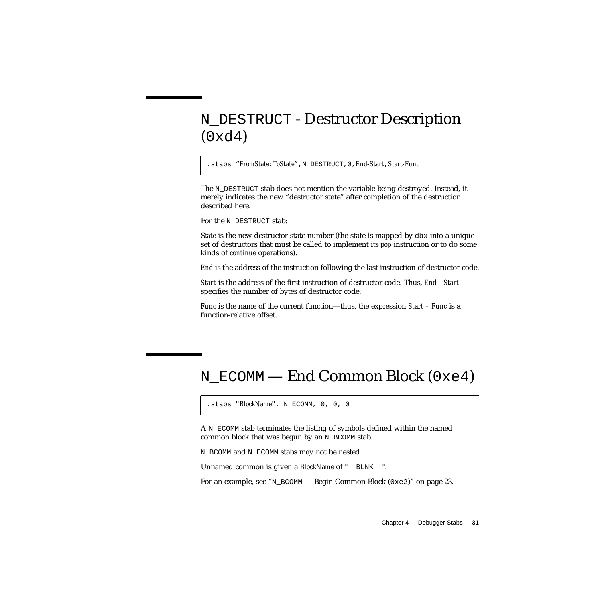## <span id="page-30-0"></span>N\_DESTRUCT - Destructor Description  $(0xd4)$

.stabs "*FromState*:*ToState*",N\_DESTRUCT,0,*End-Start*,*Start-Func*

The N\_DESTRUCT stab does not mention the variable being destroyed. Instead, it merely indicates the new "destructor state" after completion of the destruction described here.

```
For the N_DESTRUCT stab:
```
S*tate* is the new destructor state number (the state is mapped by dbx into a unique set of destructors that must be called to implement its *pop* instruction or to do some kinds of *continue* operations).

*End* is the address of the instruction following the last instruction of destructor code.

*Start* is the address of the first instruction of destructor code. Thus, *End - Start* specifies the number of bytes of destructor code.

*Func* is the name of the current function—thus, the expression *Start – Func* is a function-relative offset.

## <span id="page-30-1"></span>N\_ECOMM — End Common Block (0xe4)

```
.stabs "BlockName", N_ECOMM, 0, 0, 0
```
A N\_ECOMM stab terminates the listing of symbols defined within the named common block that was begun by an  $N$  BCOMM stab.

N\_BCOMM and N\_ECOMM stabs may not be nested.

Unnamed common is given a *BlockName* of "\_\_BLNK\_\_".

For an example, see "N\_BCOMM [— Begin Common Block \(](#page-22-0)0xe2)" on page 23.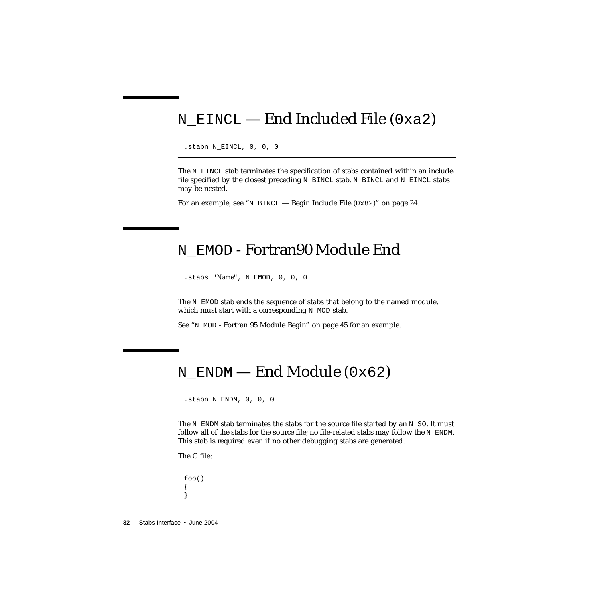## <span id="page-31-0"></span>N\_EINCL — End Included File (0xa2)

.stabn N\_EINCL, 0, 0, 0

The N\_EINCL stab terminates the specification of stabs contained within an include file specified by the closest preceding N\_BINCL stab. N\_BINCL and N\_EINCL stabs may be nested.

For an example, see "N\_BINCL — Begin Include File  $(0 \times 82)$ " on page 24.

#### <span id="page-31-1"></span>N\_EMOD - Fortran90 Module End

.stabs "*Name*", N\_EMOD, 0, 0, 0

The N\_EMOD stab ends the sequence of stabs that belong to the named module, which must start with a corresponding N\_MOD stab.

See "N\_MOD [- Fortran 95 Module Begin" on page 45](#page-44-1) for an example.

#### <span id="page-31-2"></span>N\_ENDM — End Module (0x62)

.stabn N\_ENDM, 0, 0, 0

The N\_ENDM stab terminates the stabs for the source file started by an N\_SO. It must follow all of the stabs for the source file; no file-related stabs may follow the  $N$  ENDM. This stab is required even if no other debugging stabs are generated.

The C file:

foo() { }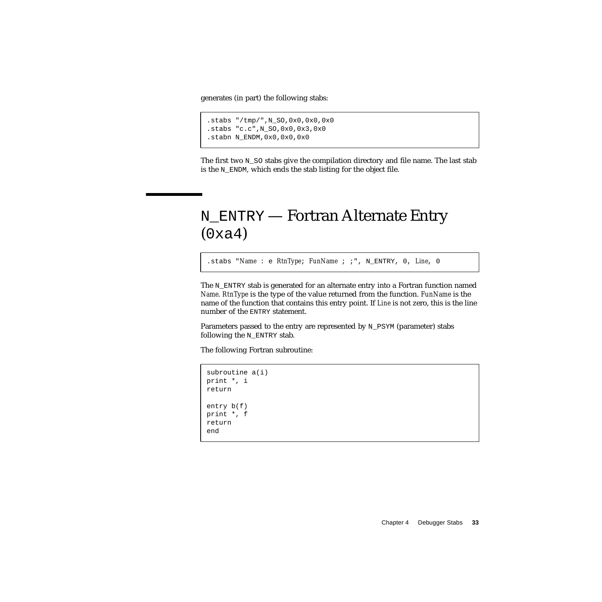generates (in part) the following stabs:

```
.stabs "/tmp/",N_SO,0x0,0x0,0x0
.stabs "c.c",N_SO,0x0,0x3,0x0
.stabn N_ENDM,0x0,0x0,0x0
```
The first two N\_SO stabs give the compilation directory and file name. The last stab is the N\_ENDM, which ends the stab listing for the object file.

## <span id="page-32-0"></span>N\_ENTRY — Fortran Alternate Entry  $(0xa4)$

.stabs "*Name* : e *RtnType*; *FunName* ; ;", N\_ENTRY, 0, *Line*, 0

The N\_ENTRY stab is generated for an alternate entry into a Fortran function named *Name*. *RtnType* is the type of the value returned from the function. *FunName* is the name of the function that contains this entry point. If *Line* is not zero, this is the line number of the ENTRY statement.

Parameters passed to the entry are represented by N\_PSYM (parameter) stabs following the N\_ENTRY stab.

The following Fortran subroutine:

```
subroutine a(i)
print *, i
return
entry b(f)
print *, f
return
end
```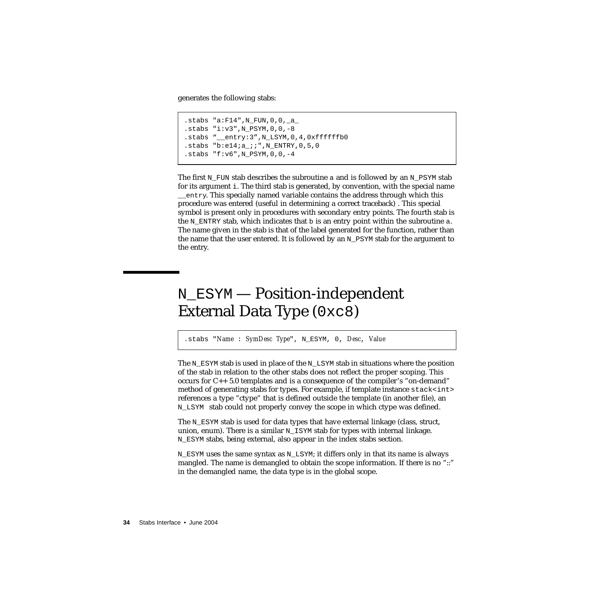generates the following stabs:

```
.stabs "a:F14",N_FUN,0,0,_a_
.stabs "i: v3", N_PSYM, 0, 0, -8
.stabs "__entry:3",N_LSYM,0,4,0xffffffb0
.stabs "b:e14;a ;;",N ENTRY, 0, 5, 0
.stabs "f: v6", N_PSYM, 0, 0, -4
```
The first  $N$  FUN stab describes the subroutine a and is followed by an  $N$  PSYM stab for its argument i. The third stab is generated, by convention, with the special name \_\_entry. This specially named variable contains the address through which this procedure was entered (useful in determining a correct traceback) . This special symbol is present only in procedures with secondary entry points. The fourth stab is the  $N_{\text{ENTRY}}$  stab, which indicates that b is an entry point within the subroutine a. The name given in the stab is that of the label generated for the function, rather than the name that the user entered. It is followed by an N\_PSYM stab for the argument to the entry.

# <span id="page-33-0"></span>N\_ESYM — Position-independent External Data Type (0xc8)

.stabs "*Name* : *SymDesc Type*", N\_ESYM, 0, *Desc*, *Value*

The N\_ESYM stab is used in place of the N\_LSYM stab in situations where the position of the stab in relation to the other stabs does not reflect the proper scoping. This occurs for C++ 5.0 templates and is a consequence of the compiler's "on-demand" method of generating stabs for types. For example, if template instance  $stack\text{stack}\text{in}$ references a type "ctype" that is defined outside the template (in another file), an N\_LSYM stab could not properly convey the scope in which ctype was defined.

The N\_ESYM stab is used for data types that have external linkage (class, struct, union, enum). There is a similar  $N$  ISYM stab for types with internal linkage. N\_ESYM stabs, being external, also appear in the index stabs section.

N\_ESYM uses the same syntax as N\_LSYM; it differs only in that its name is always mangled. The name is demangled to obtain the scope information. If there is no "::" in the demangled name, the data type is in the global scope.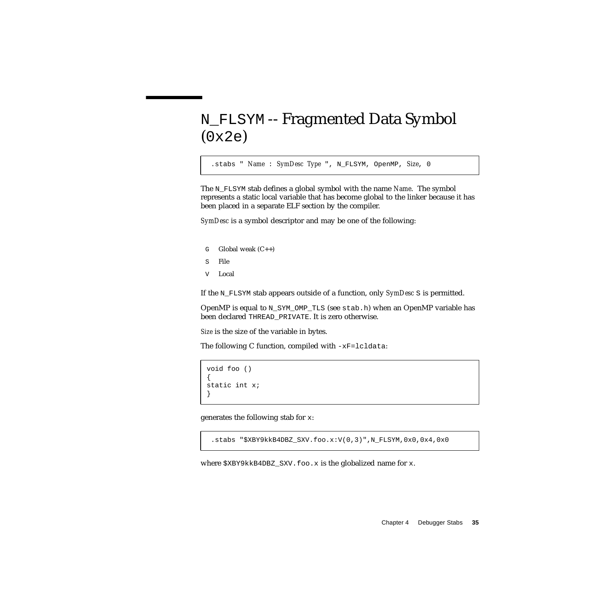# <span id="page-34-0"></span>N\_FLSYM -- Fragmented Data Symbol (0x2e)

.stabs " *Name* : *SymDesc Type* ", N\_FLSYM, OpenMP, *Size*, 0

The N\_FLSYM stab defines a global symbol with the name *Name*. The symbol represents a static local variable that has become global to the linker because it has been placed in a separate ELF section by the compiler.

*SymDesc* is a symbol descriptor and may be one of the following:

- $G$  Global weak  $(C++)$
- S File
- V Local

If the N\_FLSYM stab appears outside of a function, only *SymDesc* S is permitted.

OpenMP is equal to N\_SYM\_OMP\_TLS (see stab.h) when an OpenMP variable has been declared THREAD\_PRIVATE. It is zero otherwise.

*Size* is the size of the variable in bytes.

The following C function, compiled with  $-xF =$ lcldata:

```
void foo ()
{
static int x;
}
```
generates the following stab for x:

.stabs "\$XBY9kkB4DBZ\_SXV.foo.x:V(0,3)",N\_FLSYM,0x0,0x4,0x0

where  $$XBY9kkB4DBZ_SXV.foo.x$  is the globalized name for x.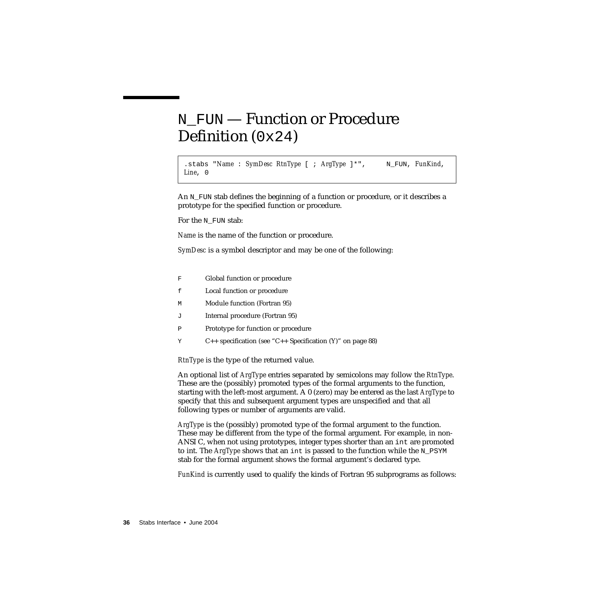# <span id="page-35-0"></span>N\_FUN — Function or Procedure Definition (0x24)

.stabs "Name: SymDesc RtnType [ ; ArgType ]\*", N\_FUN, FunKind, *Line*, 0

An N<sub>FUN</sub> stab defines the beginning of a function or procedure, or it describes a prototype for the specified function or procedure.

For the N FUN stab:

*Name* is the name of the function or procedure.

*SymDesc* is a symbol descriptor and may be one of the following:

- F Global function or procedure
- f Local function or procedure
- M Module function (Fortran 95)
- J Internal procedure (Fortran 95)
- P Prototype for function or procedure
- Y C++ specification (see ["C++ Specification \(Y\)" on page 88](#page-87-2))

*RtnType* is the type of the returned value.

An optional list of *ArgType* entries separated by semicolons may follow the *RtnType*. These are the (possibly) promoted types of the formal arguments to the function, starting with the left-most argument. A 0 (zero) may be entered as the last *ArgType* to specify that this and subsequent argument types are unspecified and that all following types or number of arguments are valid.

*ArgType* is the (possibly) promoted type of the formal argument to the function. These may be different from the type of the formal argument. For example, in non-ANSI C, when not using prototypes, integer types shorter than an int are promoted to int. The *ArgType* shows that an int is passed to the function while the N\_PSYM stab for the formal argument shows the formal argument's declared type.

*FunKind* is currently used to qualify the kinds of Fortran 95 subprograms as follows: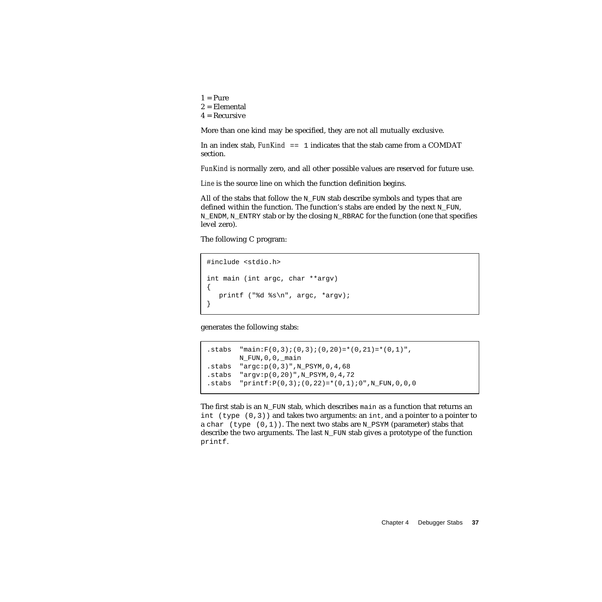$1 =$ Pure  $2 =$ Elemental  $4 = Recursively$ 

More than one kind may be specified, they are not all mutually exclusive.

In an index stab, *FunKind* == 1 indicates that the stab came from a COMDAT section.

*FunKind* is normally zero, and all other possible values are reserved for future use.

*Line* is the source line on which the function definition begins.

All of the stabs that follow the  $N$  FUN stab describe symbols and types that are defined within the function. The function's stabs are ended by the next  $N$  FUN, N\_ENDM, N\_ENTRY stab or by the closing N\_RBRAC for the function (one that specifies level zero).

The following C program:

```
#include <stdio.h>
int main (int argc, char **argv)
{
  printf ("%d %s\n", argc, *argv);
}
```
generates the following stabs:

```
.stabs "main:F(0,3);(0,3);(0,20)=*(0,21)=*(0,1)",
       N_FUN,0,0,_main
.stabs "argc:p(0,3)",N_PSYM,0,4,68
.stabs "arrow: p(0, 20)", N PSYM, 0, 4, 72.stabs "printf:P(0,3);(0,22)=*(0,1);0",N_FUN,0,0,0
```
The first stab is an  $N$  FUN stab, which describes main as a function that returns an int  $(type(0,3))$  and takes two arguments: an int, and a pointer to a pointer to a char (type  $(0,1)$ ). The next two stabs are N\_PSYM (parameter) stabs that describe the two arguments. The last  $N$  FUN stab gives a prototype of the function printf.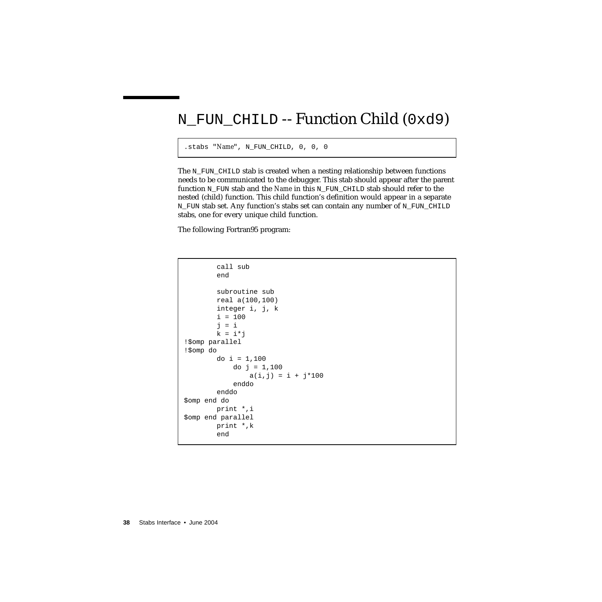### N\_FUN\_CHILD -- Function Child (0xd9)

```
.stabs "Name", N_FUN_CHILD, 0, 0, 0
```
The N\_FUN\_CHILD stab is created when a nesting relationship between functions needs to be communicated to the debugger. This stab should appear after the parent function N\_FUN stab and the *Name* in this N\_FUN\_CHILD stab should refer to the nested (child) function. This child function's definition would appear in a separate N\_FUN stab set. Any function's stabs set can contain any number of N\_FUN\_CHILD stabs, one for every unique child function.

The following Fortran95 program:

```
call sub
       end
       subroutine sub
       real a(100,100)
       integer i, j, k
       i = 100j = ik = i * j!$omp parallel
!$omp do
       do i = 1,100do j = 1,100a(i,j) = i + j*100enddo
       enddo
$omp end do
       print *,i
$omp end parallel
       print *,k
       end
```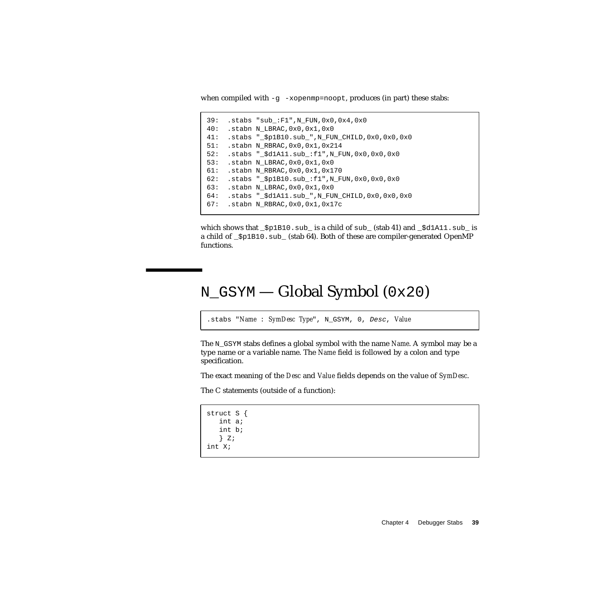when compiled with  $-g$  -xopenmp=noopt, produces (in part) these stabs:

```
39: .stabs "sub_:F1",N_FUN,0x0,0x4,0x0
40: .stabn N_LBRAC,0x0,0x1,0x0
41: .stabs "_$p1B10.sub_",N_FUN_CHILD,0x0,0x0,0x0
51: .stabn N RBRAC, 0x0, 0x1, 0x214
52: .stabs "_$d1A11.sub_:f1",N_FUN,0x0,0x0,0x0
53: .stabn N_LBRAC,0x0,0x1,0x0
61: .stabn N_RBRAC,0x0,0x1,0x170
62: .stabs "_$p1B10.sub_:f1",N_FUN,0x0,0x0,0x0
63: .stabn N_LBRAC,0x0,0x1,0x0
64: .stabs "_$d1A11.sub_",N_FUN_CHILD,0x0,0x0,0x0
67: .stabn N_RBRAC,0x0,0x1,0x17c
```
which shows that  $\frac{1}{2}p1B10 \cdot \frac{s}{s}$  is a child of sub  $\frac{s}{s}$  (stab 41) and  $\frac{s}{s}d1A11 \cdot \frac{s}{s}$  is a child of \_\$p1B10.sub\_ (stab 64). Both of these are compiler-generated OpenMP functions.

### N\_GSYM — Global Symbol (0x20)

```
.stabs "Name : SymDesc Type", N_GSYM, 0, Desc, Value
```
The N\_GSYM stabs defines a global symbol with the name *Name*. A symbol may be a type name or a variable name. The *Name* field is followed by a colon and type specification.

The exact meaning of the *Desc* and *Value* fields depends on the value of *SymDesc*.

The C statements (outside of a function):

```
struct S {
   int a;
   int b;
   } Z;
int X;
```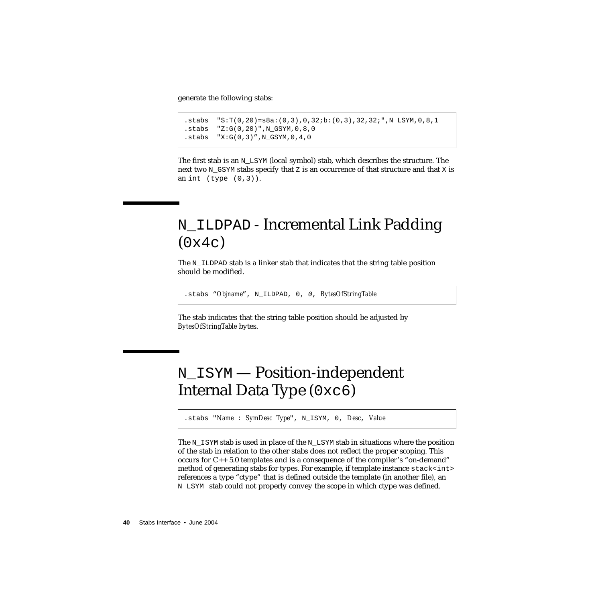generate the following stabs:

```
.stabs "S:T(0,20)=s8a:(0,3),0,32;b:(0,3),32,32;",N_LSYM,0,8,1
.stabs "Z:G(0,20)",N_GSYM,0,8,0
.stabs "X:G(0,3)', N_GSYM, 0, 4, 0
```
The first stab is an N\_LSYM (local symbol) stab, which describes the structure. The next two  $N_{\text{S}}$  as a specify that  $z$  is an occurrence of that structure and that  $x$  is an int  $(type(0,3))$ .

# N\_ILDPAD - Incremental Link Padding  $(0x4c)$

The  $N$  ILDPAD stab is a linker stab that indicates that the string table position should be modified.

```
.stabs "Objname", N_ILDPAD, 0, 0, BytesOfStringTable
```
The stab indicates that the string table position should be adjusted by *BytesOfStringTable* bytes.

# N\_ISYM — Position-independent Internal Data Type (0xc6)

.stabs "*Name* : *SymDesc Type*", N\_ISYM, 0, *Desc*, *Value*

The  $N_{\text{I}}$  stab is used in place of the  $N_{\text{I}}$  LSYM stab in situations where the position of the stab in relation to the other stabs does not reflect the proper scoping. This occurs for C++ 5.0 templates and is a consequence of the compiler's "on-demand" method of generating stabs for types. For example, if template instance stack<int> references a type "ctype" that is defined outside the template (in another file), an N\_LSYM stab could not properly convey the scope in which ctype was defined.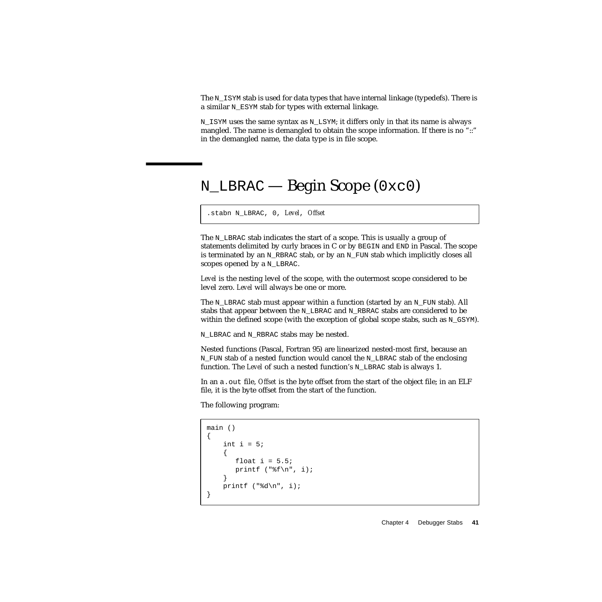The N\_ISYM stab is used for data types that have internal linkage (typedefs). There is a similar N\_ESYM stab for types with external linkage.

N\_ISYM uses the same syntax as N\_LSYM; it differs only in that its name is always mangled. The name is demangled to obtain the scope information. If there is no "::" in the demangled name, the data type is in file scope.

# <span id="page-40-0"></span>N\_LBRAC — Begin Scope (0xc0)

.stabn N\_LBRAC, 0, *Level*, *Offset*

The  $N$  LBRAC stab indicates the start of a scope. This is usually a group of statements delimited by curly braces in C or by BEGIN and END in Pascal. The scope is terminated by an N\_RBRAC stab, or by an N\_FUN stab which implicitly closes all scopes opened by a N\_LBRAC.

*Level* is the nesting level of the scope, with the outermost scope considered to be level zero. *Level* will always be one or more.

The N LBRAC stab must appear within a function (started by an N FUN stab). All stabs that appear between the N\_LBRAC and N\_RBRAC stabs are considered to be within the defined scope (with the exception of global scope stabs, such as  $N_GSYM$ ).

N\_LBRAC and N\_RBRAC stabs may be nested.

Nested functions (Pascal, Fortran 95) are linearized nested-most first, because an N\_FUN stab of a nested function would cancel the N\_LBRAC stab of the enclosing function. The *Level* of such a nested function's N\_LBRAC stab is always 1.

In an a.out file, *Offset* is the byte offset from the start of the object file; in an ELF file, it is the byte offset from the start of the function.

The following program:

```
main ()
{
    int i = 5;
    {
       float i = 5.5;
       printf ("t\n", i);
    }
    printf ("ad\nu", i);}
```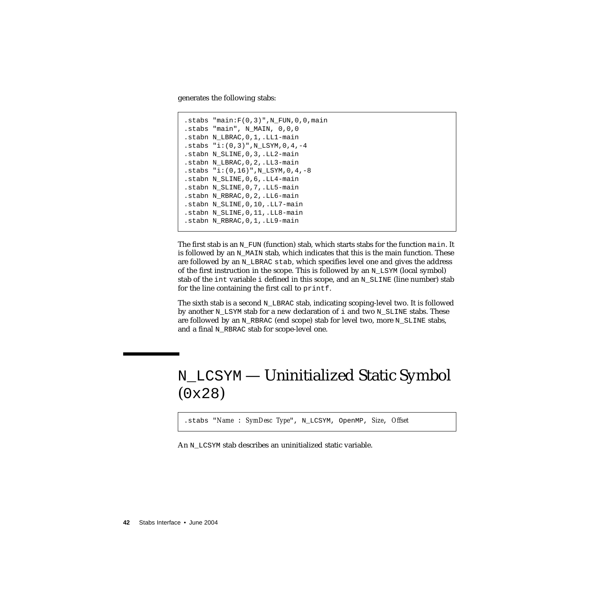generates the following stabs:

```
.stabs "main:F(0,3)", N FUN, 0, 0, main
.stabs "main", N_MAIN, 0,0,0
.stabn N_LBRAC,0,1,.LL1-main
.stabs "i:(0,3)", N LSYM, 0, 4, -4
.stabn N_SLINE,0,3,.LL2-main
.stabn N_LBRAC,0,2,.LL3-main
.stabs "i:(0,16)", N LSYM, 0,4,-8.stabn N_SLINE,0,6,.LL4-main
.stabn N_SLINE,0,7,.LL5-main
.stabn N_RBRAC,0,2,.LL6-main
.stabn N_SLINE,0,10,.LL7-main
.stabn N_SLINE,0,11,.LL8-main
.stabn N_RBRAC,0,1,.LL9-main
```
The first stab is an N\_FUN (function) stab, which starts stabs for the function main. It is followed by an N\_MAIN stab, which indicates that this is the main function. These are followed by an N\_LBRAC stab, which specifies level one and gives the address of the first instruction in the scope. This is followed by an  $N$  LSYM (local symbol) stab of the int variable i defined in this scope, and an  $N$  SLINE (line number) stab for the line containing the first call to printf.

The sixth stab is a second N\_LBRAC stab, indicating scoping-level two. It is followed by another N\_LSYM stab for a new declaration of  $\pm$  and two N\_SLINE stabs. These are followed by an  $N$  RBRAC (end scope) stab for level two, more  $N$  SLINE stabs, and a final N\_RBRAC stab for scope-level one.

# N\_LCSYM — Uninitialized Static Symbol (0x28)

.stabs "*Name* : *SymDesc Type*", N\_LCSYM, OpenMP, *Size*, *Offset*

An N\_LCSYM stab describes an uninitialized static variable.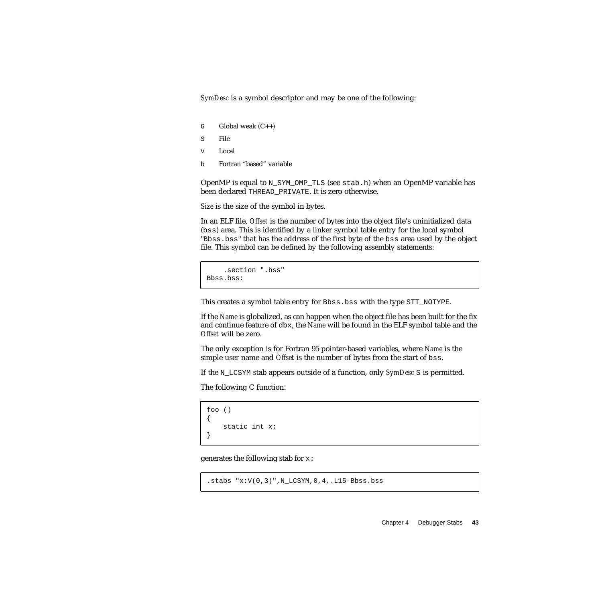*SymDesc* is a symbol descriptor and may be one of the following:

- G Global weak  $(C_{++})$
- S File
- V Local
- b Fortran "based" variable

OpenMP is equal to N\_SYM\_OMP\_TLS (see stab.h) when an OpenMP variable has been declared THREAD\_PRIVATE. It is zero otherwise.

*Size* is the size of the symbol in bytes.

In an ELF file, *Offset* is the number of bytes into the object file's uninitialized data (bss) area. This is identified by a linker symbol table entry for the local symbol "Bbss.bss" that has the address of the first byte of the bss area used by the object file. This symbol can be defined by the following assembly statements:

```
.section ".bss"
Bbss.bss:
```
This creates a symbol table entry for Bbss.bss with the type STT\_NOTYPE.

If the *Name* is globalized, as can happen when the object file has been built for the fix and continue feature of dbx, the *Name* will be found in the ELF symbol table and the *Offset* will be zero.

The only exception is for Fortran 95 pointer-based variables, where *Name* is the simple user name and *Offset* is the number of bytes from the start of bss.

If the N\_LCSYM stab appears outside of a function, only *SymDesc* S is permitted.

The following C function:

```
foo ()
{
    static int x;
}
```
generates the following stab for x:

```
.stabs "x:V(0,3)", N_LCSYM, 0, 4,. L15-Bbss.bss
```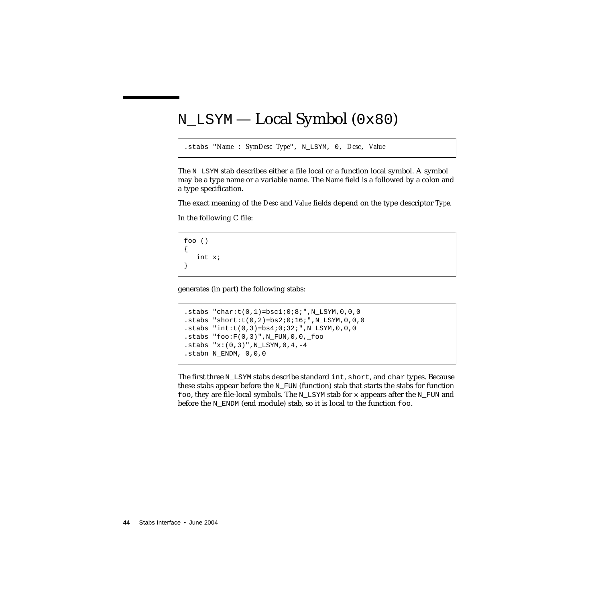# N\_LSYM — Local Symbol (0x80)

```
.stabs "Name : SymDesc Type", N_LSYM, 0, Desc, Value
```
The N\_LSYM stab describes either a file local or a function local symbol. A symbol may be a type name or a variable name. The *Name* field is a followed by a colon and a type specification.

The exact meaning of the *Desc* and *Value* fields depend on the type descriptor *Type*.

In the following C file:

```
foo ()
{
   int x;
}
```
generates (in part) the following stabs:

```
.stabs "char:t(0,1)=bsc1:0:8:", N_LSYM, 0, 0, 0
.stabs "short:t(0, 2)=bs2;0;16;",N LSYM,0,0,0
.stabs "int: t(0,3) = bs4:0:32:", N_LSYM, 0, 0, 0
.stabs "foo: F(0,3)", N_FUN, 0, 0, _foo
.stabs "x:(0,3)", N LSYM, 0,4,-4.stabn N_ENDM, 0,0,0
```
The first three  $N$  LSYM stabs describe standard int, short, and char types. Because these stabs appear before the  $N$  FUN (function) stab that starts the stabs for function foo, they are file-local symbols. The N\_LSYM stab for x appears after the N\_FUN and before the N\_ENDM (end module) stab, so it is local to the function foo.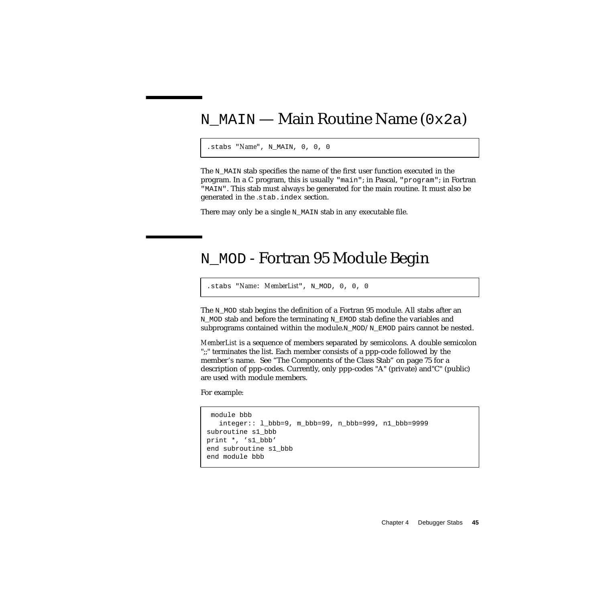### N\_MAIN — Main Routine Name  $(0x2a)$

```
.stabs "Name", N_MAIN, 0, 0, 0
```
The N<sub>MAIN</sub> stab specifies the name of the first user function executed in the program. In a C program, this is usually "main"; in Pascal, "program"; in Fortran "MAIN". This stab must always be generated for the main routine. It must also be generated in the *.*stab.index section.

There may only be a single N MAIN stab in any executable file.

### N\_MOD - Fortran 95 Module Begin

.stabs "*Name*: *MemberList*", N\_MOD, 0, 0, 0

The N<sub>MOD</sub> stab begins the definition of a Fortran 95 module. All stabs after an N\_MOD stab and before the terminating N\_EMOD stab define the variables and subprograms contained within the module. $N$  MOD/N\_EMOD pairs cannot be nested.

*MemberList* is a sequence of members separated by semicolons. A double semicolon ";;" terminates the list. Each member consists of a ppp-code followed by the member's name. See "The Components of the Class Stab" on page 75 for a description of ppp-codes. Currently, only ppp-codes "A" (private) and"C" (public) are used with module members.

For example:

```
 module bbb
  integer:: l_bbb=9, m_bbb=99, n_bbb=999, n1_bbb=9999
subroutine s1_bbb
print *, 's1_bbb'
end subroutine s1_bbb
end module bbb
```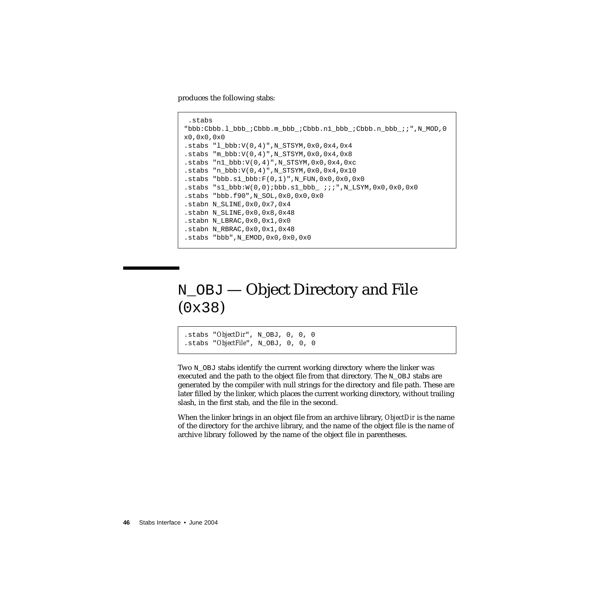produces the following stabs:

```
 .stabs
"bbb:Cbbb.l_bbb_;Cbbb.m_bbb_;Cbbb.n1_bbb_;Cbbb.n_bbb_;;",N_MOD,0
x0,0x0,0x0
.stabs "l bbb:V(0,4)", N STSYM, 0x0,0x4,0x4.stabs "m_bbb:V(0,4)",N_STSYM,0x0,0x4,0x8
.stabs "n1_bbbb:V(0,4)", N_STSYM, 0x0, 0x4, 0xc
.stabs "n bb:V(0,4)", N STSYM, 0x0, 0x4,0x10
.stabs "bbb.s1_bbb:F(0,1)", N_FUN,0x0,0x0,0x0
.stabs "sl\_bbb:W(0,0);bbb:s1\_bbb\_ ;;;",N_LSYM,0x0,0x0,0x0
.stabs "bbb.f90",N_SOL,0x0,0x0,0x0
.stabn N_SLINE,0x0,0x7,0x4
.stabn N_SLINE,0x0,0x8,0x48
.stabn N_LBRAC,0x0,0x1,0x0
.stabn N_RBRAC,0x0,0x1,0x48
.stabs "bbb",N_EMOD,0x0,0x0,0x0
```
# N\_OBJ — Object Directory and File (0x38)

.stabs "*ObjectDir*", N\_OBJ, 0, 0, 0 .stabs "*ObjectFile*", N\_OBJ, 0, 0, 0

Two  $N$  OBJ stabs identify the current working directory where the linker was executed and the path to the object file from that directory. The  $N$  OBJ stabs are generated by the compiler with null strings for the directory and file path. These are later filled by the linker, which places the current working directory, without trailing slash, in the first stab, and the file in the second.

When the linker brings in an object file from an archive library, *ObjectDir* is the name of the directory for the archive library, and the name of the object file is the name of archive library followed by the name of the object file in parentheses.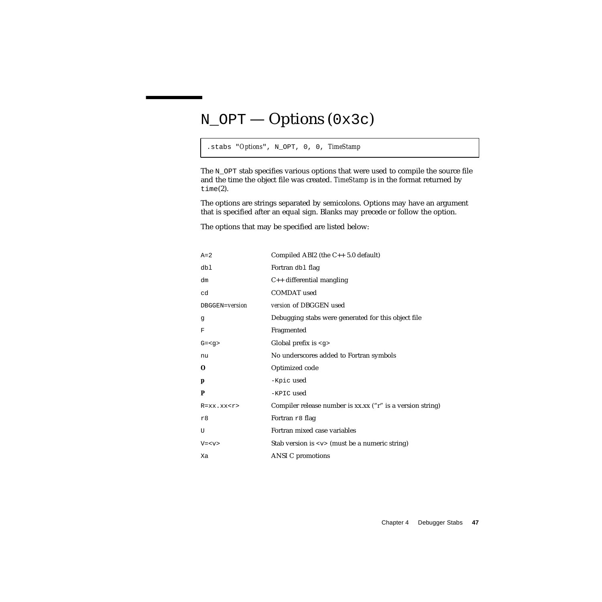# N\_OPT — Options (0x3c)

.stabs "*Options*", N\_OPT, 0, 0, *TimeStamp*

The N\_OPT stab specifies various options that were used to compile the source file and the time the object file was created. *TimeStamp* is in the format returned by time(2).

The options are strings separated by semicolons. Options may have an argument that is specified after an equal sign. Blanks may precede or follow the option.

The options that may be specified are listed below:

| $A=2$           | Compiled ABI2 (the $C_{++}$ 5.0 default)                       |
|-----------------|----------------------------------------------------------------|
| dbl             | Fortran dbl flag                                               |
| dm              | $C++$ differential mangling                                    |
| cd              | <b>COMDAT</b> used                                             |
| DBGGEN=version  | version of DBGGEN used                                         |
| g               | Debugging stabs were generated for this object file            |
| F               | Fragmented                                                     |
| $G = < q$       | Global prefix is $\langle g \rangle$                           |
| nu              | No underscores added to Fortran symbols                        |
| O               | Optimized code                                                 |
| p               | -Kpic used                                                     |
| P               | -KPIC used                                                     |
| $R = XX.XX < r$ | Compiler release number is xx.xx ("r" is a version string)     |
| r8              | Fortran r8 flag                                                |
| U               | Fortran mixed case variables                                   |
| $V = < v >$     | Stab version is $\langle v \rangle$ (must be a numeric string) |
| Xa              | <b>ANSI</b> C promotions                                       |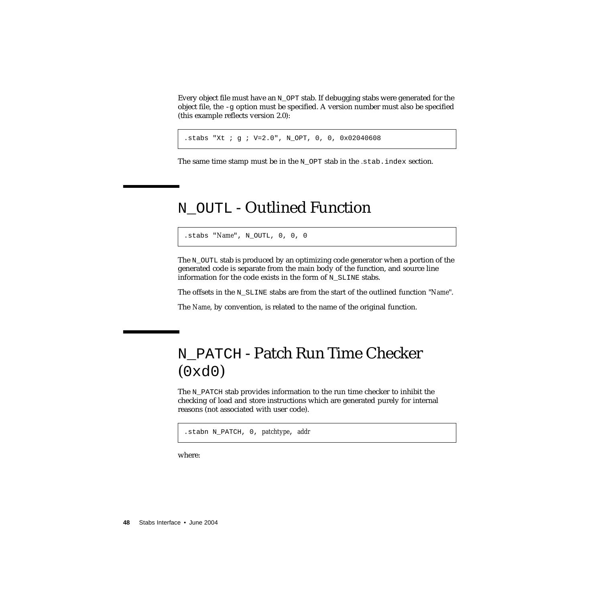Every object file must have an N\_OPT stab. If debugging stabs were generated for the object file, the  $-q$  option must be specified. A version number must also be specified (this example reflects version 2.0):

.stabs "Xt ; g ; V=2.0", N\_OPT, 0, 0, 0x02040608

The same time stamp must be in the N OPT stab in the *.stab.index section*.

### N\_OUTL - Outlined Function

.stabs "*Name*", N\_OUTL, 0, 0, 0

The N OUTL stab is produced by an optimizing code generator when a portion of the generated code is separate from the main body of the function, and source line information for the code exists in the form of N\_SLINE stabs.

The offsets in the N\_SLINE stabs are from the start of the outlined function "*Name*".

The *Name*, by convention, is related to the name of the original function.

# N\_PATCH - Patch Run Time Checker  $(0xd0)$

The N\_PATCH stab provides information to the run time checker to inhibit the checking of load and store instructions which are generated purely for internal reasons (not associated with user code).

.stabn N\_PATCH, 0, *patchtype*, *addr*

where: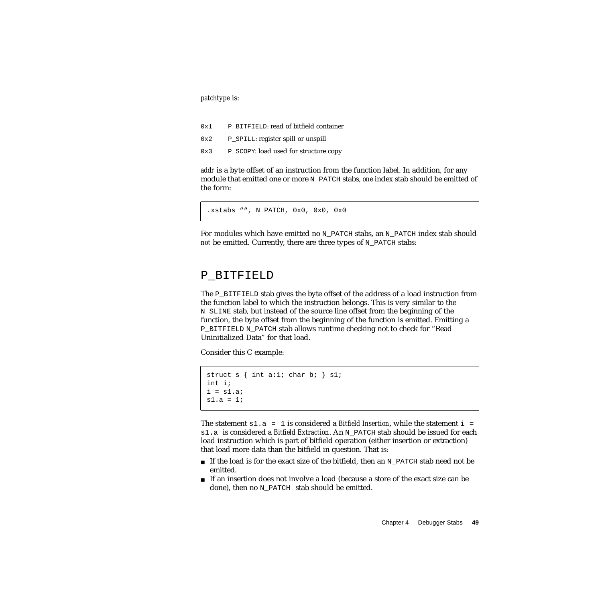*patchtype* is:

- 0x1 P\_BITFIELD: read of bitfield container
- 0x2 P\_SPILL: register spill or unspill
- 0x3 P\_SCOPY: load used for structure copy

*addr* is a byte offset of an instruction from the function label. In addition, for any module that emitted one or more N\_PATCH stabs, *one* index stab should be emitted of the form:

```
.xstabs "", N_PATCH, 0x0, 0x0, 0x0
```
For modules which have emitted no N\_PATCH stabs, an N\_PATCH index stab should *not* be emitted. Currently, there are three types of N\_PATCH stabs:

#### P\_BITFIELD

The  $P$  BITFIELD stab gives the byte offset of the address of a load instruction from the function label to which the instruction belongs. This is very similar to the N\_SLINE stab, but instead of the source line offset from the beginning of the function, the byte offset from the beginning of the function is emitted. Emitting a P\_BITFIELD N\_PATCH stab allows runtime checking not to check for "Read Uninitialized Data" for that load.

Consider this C example:

```
struct s \{ int a: 1; char b: } s1;int i;
i = s1.a;
s1.a = 1i
```
The statement  $s1.a = 1$  is considered a *Bitfield Insertion*, while the statement  $i =$ s1.a is considered a *Bitfield Extraction*. An N\_PATCH stab should be issued for each load instruction which is part of bitfield operation (either insertion or extraction) that load more data than the bitfield in question. That is:

- If the load is for the exact size of the bitfield, then an N\_PATCH stab need not be emitted.
- If an insertion does not involve a load (because a store of the exact size can be done), then no N\_PATCH stab should be emitted.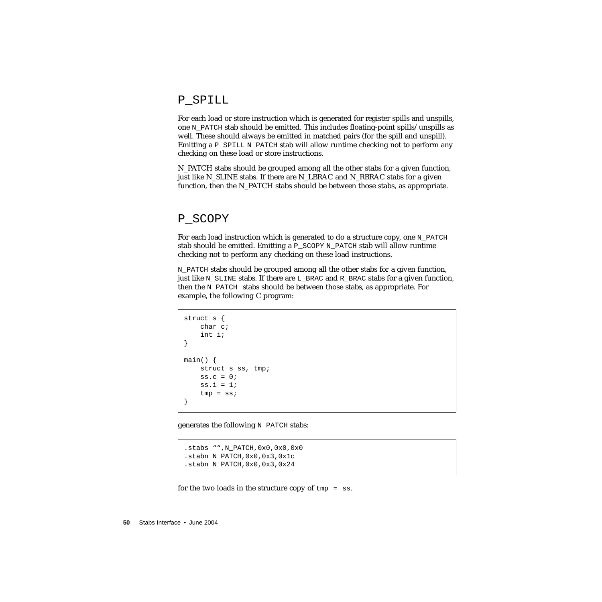#### P\_SPILL

For each load or store instruction which is generated for register spills and unspills, one N\_PATCH stab should be emitted. This includes floating-point spills/unspills as well. These should always be emitted in matched pairs (for the spill and unspill). Emitting a **P\_SPILL N\_PATCH** stab will allow runtime checking not to perform any checking on these load or store instructions.

N\_PATCH stabs should be grouped among all the other stabs for a given function, just like N\_SLINE stabs. If there are N\_LBRAC and N\_RBRAC stabs for a given function, then the N\_PATCH stabs should be between those stabs, as appropriate.

#### P\_SCOPY

For each load instruction which is generated to do a structure copy, one N\_PATCH stab should be emitted. Emitting a  $P$  SCOPY N PATCH stab will allow runtime checking not to perform any checking on these load instructions.

N\_PATCH stabs should be grouped among all the other stabs for a given function, just like N\_SLINE stabs. If there are L\_BRAC and R\_BRAC stabs for a given function, then the N\_PATCH stabs should be between those stabs, as appropriate. For example, the following C program:

```
struct s {
    char c;
    int i;
}
main() {
   struct s ss, tmp;
    ss.c = 0;ss.i = 1;
    tmp = ss;}
```
generates the following  $N$  PATCH stabs:

```
.stabs "",N_PATCH,0x0,0x0,0x0
.stabn N_PATCH,0x0,0x3,0x1c
.stabn N_PATCH,0x0,0x3,0x24
```
for the two loads in the structure copy of  $tmp = ss$ .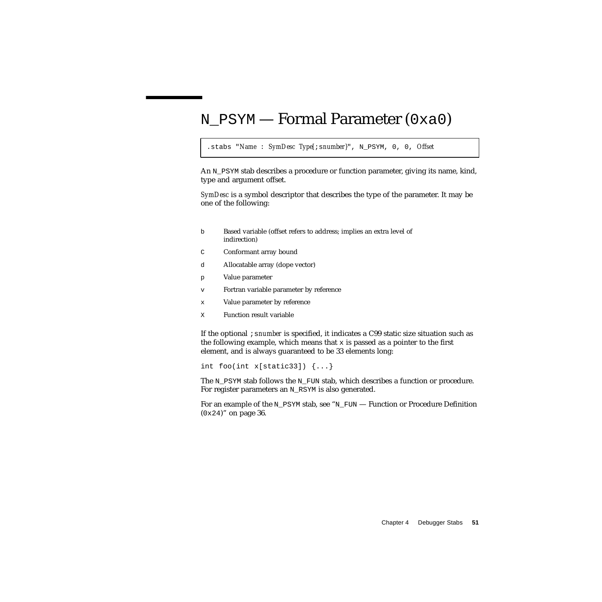### N\_PSYM — Formal Parameter (0xa0)

```
.stabs "Name : SymDesc Type[;snumber}", N_PSYM, 0, 0, Offset
```
An N\_PSYM stab describes a procedure or function parameter, giving its name, kind, type and argument offset.

*SymDesc* is a symbol descriptor that describes the type of the parameter. It may be one of the following:

- b Based variable (offset refers to address; implies an extra level of indirection)
- C Conformant array bound
- d Allocatable array (dope vector)
- p Value parameter
- v Fortran variable parameter by reference
- x Value parameter by reference
- X Function result variable

If the optional ;s*number* is specified, it indicates a C99 static size situation such as the following example, which means that  $x$  is passed as a pointer to the first element, and is always guaranteed to be 33 elements long:

```
int foo(int x[static33]) {...}
```
The N\_PSYM stab follows the N\_FUN stab, which describes a function or procedure. For register parameters an N\_RSYM is also generated.

For an example of the N\_PSYM stab, see "N\_FUN [— Function or Procedure Definition](#page-35-0) (0x24[\)" on page 36.](#page-35-0)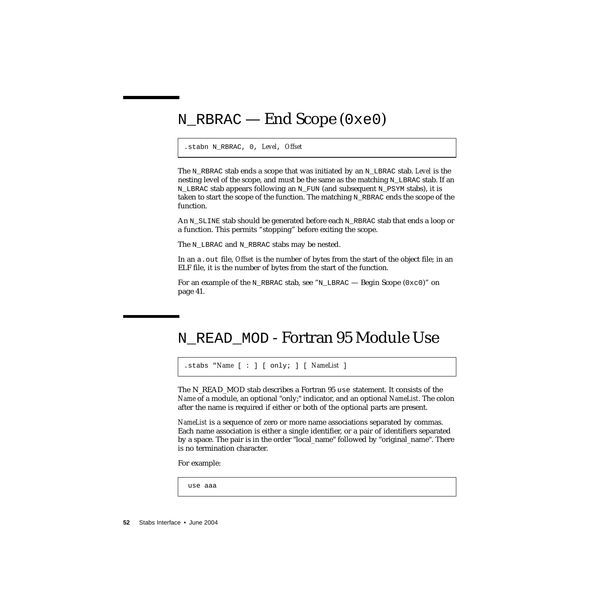# N\_RBRAC — End Scope (0xe0)

#### .stabn N\_RBRAC, 0, *Level*, *Offset*

The N<sub>RBRAC</sub> stab ends a scope that was initiated by an N<sub>LBRAC</sub> stab. Level is the nesting level of the scope, and must be the same as the matching  $N$  LBRAC stab. If an N\_LBRAC stab appears following an N\_FUN (and subsequent N\_PSYM stabs), it is taken to start the scope of the function. The matching  $N$  RBRAC ends the scope of the function.

An N\_SLINE stab should be generated before each N\_RBRAC stab that ends a loop or a function. This permits "stopping" before exiting the scope.

The N\_LBRAC and N\_RBRAC stabs may be nested.

In an a.out file, *Offset* is the number of bytes from the start of the object file; in an ELF file, it is the number of bytes from the start of the function.

For an example of the N\_RBRAC stab, see "N\_LBRAC — Begin Scope  $(0 \times c0)$ " on [page 41.](#page-40-0)

## N\_READ\_MOD - Fortran 95 Module Use

.stabs "*Name* [ : ] [ only; ] [ *NameList* ]

The N<sub>READ</sub> MOD stab describes a Fortran 95 use statement. It consists of the *Name* of a module, an optional "only;" indicator, and an optional *NameList*. The colon after the name is required if either or both of the optional parts are present.

*NameList* is a sequence of zero or more name associations separated by commas. Each name association is either a single identifier, or a pair of identifiers separated by a space. The pair is in the order "local\_name" followed by "original\_name". There is no termination character.

For example:

use aaa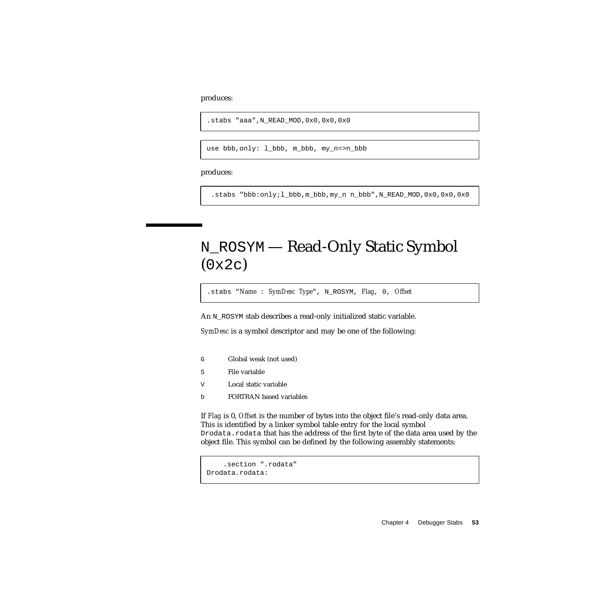produces:

```
.stabs "aaa",N_READ_MOD,0x0,0x0,0x0
```
use bbb,only: l\_bbb, m\_bbb, my\_n=>n\_bbb

produces:

.stabs "bbb:only;l\_bbb,m\_bbb,my\_n n\_bbb",N\_READ\_MOD,0x0,0x0,0x0

# N\_ROSYM — Read-Only Static Symbol (0x2c)

.stabs "*Name* : *SymDesc Type*", N\_ROSYM, *Flag*, 0, *Offset*

An N\_ROSYM stab describes a read-only initialized static variable.

*SymDesc* is a symbol descriptor and may be one of the following:

- G Global weak (not used)
- S File variable
- V Local static variable
- b FORTRAN based variables

If *Flag* is 0, *Offset* is the number of bytes into the object file's read-only data area. This is identified by a linker symbol table entry for the local symbol Drodata.rodata that has the address of the first byte of the data area used by the object file. This symbol can be defined by the following assembly statements:

```
.section ".rodata"
Drodata.rodata:
```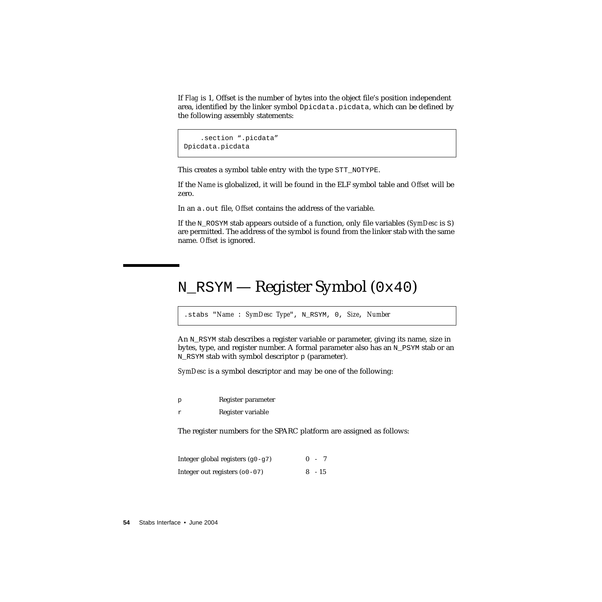If *Flag* is 1, Offset is the number of bytes into the object file's position independent area, identified by the linker symbol Dpicdata.picdata, which can be defined by the following assembly statements:

```
.section ".picdata"
Dpicdata.picdata
```
This creates a symbol table entry with the type STT\_NOTYPE.

If the *Name* is globalized, it will be found in the ELF symbol table and *Offset* will be zero.

In an a.out file, *Offset* contains the address of the variable.

If the N\_ROSYM stab appears outside of a function, only file variables (*SymDesc* is S) are permitted. The address of the symbol is found from the linker stab with the same name. *Offset* is ignored.

# N\_RSYM — Register Symbol (0x40)

.stabs "*Name* : *SymDesc Type*", N\_RSYM, 0, *Size*, *Number*

An N\_RSYM stab describes a register variable or parameter, giving its name, size in bytes, type, and register number. A formal parameter also has an N\_PSYM stab or an N\_RSYM stab with symbol descriptor  $p$  (parameter).

*SymDesc* is a symbol descriptor and may be one of the following:

p Register parameter

r Register variable

The register numbers for the SPARC platform are assigned as follows:

| Integer global registers $(g0-g7)$ | $0 - 7$  |  |
|------------------------------------|----------|--|
| Integer out registers $(00-07)$    | $8 - 15$ |  |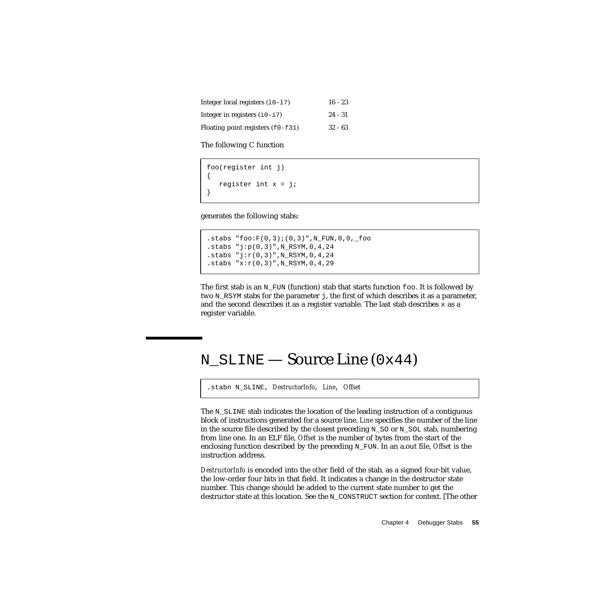Integer local registers (10-17) 16 - 23 Integer in registers  $(i0-i7)$  24 - 31 Floating point registers  $(f0-f31)$  32 - 63

The following C function

```
foo(register int j)
{
   register int x = j;
}
```
generates the following stabs:

```
.stabs "foo:F(0,3);(0,3)", N_FUN, 0, 0, _foo
.stabs "j:p(0,3)", N_RSYM, 0, 4, 24
.stabs "j:r(0,3)", N_RSYM, 0, 4, 24
.stabs "x: r(0,3)", N_RSYM, 0, 4, 29
```
The first stab is an  $N_FUN$  (function) stab that starts function foo. It is followed by two N\_RSYM stabs for the parameter j, the first of which describes it as a parameter, and the second describes it as a register variable. The last stab describes  $x$  as a register variable.

### N  $SLINE$  — Source Line (0x44)

.stabn N\_SLINE, *DestructorInfo*, *Line*, *Offset*

The N\_SLINE stab indicates the location of the leading instruction of a contiguous block of instructions generated for a source line. *Line* specifies the number of the line in the source file described by the closest preceding  $N$  SO or  $N$  SOL stab, numbering from line one. In an ELF file, *Offset* is the number of bytes from the start of the enclosing function described by the preceding N\_FUN. In an a.out file, *Offset* is the instruction address.

*DestructorInfo* is encoded into the *other* field of the stab, as a signed four-bit value, the low-order four bits in that field. It indicates a change in the destructor state number. This change should be added to the current state number to get the destructor state at this location. See the N\_CONSTRUCT section for context. [The other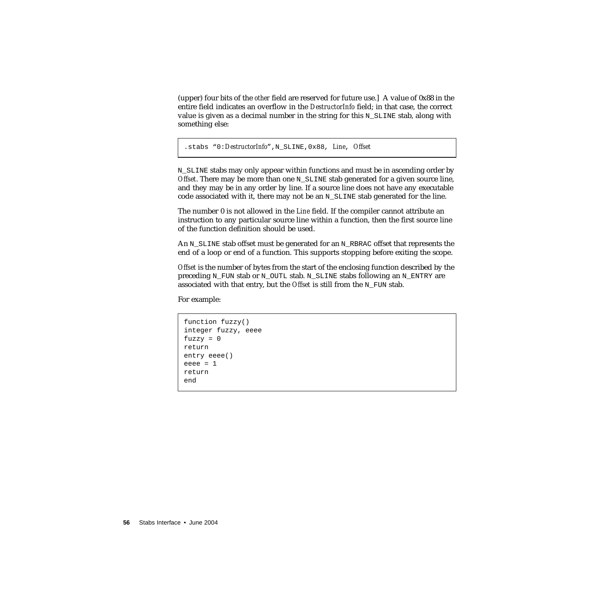(upper) four bits of the *other* field are reserved for future use.] A value of 0x88 in the entire field indicates an overflow in the *DestructorInfo* field; in that case, the correct value is given as a decimal number in the string for this  $N$  SLINE stab, along with something else:

```
.stabs "0:DestructorInfo",N_SLINE,0x88, Line, Offset
```
N\_SLINE stabs may only appear within functions and must be in ascending order by *Offset*. There may be more than one N SLINE stab generated for a given source line, and they may be in any order by line. If a source line does not have any executable code associated with it, there may not be an  $N$  SLINE stab generated for the line.

The number 0 is not allowed in the *Line* field. If the compiler cannot attribute an instruction to any particular source line within a function, then the first source line of the function definition should be used.

An  $N$  SLINE stab offset must be generated for an  $N$  RBRAC offset that represents the end of a loop or end of a function. This supports stopping before exiting the scope.

*Offset* is the number of bytes from the start of the enclosing function described by the preceding N\_FUN stab or N\_OUTL stab. N\_SLINE stabs following an N\_ENTRY are associated with that entry, but the *Offset* is still from the N\_FUN stab.

For example:

```
function fuzzy()
integer fuzzy, eeee
fuzzy = 0return
entry eeee()
eeee = 1return
end
```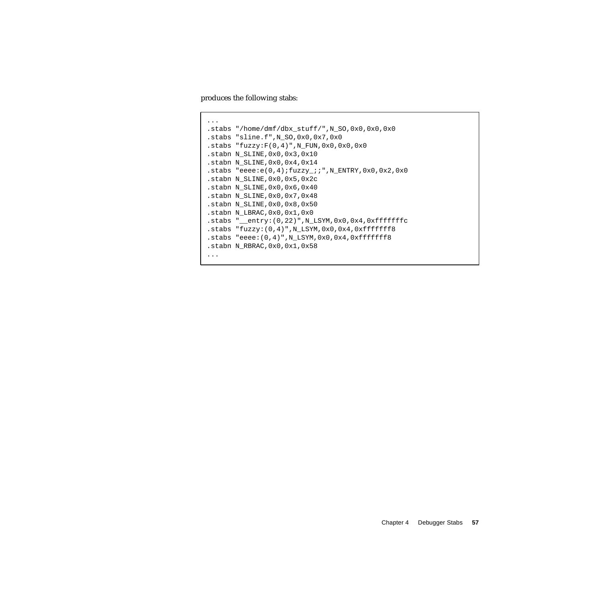produces the following stabs:

```
...
.stabs "/home/dmf/dbx_stuff/",N_SO,0x0,0x0,0x0
.stabs "sline.f",N_SO,0x0,0x7,0x0
.stabs "fuzzy: F(0,4)", N_FUN, 0x0, 0x0, 0x0
.stabn N_SLINE,0x0,0x3,0x10
.stabn N_SLINE,0x0,0x4,0x14
.stabs "eeee:e(0,4);fuzzy_;;",N_ENTRY,0x0,0x2,0x0
.stabn N_SLINE,0x0,0x5,0x2c
.stabn N_SLINE,0x0,0x6,0x40
.stabn N_SLINE,0x0,0x7,0x48
.stabn N_SLINE,0x0,0x8,0x50
.stabn N_LBRAC,0x0,0x1,0x0
.stabs "__entry:(0,22)",N_LSYM,0x0,0x4,0xfffffffc
.stabs "fuzzy:(0,4)",N_LSYM,0x0,0x4,0xfffffff8
.stabs "eeee:(0,4)", N_LSYM, 0x0, 0x4, 0xffffffff8
.stabn N_RBRAC,0x0,0x1,0x58
...
```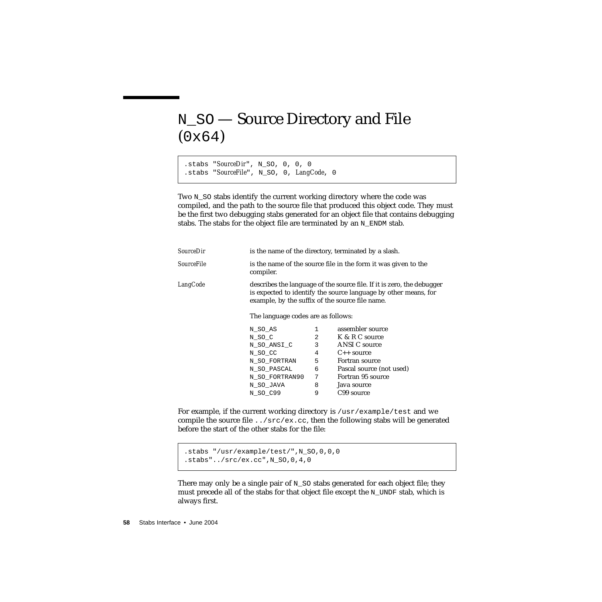# N\_SO — Source Directory and File (0x64)

.stabs "*SourceDir*", N\_SO, 0, 0, 0 .stabs "*SourceFile*", N\_SO, 0, *LangCode*, 0

Two N\_SO stabs identify the current working directory where the code was compiled, and the path to the source file that produced this object code. They must be the first two debugging stabs generated for an object file that contains debugging stabs. The stabs for the object file are terminated by an N\_ENDM stab.

| SourceDir  |                                    |                                                                                                                                                                                              | is the name of the directory, terminated by a slash. |  |
|------------|------------------------------------|----------------------------------------------------------------------------------------------------------------------------------------------------------------------------------------------|------------------------------------------------------|--|
| SourceFile | compiler.                          | is the name of the source file in the form it was given to the                                                                                                                               |                                                      |  |
| LangCode   |                                    | describes the language of the source file. If it is zero, the debugger<br>is expected to identify the source language by other means, for<br>example, by the suffix of the source file name. |                                                      |  |
|            | The language codes are as follows: |                                                                                                                                                                                              |                                                      |  |
|            | N_SO_AS                            | $\mathbf{1}$                                                                                                                                                                                 | assembler source                                     |  |
|            | N_SO_C                             | $2^{\circ}$                                                                                                                                                                                  | K & R C source                                       |  |
|            | N SO ANSI C                        | $\overline{3}$                                                                                                                                                                               | ANSI C source                                        |  |
|            | N_SO_CC                            | $4\degree$                                                                                                                                                                                   | $C_{++}$ source                                      |  |
|            | N_SO_FORTRAN                       | 5                                                                                                                                                                                            | Fortran source                                       |  |
|            | N_SO_PASCAL                        | 6                                                                                                                                                                                            | Pascal source (not used)                             |  |
|            | N_SO_FORTRAN90                     | 7                                                                                                                                                                                            | Fortran 95 source                                    |  |
|            | N_SO_JAVA                          | 8                                                                                                                                                                                            | Java source                                          |  |
|            | N_SO_C99                           | 9                                                                                                                                                                                            | C99 source                                           |  |

For example, if the current working directory is /usr/example/test and we compile the source file  $\ldots$ /src/ex.cc, then the following stabs will be generated before the start of the other stabs for the file:

```
.stabs "/usr/example/test/",N_SO,0,0,0
.stabs"../src/ex.cc",N_SO,0,4,0
```
There may only be a single pair of  $N_S$  stabs generated for each object file; they must precede all of the stabs for that object file except the N\_UNDF stab, which is always first.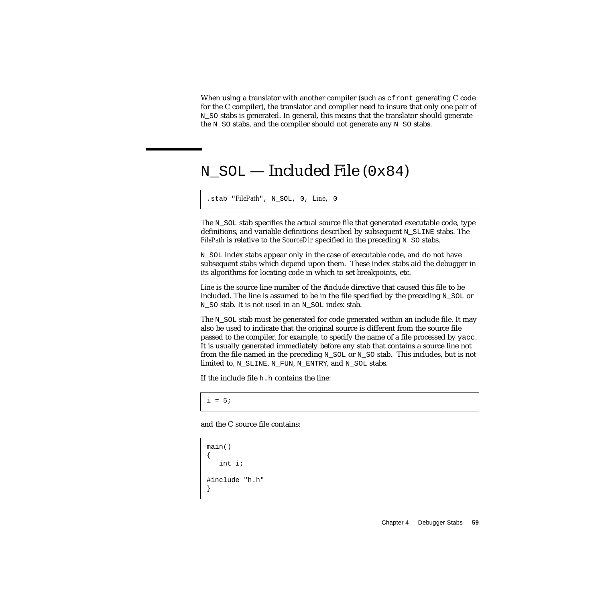When using a translator with another compiler (such as  $cf$ ront generating C code for the C compiler), the translator and compiler need to insure that only one pair of N\_SO stabs is generated. In general, this means that the translator should generate the N\_SO stabs, and the compiler should not generate any N\_SO stabs.

# N\_SOL — Included File (0x84)

.stab "*FilePath*", N\_SOL, 0, *Line*, 0

The  $N$  sol stab specifies the actual source file that generated executable code, type definitions, and variable definitions described by subsequent N\_SLINE stabs. The *FilePath* is relative to the *SourceDir* specified in the preceding N\_SO stabs.

N\_SOL index stabs appear only in the case of executable code, and do not have subsequent stabs which depend upon them. These index stabs aid the debugger in its algorithms for locating code in which to set breakpoints, etc.

*Line* is the source line number of the *#include* directive that caused this file to be included. The line is assumed to be in the file specified by the preceding  $N$  SOL or N\_SO stab. It is not used in an N\_SOL index stab.

The N\_SOL stab must be generated for code generated within an include file. It may also be used to indicate that the original source is different from the source file passed to the compiler, for example, to specify the name of a file processed by yacc. It is usually generated immediately before any stab that contains a source line not from the file named in the preceding N\_SOL or N\_SO stab. This includes, but is not limited to, N\_SLINE, N\_FUN, N\_ENTRY, and N\_SOL stabs.

If the include file h.h contains the line:

 $i = 5;$ 

and the C source file contains:

```
main()
{
   int i;
#include "h.h"
}
```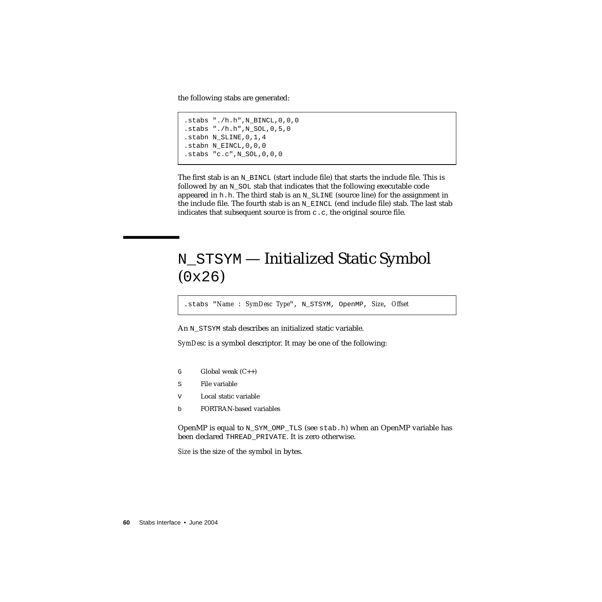the following stabs are generated:

```
.stabs "./h.h".N BINCL, 0,0,0.stabs "./h.h",N_SOL,0,5,0
.stabn N_SLINE,0,1,4
.stabn N EINCL, 0, 0, 0
.stabs "c.c",N_SOL,0,0,0
```
The first stab is an N\_BINCL (start include file) that starts the include file. This is followed by an N SOL stab that indicates that the following executable code appeared in h.h. The third stab is an  $N\_S$ LINE (source line) for the assignment in the include file. The fourth stab is an  $N$  EINCL (end include file) stab. The last stab indicates that subsequent source is from  $c.c$ , the original source file.

# N\_STSYM — Initialized Static Symbol (0x26)

.stabs "*Name* : *SymDesc Type*", N\_STSYM, OpenMP, *Size*, *Offset*

An N\_STSYM stab describes an initialized static variable.

*SymDesc* is a symbol descriptor. It may be one of the following:

- G Global weak  $(C_{++})$
- S File variable
- V Local static variable
- b FORTRAN-based variables

OpenMP is equal to N\_SYM\_OMP\_TLS (see stab.h) when an OpenMP variable has been declared THREAD\_PRIVATE. It is zero otherwise.

*Size* is the size of the symbol in bytes.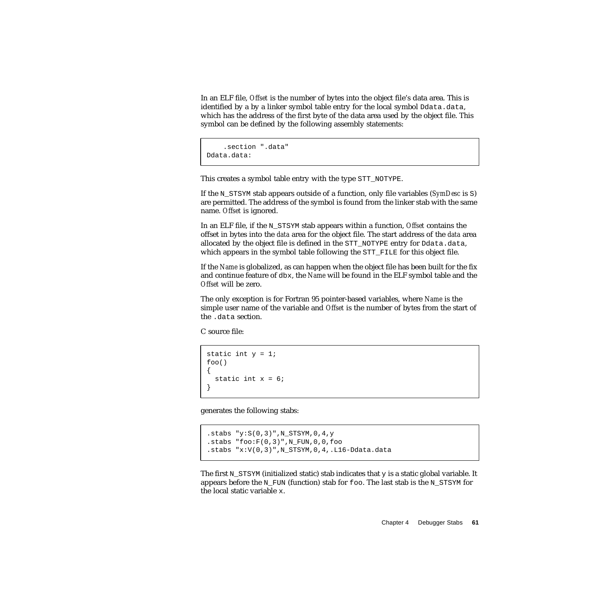In an ELF file, *Offset* is the number of bytes into the object file's data area. This is identified by a by a linker symbol table entry for the local symbol Ddata.data, which has the address of the first byte of the data area used by the object file. This symbol can be defined by the following assembly statements:

```
.section ".data"
Ddata.data:
```
This creates a symbol table entry with the type STT\_NOTYPE.

If the N\_STSYM stab appears outside of a function, only file variables (*SymDesc* is S) are permitted. The address of the symbol is found from the linker stab with the same name. *Offset* is ignored.

In an ELF file, if the N\_STSYM stab appears within a function, *Offset* contains the offset in bytes into the *data* area for the object file. The start address of the *data* area allocated by the object file is defined in the STT\_NOTYPE entry for Ddata.data, which appears in the symbol table following the STT\_FILE for this object file.

If the *Name* is globalized, as can happen when the object file has been built for the fix and continue feature of dbx, the *Name* will be found in the ELF symbol table and the *Offset* will be zero.

The only exception is for Fortran 95 pointer-based variables, where *Name* is the simple user name of the variable and *Offset* is the number of bytes from the start of the .data section.

C source file:

```
static int y = 1;
foo()
{
  static int x = 6;
}
```
generates the following stabs:

```
.stabs "y: S(0,3)", N_STSYM, 0, 4, y
.stabs "foo: F(0,3)", N_FUN, 0, 0, foo
.stabs "x:V(0,3)",N_STSYM,0,4,.L16-Ddata.data
```
The first N\_STSYM (initialized static) stab indicates that  $\gamma$  is a static global variable. It appears before the N\_FUN (function) stab for foo. The last stab is the N\_STSYM for the local static variable x.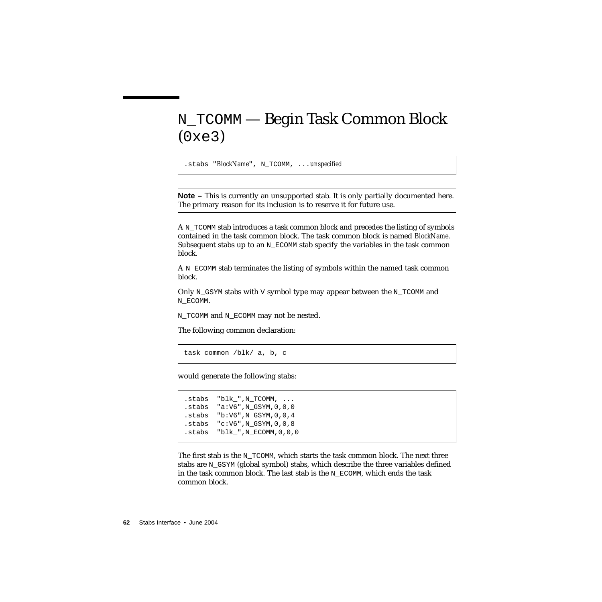# N\_TCOMM — Begin Task Common Block (0xe3)

.stabs "*BlockName*", N\_TCOMM, ...*unspecified*

**Note –** This is currently an unsupported stab. It is only partially documented here. The primary reason for its inclusion is to reserve it for future use.

A N\_TCOMM stab introduces a task common block and precedes the listing of symbols contained in the task common block. The task common block is named *BlockName*. Subsequent stabs up to an  $N$  ECOMM stab specify the variables in the task common block.

A N\_ECOMM stab terminates the listing of symbols within the named task common block.

Only N\_GSYM stabs with V symbol type may appear between the N\_TCOMM and N\_ECOMM.

N\_TCOMM and N\_ECOMM may not be nested.

The following common declaration:

task common /blk/ a, b, c

would generate the following stabs:

.stabs "blk ",N TCOMM, ... .stabs "a:V6",N\_GSYM,0,0,0 .stabs "b:V6",N\_GSYM,0,0,4 .stabs "c:V6",N\_GSYM,0,0,8  $.$ stabs "blk\_",  $N$  ECOMM,  $0, 0, 0$ 

The first stab is the N\_TCOMM, which starts the task common block. The next three stabs are  $N_G$  GSYM (global symbol) stabs, which describe the three variables defined in the task common block. The last stab is the  $N$  ECOMM, which ends the task common block.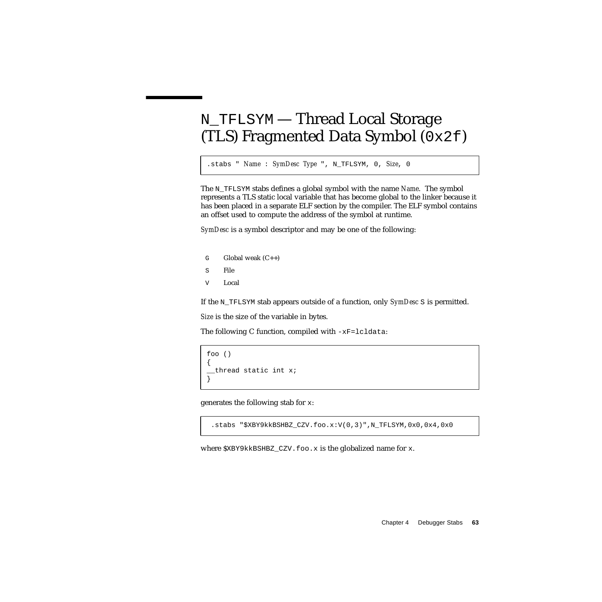# N\_TFLSYM — Thread Local Storage (TLS) Fragmented Data Symbol (0x2f)

.stabs " *Name* : *SymDesc Type* ", N\_TFLSYM, 0, *Size*, 0

The N\_TFLSYM stabs defines a global symbol with the name *Name*. The symbol represents a TLS static local variable that has become global to the linker because it has been placed in a separate ELF section by the compiler. The ELF symbol contains an offset used to compute the address of the symbol at runtime.

*SymDesc* is a symbol descriptor and may be one of the following:

- $G$  Global weak  $(C_{++})$
- S File
- V Local

If the N\_TFLSYM stab appears outside of a function, only *SymDesc* S is permitted.

*Size* is the size of the variable in bytes.

The following C function, compiled with  $-xF =$ lcldata:

```
foo ()
{
 _thread static int x;
}
```
generates the following stab for x:

.stabs "\$XBY9kkBSHBZ\_CZV.foo.x:V(0,3)",N\_TFLSYM,0x0,0x4,0x0

where  $$XBY9kkBSHBZ$  CZV.foo.x is the globalized name for x.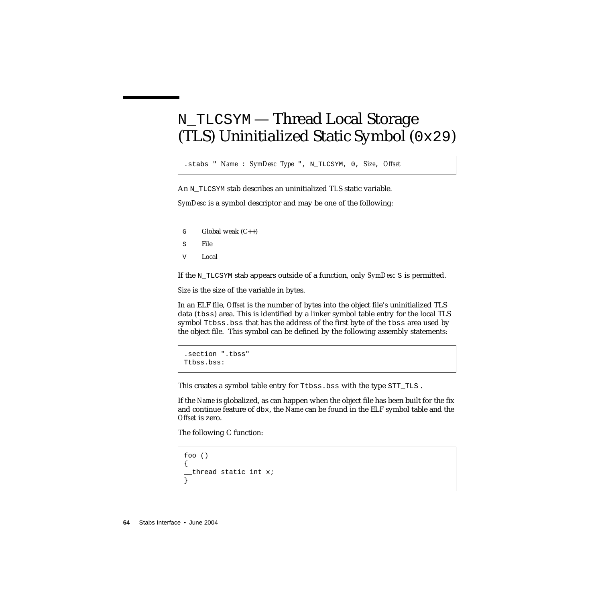# N\_TLCSYM — Thread Local Storage (TLS) Uninitialized Static Symbol (0x29)

.stabs " *Name* : *SymDesc Type* ", N\_TLCSYM, 0, *Size*, *Offset*

An N\_TLCSYM stab describes an uninitialized TLS static variable.

*SymDesc* is a symbol descriptor and may be one of the following:

- $G$  Global weak  $(C_{++})$
- S File
- V Local

If the N\_TLCSYM stab appears outside of a function, only *SymDesc* S is permitted.

*Size* is the size of the variable in bytes.

In an ELF file, *Offset* is the number of bytes into the object file's uninitialized TLS data (tbss) area. This is identified by a linker symbol table entry for the local TLS symbol Ttbss.bss that has the address of the first byte of the tbss area used by the object file. This symbol can be defined by the following assembly statements:

```
.section ".tbss"
Ttbss.bss:
```
This creates a symbol table entry for Ttbss.bss with the type STT\_TLS.

If the *Name* is globalized, as can happen when the object file has been built for the fix and continue feature of dbx, the *Name* can be found in the ELF symbol table and the *Offset* is zero.

The following C function:

```
foo ()
{
 thread static int x;
}
```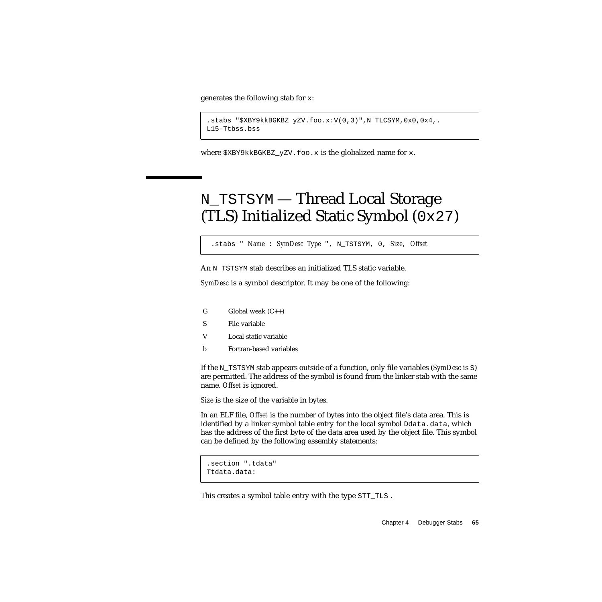generates the following stab for x:

```
.stabs "$XBY9kkBGKBZ_yZV.foo.x:V(0,3)",N_TLCSYM,0x0,0x4,.
L15-Ttbss.bss
```
where  $$XBY9kkBGKBZ_yZV.foo.x$  is the globalized name for x.

# N\_TSTSYM — Thread Local Storage (TLS) Initialized Static Symbol (0x27)

.stabs " *Name* : *SymDesc Type* ", N\_TSTSYM, 0, *Size*, *Offset*

An N\_TSTSYM stab describes an initialized TLS static variable.

*SymDesc* is a symbol descriptor. It may be one of the following:

- $G$  Global weak  $(C_{++})$
- S File variable
- V Local static variable
- b Fortran-based variables

If the N\_TSTSYM stab appears outside of a function, only file variables (*SymDesc* is S) are permitted. The address of the symbol is found from the linker stab with the same name. *Offset* is ignored.

*Size* is the size of the variable in bytes.

In an ELF file, *Offset* is the number of bytes into the object file's data area. This is identified by a linker symbol table entry for the local symbol Ddata.data, which has the address of the first byte of the data area used by the object file. This symbol can be defined by the following assembly statements:

```
.section ".tdata"
Ttdata.data:
```
This creates a symbol table entry with the type STT\_TLS .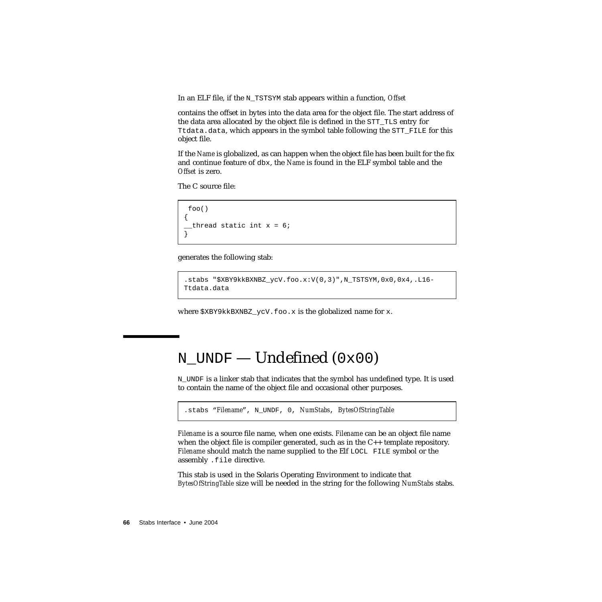In an ELF file, if the N\_TSTSYM stab appears within a function, *Offset*

contains the offset in bytes into the data area for the object file. The start address of the data area allocated by the object file is defined in the STT\_TLS entry for Ttdata.data, which appears in the symbol table following the STT\_FILE for this object file.

If the *Name* is globalized, as can happen when the object file has been built for the fix and continue feature of dbx, the *Name* is found in the ELF symbol table and the *Offset* is zero.

The C source file:

```
 foo()
{
 _thread static int x = 6;
}
```
generates the following stab:

```
.stabs "$XBY9kkBXNBZ_ycV.foo.x:V(0,3)",N_TSTSYM,0x0,0x4,.L16-
Ttdata.data
```
where  $$XBY9kkBXNBZ_ycV.foo.x$  is the globalized name for x.

# N\_UNDF — Undefined (0x00)

N\_UNDF is a linker stab that indicates that the symbol has undefined type. It is used to contain the name of the object file and occasional other purposes.

```
.stabs "Filename", N_UNDF, 0, NumStabs, BytesOfStringTable
```
*Filename* is a source file name, when one exists. *Filename* can be an object file name when the object file is compiler generated, such as in the C++ template repository. *Filename* should match the name supplied to the Elf LOCL FILE symbol or the assembly .file directive.

This stab is used in the Solaris Operating Environment to indicate that *BytesOfStringTable* size will be needed in the string for the following *NumStabs* stabs.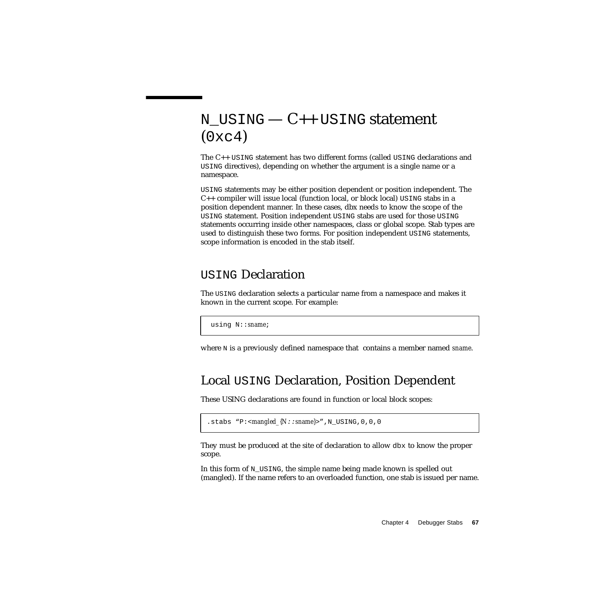# N USING  $-C++$  USING statement  $(0xc4)$

The C++ USING statement has two different forms (called USING declarations and USING directives), depending on whether the argument is a single name or a namespace.

USING statements may be either position dependent or position independent. The  $C_{++}$  compiler will issue local (function local, or block local) USING stabs in a position dependent manner. In these cases, dbx needs to know the scope of the USING statement. Position independent USING stabs are used for those USING statements occurring inside other namespaces, class or global scope. Stab types are used to distinguish these two forms. For position independent USING statements, scope information is encoded in the stab itself.

#### USING Declaration

The USING declaration selects a particular name from a namespace and makes it known in the current scope. For example:

using N::*sname*;

where N is a previously defined namespace that contains a member named *sname*.

### Local USING Declaration, Position Dependent

These USING declarations are found in function or local block scopes:

.stabs "P:<*mangled\_{N*::*sname}*>",N\_USING,0,0,0

They must be produced at the site of declaration to allow dbx to know the proper scope.

In this form of N\_USING, the simple name being made known is spelled out (mangled). If the name refers to an overloaded function, one stab is issued per name.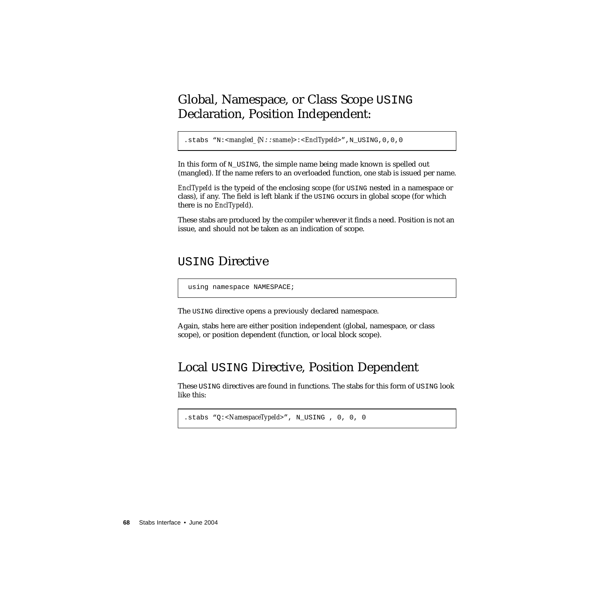#### Global, Namespace, or Class Scope USING Declaration, Position Independent:

.stabs "N:<*mangled\_{N*::*sname}*>:<*EnclTypeId*>",N\_USING,0,0,0

In this form of N\_USING, the simple name being made known is spelled out (mangled). If the name refers to an overloaded function, one stab is issued per name.

*EnclTypeId* is the typeid of the enclosing scope (for USING nested in a namespace or class), if any. The field is left blank if the USING occurs in global scope (for which there is no *EnclTypeId*).

These stabs are produced by the compiler wherever it finds a need. Position is not an issue, and should not be taken as an indication of scope.

#### USING Directive

using namespace NAMESPACE;

The USING directive opens a previously declared namespace.

Again, stabs here are either position independent (global, namespace, or class scope), or position dependent (function, or local block scope).

#### Local USING Directive, Position Dependent

These USING directives are found in functions. The stabs for this form of USING look like this:

```
.stabs "Q:<NamespaceTypeId>", N_USING , 0, 0, 0
```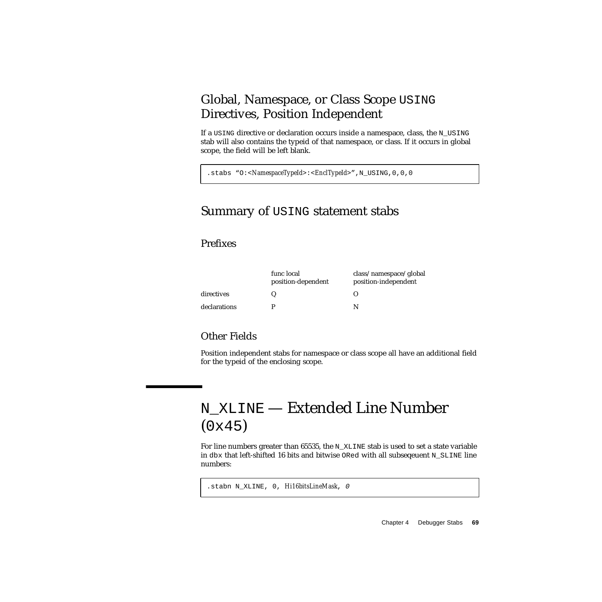### Global, Namespace, or Class Scope USING Directives, Position Independent

If a USING directive or declaration occurs inside a namespace, class, the N\_USING stab will also contains the typeid of that namespace, or class. If it occurs in global scope, the field will be left blank.

.stabs "O:<*NamespaceTypeId*>:<*EnclTypeId*>",N\_USING,0,0,0

#### Summary of USING statement stabs

#### Prefixes

|              | func local<br>position-dependent | class/namespace/global<br>position-independent |
|--------------|----------------------------------|------------------------------------------------|
| directives   |                                  |                                                |
| declarations |                                  |                                                |

#### Other Fields

Position independent stabs for namespace or class scope all have an additional field for the typeid of the enclosing scope.

# N\_XLINE — Extended Line Number (0x45)

For line numbers greater than  $65535$ , the N\_XLINE stab is used to set a state variable in dbx that left-shifted 16 bits and bitwise ORed with all subseqeuent N\_SLINE line numbers:

.stabn N\_XLINE, 0, *Hi16bitsLineMask*, 0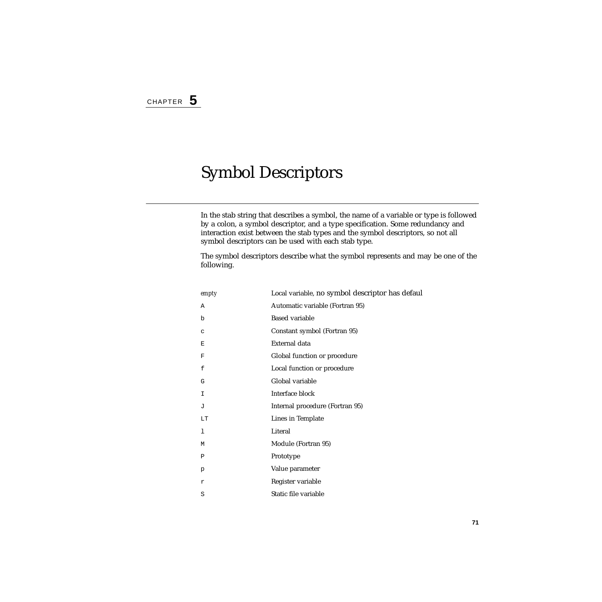# Symbol Descriptors

In the stab string that describes a symbol, the name of a variable or type is followed by a colon, a symbol descriptor, and a type specification. Some redundancy and interaction exist between the stab types and the symbol descriptors, so not all symbol descriptors can be used with each stab type.

The symbol descriptors describe what the symbol represents and may be one of the following.

| empty | Local variable, no symbol descriptor has defaul |
|-------|-------------------------------------------------|
| Α     | Automatic variable (Fortran 95)                 |
| b     | <b>Based variable</b>                           |
| C     | Constant symbol (Fortran 95)                    |
| Ε     | External data                                   |
| F     | Global function or procedure                    |
| f     | Local function or procedure                     |
| G     | Global variable                                 |
| I     | Interface block                                 |
| J     | Internal procedure (Fortran 95)                 |
| LT    | Lines in Template                               |
| 1     | Literal                                         |
| М     | Module (Fortran 95)                             |
| Ρ     | Prototype                                       |
| p     | Value parameter                                 |
| r     | Register variable                               |
| S     | Static file variable                            |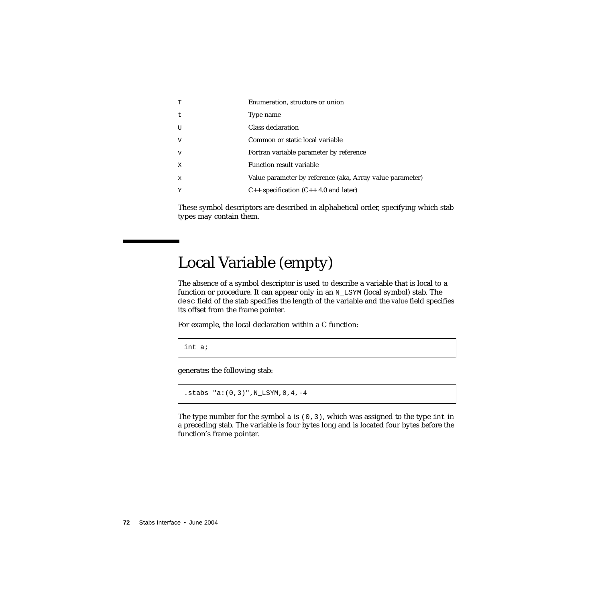| T            | Enumeration, structure or union                           |
|--------------|-----------------------------------------------------------|
| $\mathsf{t}$ | Type name                                                 |
| U            | Class declaration                                         |
| V            | Common or static local variable                           |
| $\mathbf v$  | Fortran variable parameter by reference                   |
| X            | Function result variable                                  |
| $\mathbf x$  | Value parameter by reference (aka, Array value parameter) |
| Y            | $C_{++}$ specification $(C_{++} 4.0$ and later)           |

These symbol descriptors are described in alphabetical order, specifying which stab types may contain them.

# Local Variable (empty)

The absence of a symbol descriptor is used to describe a variable that is local to a function or procedure. It can appear only in an  $N$  LSYM (local symbol) stab. The desc field of the stab specifies the length of the variable and the *value* field specifies its offset from the frame pointer.

For example, the local declaration within a C function:

int a;

generates the following stab:

```
.stabs "a:(0,3)", N_LSYM, 0,4,-4
```
The type number for the symbol a is  $(0,3)$ , which was assigned to the type int in a preceding stab. The variable is four bytes long and is located four bytes before the function's frame pointer.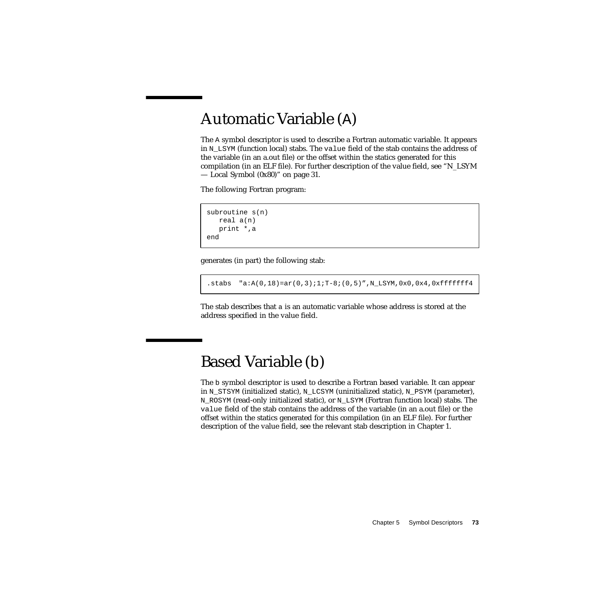# Automatic Variable (A)

The A symbol descriptor is used to describe a Fortran automatic variable. It appears in N\_LSYM (function local) stabs. The value field of the stab contains the address of the variable (in an a.out file) or the offset within the statics generated for this compilation (in an ELF file). For further description of the value field, see "N\_LSYM — Local Symbol (0x80)" on page 31.

The following Fortran program:

```
subroutine s(n)
  real a(n)
  print *,a
end
```
generates (in part) the following stab:

.stabs  $"a:A(0,18)=ar(0,3);1;T-8;(0,5)"$ , N\_LSYM, 0x0, 0x4, 0xffffffff4

The stab describes that a is an automatic variable whose address is stored at the address specified in the value field.

## Based Variable (b)

The b symbol descriptor is used to describe a Fortran based variable. It can appear in N\_STSYM (initialized static), N\_LCSYM (uninitialized static), N\_PSYM (parameter), N\_ROSYM (read-only initialized static), or N\_LSYM (Fortran function local) stabs. The value field of the stab contains the address of the variable (in an a.out file) or the offset within the statics generated for this compilation (in an ELF file). For further description of the value field, see the relevant stab description in Chapter 1.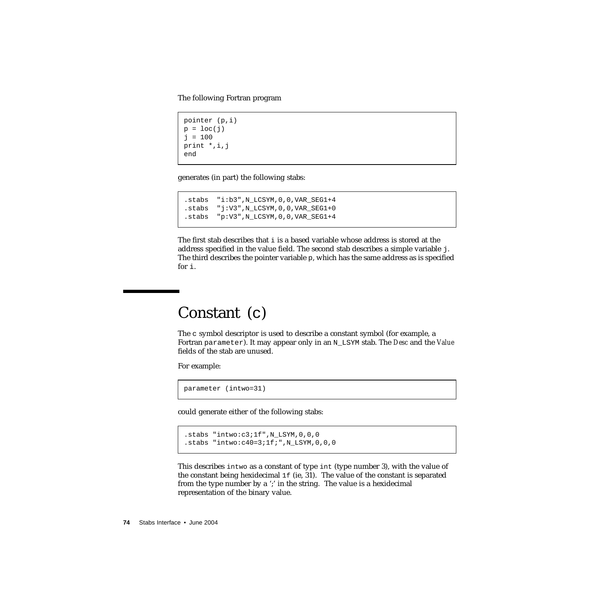The following Fortran program

```
pointer (p,i)
p = loc(j)j = 100print *,i,j
end
```
generates (in part) the following stabs:

```
.stabs "i:b3",N_LCSYM,0,0,VAR_SEG1+4
.stabs "j:V3",N_LCSYM,0,0,VAR_SEG1+0
.stabs "p:V3",N_LCSYM,0,0,VAR_SEG1+4
```
The first stab describes that  $\pm$  is a based variable whose address is stored at the address specified in the value field. The second stab describes a simple variable j. The third describes the pointer variable p, which has the same address as is specified for i.

## Constant (c)

The c symbol descriptor is used to describe a constant symbol (for example, a Fortran parameter). It may appear only in an N\_LSYM stab. The *Desc* and the *Value* fields of the stab are unused.

For example:

parameter (intwo=31)

could generate either of the following stabs:

```
.stabs "intwo:c3;1f",N_LSYM,0,0,0
.stabs "intwo:c40=3;1f;",N_LSYM,0,0,0
```
This describes intwo as a constant of type int (type number 3), with the value of the constant being hexidecimal  $1f$  (ie, 31). The value of the constant is separated from the type number by a ';' in the string. The value is a hexidecimal representation of the binary value.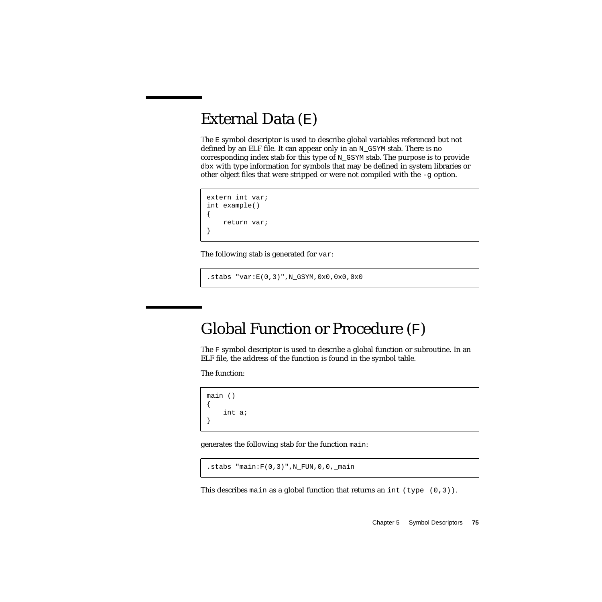## External Data (E)

The E symbol descriptor is used to describe global variables referenced but not defined by an ELF file. It can appear only in an N\_GSYM stab. There is no corresponding index stab for this type of  $N_G$ GSYM stab. The purpose is to provide dbx with type information for symbols that may be defined in system libraries or other object files that were stripped or were not compiled with the  $-q$  option.

```
extern int var;
int example()
{
    return var;
}
```
The following stab is generated for var:

```
.stabs "var:E(0,3)",N_GSYM,0x0,0x0,0x0
```
# Global Function or Procedure (F)

The F symbol descriptor is used to describe a global function or subroutine. In an ELF file, the address of the function is found in the symbol table.

The function:

```
main ()
{
     int a;
}
```
generates the following stab for the function main:

```
.stabs "main:F(0,3)", N_FUN, 0, 0, _main
```
This describes main as a global function that returns an int (type  $(0,3)$ ).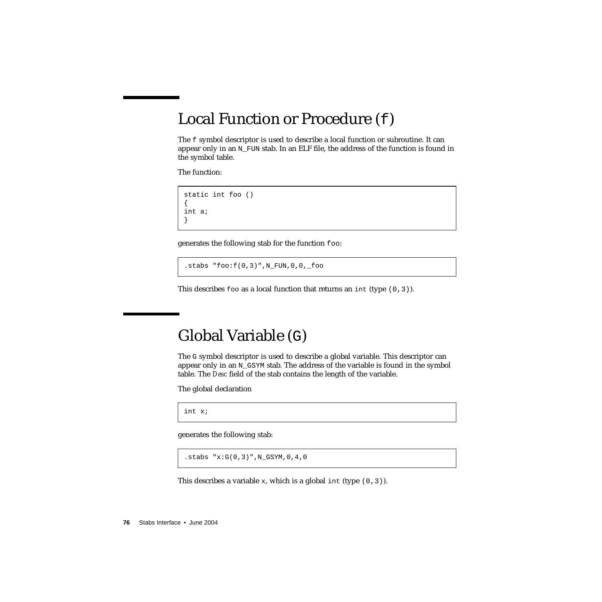## Local Function or Procedure (f)

The f symbol descriptor is used to describe a local function or subroutine. It can appear only in an  $N$  FUN stab. In an ELF file, the address of the function is found in the symbol table.

The function:

```
static int foo ()
{
int a;
}
```
generates the following stab for the function foo:

 $.$ stabs " $foo: f(0,3)$ ", N\_FUN,0,0,\_foo

This describes foo as a local function that returns an int (type  $(0,3)$ ).

### Global Variable (G)

The G symbol descriptor is used to describe a global variable. This descriptor can appear only in an N\_GSYM stab. The address of the variable is found in the symbol table. The *Desc* field of the stab contains the length of the variable.

The global declaration

int x;

generates the following stab:

```
.stabs "x:G(0,3)",N_GSYM,0,4,0
```
This describes a variable x, which is a global int (type  $(0,3)$ ).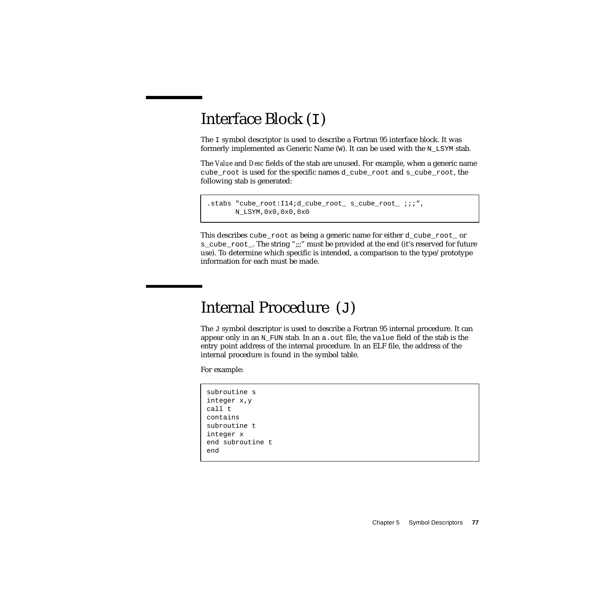# Interface Block (I)

The I symbol descriptor is used to describe a Fortran 95 interface block. It was formerly implemented as Generic Name  $(W)$ . It can be used with the N LSYM stab.

The *Value* and *Desc* fields of the stab are unused. For example, when a generic name cube root is used for the specific names d\_cube\_root and s\_cube\_root, the following stab is generated:

```
.stabs "cube_root:I14;d_cube_root_ s_cube_root_ ;;;",
      N_LSYM,0x0,0x0,0x0
```
This describes cube root as being a generic name for either d\_cube\_root\_ or s\_cube\_root\_. The string ";;;" must be provided at the end (it's reserved for future use). To determine which specific is intended, a comparison to the type/prototype information for each must be made.

## Internal Procedure (J)

The  $J$  symbol descriptor is used to describe a Fortran 95 internal procedure. It can appear only in an  $N$  FUN stab. In an a.out file, the value field of the stab is the entry point address of the internal procedure. In an ELF file, the address of the internal procedure is found in the symbol table.

For example:

```
subroutine s
integer x,y
call t
contains
subroutine t
integer x
end subroutine t
end
```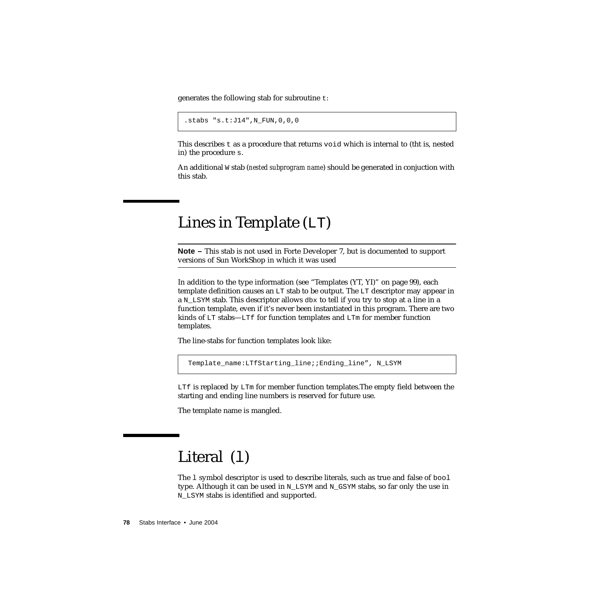generates the following stab for subroutine t:

```
.stabs "s.t:J14",N_FUN,0,0,0
```
This describes  $t$  as a procedure that returns void which is internal to (the is, nested in) the procedure s.

An additional W stab (*nested subprogram name*) should be generated in conjuction with this stab.

## <span id="page-77-0"></span>Lines in Template (LT)

**Note –** This stab is not used in Forte Developer 7, but is documented to support versions of Sun WorkShop in which it was used

In addition to the type information (see ["Templates \(YT, YI\)" on page 99](#page-98-0)), each template definition causes an LT stab to be output. The LT descriptor may appear in a  $N_{\text{L}}$  stab. This descriptor allows dbx to tell if you try to stop at a line in a function template, even if it's never been instantiated in this program. There are two kinds of  $LT$  stabs—LTf for function templates and  $LTm$  for member function templates.

The line-stabs for function templates look like:

Template name:LTfStarting line;;Ending line", N LSYM

LTf is replaced by LTm for member function templates. The empty field between the starting and ending line numbers is reserved for future use.

The template name is mangled.

# Literal (1)

The l symbol descriptor is used to describe literals, such as true and false of bool type. Although it can be used in  $N$  LSYM and  $N$  GSYM stabs, so far only the use in N\_LSYM stabs is identified and supported.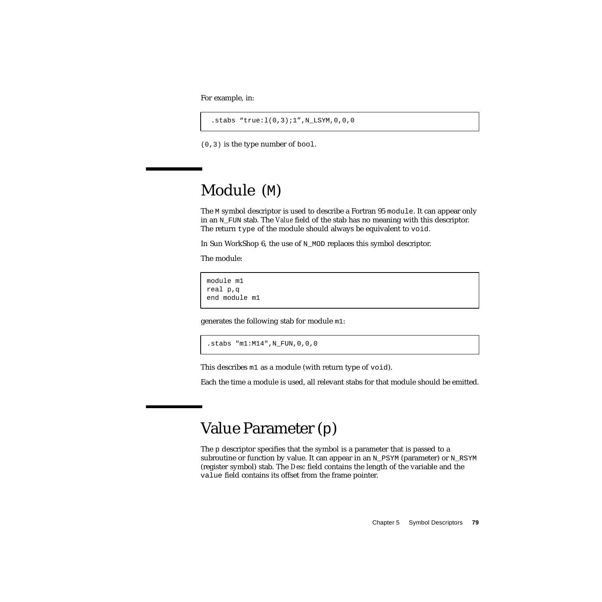For example, in:

.stabs "true:l(0,3);1",N\_LSYM,0,0,0

(0,3) is the type number of bool.

# Module (M)

The M symbol descriptor is used to describe a Fortran 95 module. It can appear only in an N\_FUN stab. The *Value* field of the stab has no meaning with this descriptor. The return type of the module should always be equivalent to void.

In Sun WorkShop 6, the use of N\_MOD replaces this symbol descriptor.

The module:

```
module m1
real p,q
end module m1
```
generates the following stab for module m1:

```
.stabs "m1:M14",N_FUN,0,0,0
```
This describes m1 as a module (with return type of void).

Each the time a module is used, all relevant stabs for that module should be emitted.

## Value Parameter (p)

The p descriptor specifies that the symbol is a parameter that is passed to a subroutine or function by value. It can appear in an N\_PSYM (parameter) or N\_RSYM (register symbol) stab. The *Desc* field contains the length of the variable and the value field contains its offset from the frame pointer.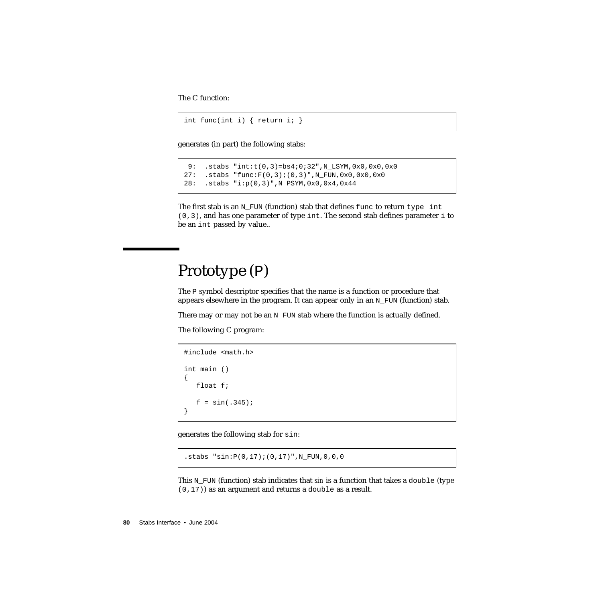The C function:

```
int func(int i) { return i; }
```
generates (in part) the following stabs:

```
 9: .stabs "int:t(0,3)=bs4;0;32",N_LSYM,0x0,0x0,0x0
27: .stabs "func:F(0,3);(0,3)",N_FUN,0x0,0x0,0x0
28: .stabs "i:p(0,3)",N_PSYM,0x0,0x4,0x44
```
The first stab is an  $N_FUN$  (function) stab that defines func to return type int  $(0,3)$ , and has one parameter of type int. The second stab defines parameter i to be an int passed by value..

### Prototype (P)

The P symbol descriptor specifies that the name is a function or procedure that appears elsewhere in the program. It can appear only in an  $N_FUN$  (function) stab.

There may or may not be an  $N_FUN$  stab where the function is actually defined.

The following C program:

```
#include <math.h>
int main ()
{
   float f;
   f = \sin(.345);
}
```
generates the following stab for sin:

```
.stabs "sin:P(0,17);(0,17)",N_FUN,0,0,0
```
This N\_FUN (function) stab indicates that *sin* is a function that takes a double (type (0,17)) as an argument and returns a double as a result.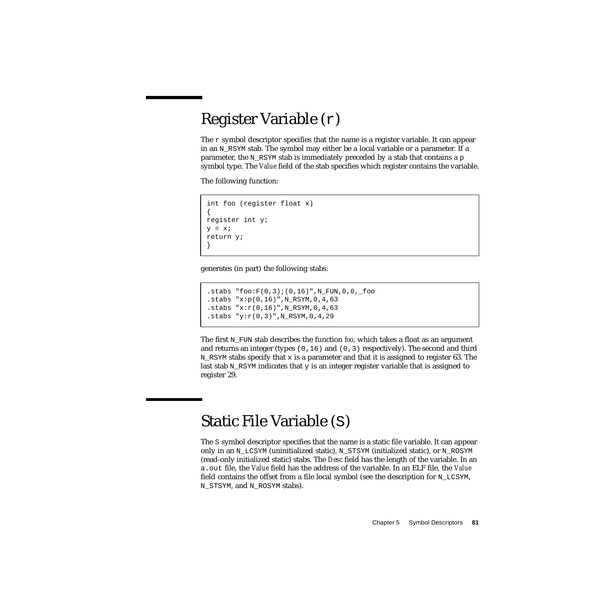## Register Variable (r)

The  $r$  symbol descriptor specifies that the name is a register variable. It can appear in an  $N$  RSYM stab. The symbol may either be a local variable or a parameter. If a parameter, the N\_RSYM stab is immediately preceded by a stab that contains a p symbol type. The *Value* field of the stab specifies which register contains the variable.

The following function:

```
int foo (register float x)
{
register int y;
y = x;return y;
}
```
generates (in part) the following stabs:

```
.stabs "foo:F(0,3);(0,16)",N_FUN,0,0,_foo
.stabs "x:p(0,16)",N_RSYM,0,4,63
.stabs "x: r(0,16)", N_RSYM, 0, 4, 63
.stabs "y:r(0,3)",N_RSYM,0,4,29
```
The first N<sub>FUN</sub> stab describes the function *foo*, which takes a float as an argument and returns an integer (types  $(0,16)$  and  $(0,3)$  respectively). The second and third N RSYM stabs specify that x is a parameter and that it is assigned to register 63. The last stab N\_RSYM indicates that y is an integer register variable that is assigned to register 29.

## Static File Variable (S)

The S symbol descriptor specifies that the name is a static file variable. It can appear only in an N\_LCSYM (uninitialized static), N\_STSYM (initialized static), or N\_ROSYM (read-only initialized static) stabs. The *Desc* field has the length of the variable. In an a.out file, the *Value* field has the address of the variable. In an ELF file, the *Value* field contains the offset from a file local symbol (see the description for N\_LCSYM, N\_STSYM, and N\_ROSYM stabs).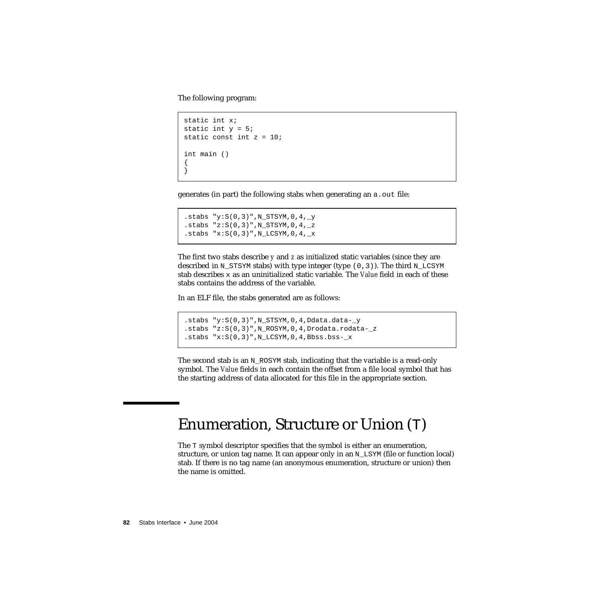The following program:

```
static int x;
static int y = 5;
static const int z = 10;
int main ()
{
}
```
generates (in part) the following stabs when generating an a.out file:

```
.stabs "y: S(0,3)", N_STSYM, 0, 4, _y
.stabs "z:S(0,3)",N_STSYM,0,4,_z
.stabs "x:S(0,3)", N LCSYM, 0,4, x
```
The first two stabs describe *y* and *z* as initialized static variables (since they are described in N\_STSYM stabs) with type integer (type  $(0,3)$ ). The third N\_LCSYM stab describes x as an uninitialized static variable. The *Value* field in each of these stabs contains the address of the variable.

In an ELF file, the stabs generated are as follows:

```
.stabs "y:S(0,3)", N_STSYM, 0, 4, Ddata.data-_y
.stabs "z:S(0,3)", N_ROSYM, 0, 4, Drodata.rodata-_z
.stabs "x: S(0,3)", N_LCSYM, 0, 4, Bbss.bss-_x
```
The second stab is an N\_ROSYM stab, indicating that the variable is a read-only symbol. The *Value* fields in each contain the offset from a file local symbol that has the starting address of data allocated for this file in the appropriate section.

# Enumeration, Structure or Union (T)

The T symbol descriptor specifies that the symbol is either an enumeration, structure, or union tag name. It can appear only in an N\_LSYM (file or function local) stab. If there is no tag name (an anonymous enumeration, structure or union) then the name is omitted.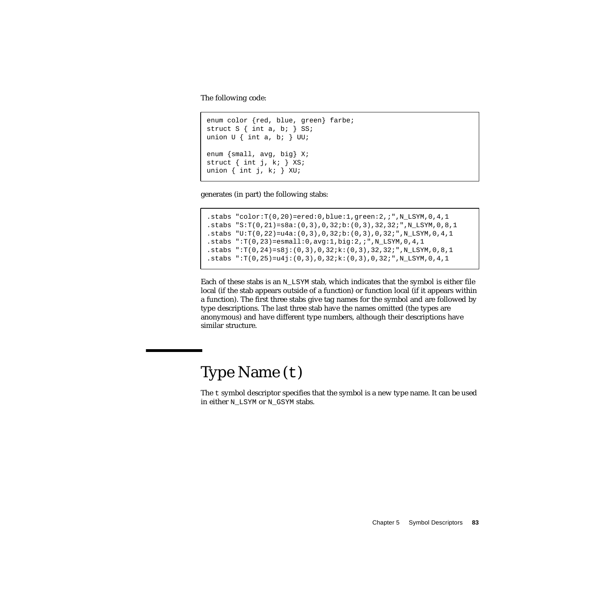The following code:

```
enum color {red, blue, green} farbe;
struct S \{ int a, b \} S;
union U { int a, b; } UU;
enum {small, avg, big} X;
struct { int j, k; } XS;
union \{ int j, k; \} XU;
```
generates (in part) the following stabs:

```
.stabs "color:T(0, 20)=ered:0,blue:1,green:2,;",N_LSYM,0, 4, 1.stabs "S:T(0,21)=s8a:(0,3),0,32;b:(0,3),32,32;",N_LSYM,0,8,1
.stabs "U:T(0.22)=u4a:(0.3),0,32;b:(0.3),0,32;",N LSYM,0,4,1
.stabs ":T(0,23)=esmall:0,avg:1,big:2,;",N_LSYM,0,4,1
.stabs ":T(0,24)=s8j:(0,3),0,32jk:(0,3),32,32j",N_LSYM,0,8,1.stabs ":T(0,25)=u4j:(0,3),0,32;k:(0,3),0,32;",N LSYM,0,4,1
```
Each of these stabs is an  $N$  LSYM stab, which indicates that the symbol is either file local (if the stab appears outside of a function) or function local (if it appears within a function). The first three stabs give tag names for the symbol and are followed by type descriptions. The last three stab have the names omitted (the types are anonymous) and have different type numbers, although their descriptions have similar structure.

# Type Name (t)

The t symbol descriptor specifies that the symbol is a new type name. It can be used in either N\_LSYM or N\_GSYM stabs.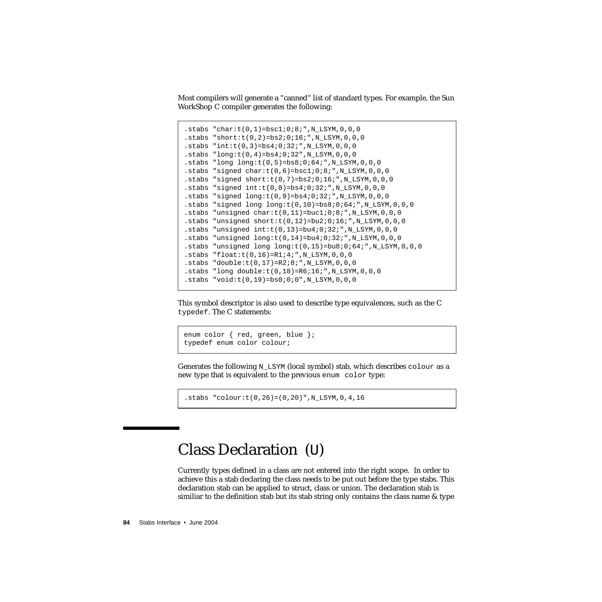Most compilers will generate a "canned" list of standard types. For example, the Sun WorkShop C compiler generates the following:

```
.stabs "char:t(0,1)=bsc1:0:8:", N_LSYM, 0, 0, 0
.stabs "short:t(0, 2)=bs2;0;16;",N LSYM,0,0,0
.stabs "int:t(0,3)=bs4:0:32:", N_LSYM,0,0,0
.stabs "long:t(0,4)=bs4:0:32", N_LSYM, 0, 0, 0
.stabs "long long:t(0,5)=bs8i0i64i", N LSYM, 0, 0, 0
.stabs "signed char: t(0,6) = bsc1:0:8: ",N_LSYM,0,0,0
.stabs "signed short:t(0,7) = bs2:0:16: ",N_LSYM,0,0,0
.stabs "signed int:(0,8)=bs4:0:32:", N_LSYM, 0, 0, 0
.stabs "signed long:t(0,9)=bs4:0:32: ",N_LSYM,0,0,0
.stabs "signed long long:t(0,10)=bs8i0i64i", N_LSYM, 0, 0, 0
.stabs "unsigned char:t(0,11)=buc1;0;8;",N LSYM,0,0,0
.stabs "unsigned short:t(0,12)=bu2;0;16;",N_LSYM,0,0,0
.stabs "unsigned int:(0,13)=bu4:0:32:", N_LSYM, 0, 0, 0
.stabs "unsigned long:t(0,14)=bu4:0:32:", N LSYM, 0,0,0.stabs "unsigned long long:t(0,15)=bu8;0;64;",N_LSYM,0,0,0
.stabs "float:t(0,16)=R1;4;",N_LSYM,0,0,0
.stabs "double:t(0,17)=R2;8;",N LSYM,0,0,0
.stabs "long double:t(0,18)=R6;16;",N_LSYM,0,0,0
.stabs "void: t(0,19) = b s0:0:0", N_LSYM, 0, 0, 0
```
This symbol descriptor is also used to describe type equivalences, such as the C typedef. The C statements:

```
enum color { red, green, blue };
typedef enum color colour;
```
Generates the following  $N$  LSYM (local symbol) stab, which describes colour as a new type that is equivalent to the previous enum color type:

 $.$ stabs "colour: $t(0,26) = (0,20)$ ", N LSYM, 0, 4, 16

## Class Declaration (U)

Currently types defined in a class are not entered into the right scope. In order to achieve this a stab declaring the class needs to be put out before the type stabs. This declaration stab can be applied to struct, class or union. The declaration stab is similiar to the definition stab but its stab string only contains the class name & type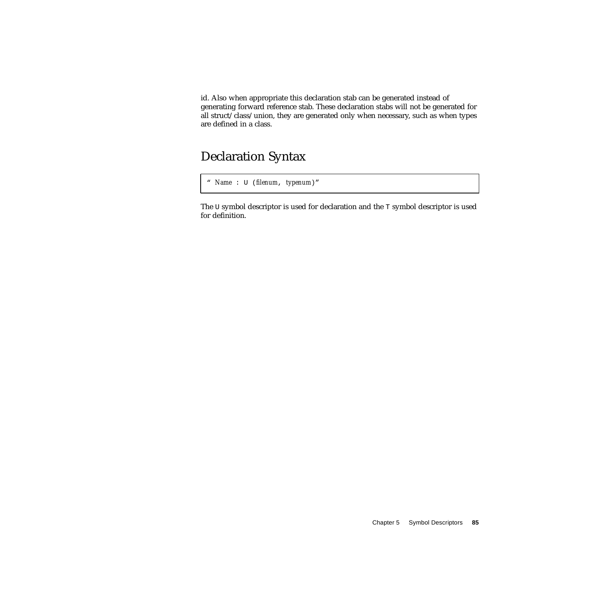id. Also when appropriate this declaration stab can be generated instead of generating forward reference stab. These declaration stabs will not be generated for all struct/class/union, they are generated only when necessary, such as when types are defined in a class.

### Declaration Syntax

```
" Name : U (filenum, typenum)"
```
The U symbol descriptor is used for declaration and the T symbol descriptor is used for definition.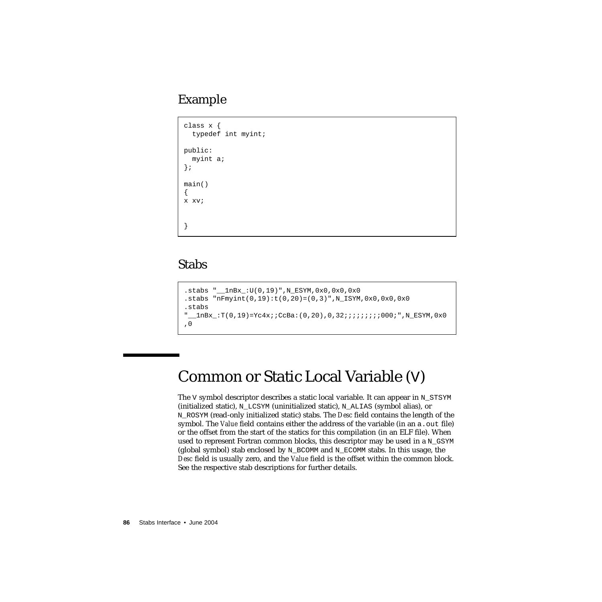### Example

```
class x {
   typedef int myint;
public:
   myint a;
};
main()
{
x xv;
}
```
### Stabs

```
.stabs "__1nBx_:U(0,19)",N_ESYM,0x0,0x0,0x0
.stabs "nFmyint(0,19):t(0,20)=(0,3)",N_ISYM,0x0,0x0,0x0.stabs
" lnBx:T(0,19)=Yc4x;;CcBa:(0,20),0,32;;;;;;;;;;000;",N ESYM,0x0
,0
```
# Common or Static Local Variable (V)

The V symbol descriptor describes a static local variable. It can appear in  $N$  STSYM  $(i\nu)$  (initialized static), N\_LCSYM (uninitialized static), N\_ALIAS (symbol alias), or N\_ROSYM (read-only initialized static) stabs. The *Desc* field contains the length of the symbol. The *Value* field contains either the address of the variable (in an a. out file) or the offset from the start of the statics for this compilation (in an ELF file). When used to represent Fortran common blocks, this descriptor may be used in a N\_GSYM (global symbol) stab enclosed by N\_BCOMM and N\_ECOMM stabs. In this usage, the *Desc* field is usually zero, and the *Value* field is the offset within the common block. See the respective stab descriptions for further details.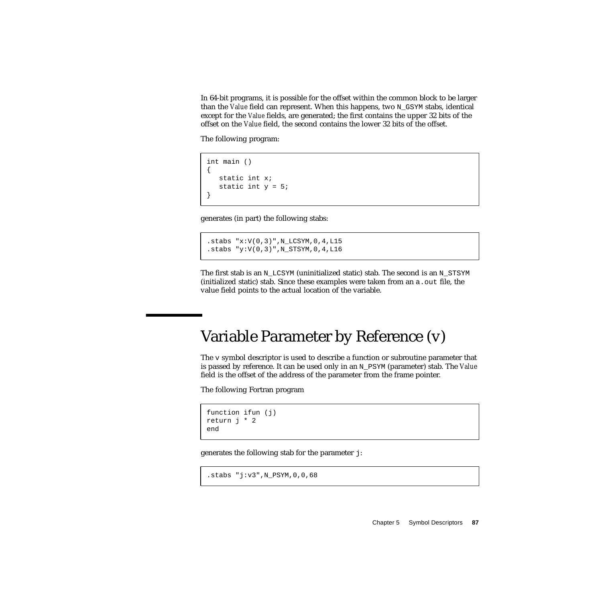In 64-bit programs, it is possible for the offset within the common block to be larger than the *Value* field can represent. When this happens, two N\_GSYM stabs, identical except for the *Value* fields, are generated; the first contains the upper 32 bits of the offset on the *Value* field, the second contains the lower 32 bits of the offset.

The following program:

```
int main ()
{
   static int x;
   static int y = 5;
}
```
generates (in part) the following stabs:

```
.stabs "x:V(0,3)",N_LCSYM,0,4,L15
.stabs "y:V(0,3)",N_STSYM,0,4,L16
```
The first stab is an N\_LCSYM (uninitialized static) stab. The second is an N\_STSYM (initialized static) stab. Since these examples were taken from an a.out file, the value field points to the actual location of the variable.

# Variable Parameter by Reference (v)

The  $\nu$  symbol descriptor is used to describe a function or subroutine parameter that is passed by reference. It can be used only in an N\_PSYM (parameter) stab. The *Value* field is the offset of the address of the parameter from the frame pointer.

The following Fortran program

```
function ifun (j)
return j * 2
end
```
generates the following stab for the parameter j:

```
.stabs "j:v3",N_PSYM,0,0,68
```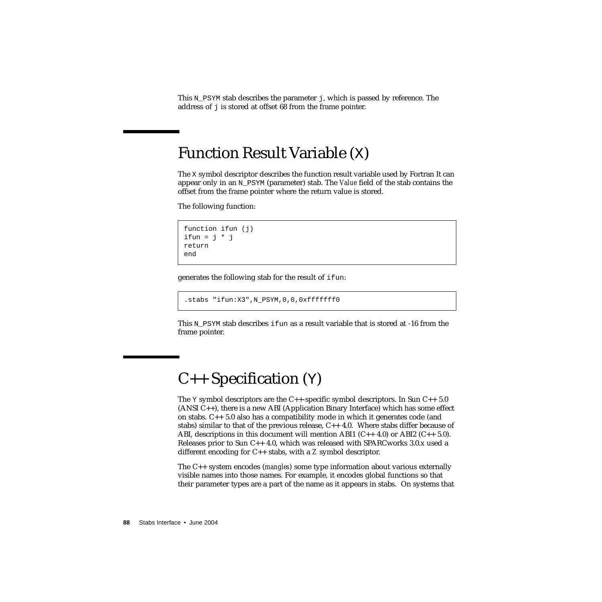This N\_PSYM stab describes the parameter j, which is passed by reference. The address of  $\dot{\tau}$  is stored at offset 68 from the frame pointer.

## Function Result Variable (X)

The X symbol descriptor describes the function result variable used by Fortran It can appear only in an N\_PSYM (parameter) stab. The *Value* field of the stab contains the offset from the frame pointer where the return value is stored.

The following function:

```
function ifun (i)
ifun = i * jreturn
end
```
generates the following stab for the result of ifun:

```
.stabs "ifun:X3",N_PSYM,0,0,0xfffffff0
```
This  $N$  PSYM stab describes ifun as a result variable that is stored at -16 from the frame pointer.

# $C_{++}$  Specification  $(Y)$

The  $Y$  symbol descriptors are the C++-specific symbol descriptors. In Sun C++ 5.0 (ANSI C++), there is a new ABI (Application Binary Interface) which has some effect on stabs. C++ 5.0 also has a compatibility mode in which it generates code (and stabs) similar to that of the previous release,  $C_{++}$  4.0. Where stabs differ because of ABI, descriptions in this document will mention ABI1  $(C_{++} 4.0)$  or ABI2  $(C_{++} 5.0)$ . Releases prior to Sun  $C_{++}$  4.0, which was released with SPARCworks 3.0.x used a different encoding for C++ stabs, with a *Z* symbol descriptor.

The C++ system encodes (*mangles*) some type information about various externally visible names into those names. For example, it encodes global functions so that their parameter types are a part of the name as it appears in stabs. On systems that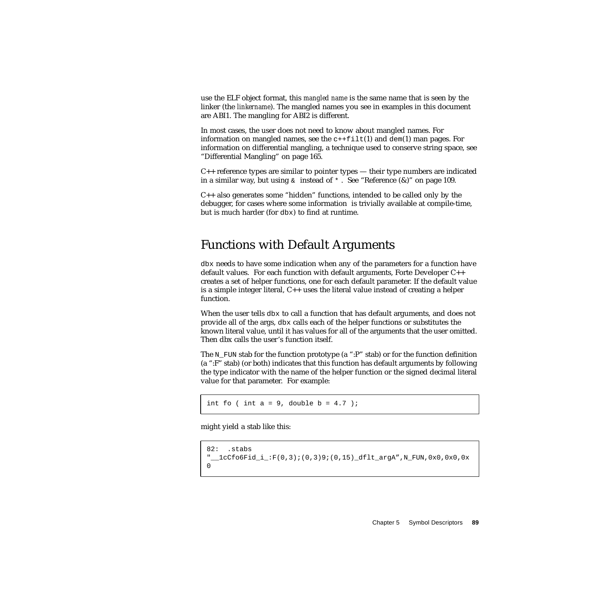use the ELF object format, this *mangled name* is the same name that is seen by the linker (the *linkername*). The mangled names you see in examples in this document are ABI1. The mangling for ABI2 is different.

In most cases, the user does not need to know about mangled names. For information on mangled names, see the  $c++filt(1)$  and dem(1) man pages. For information on differential mangling, a technique used to conserve string space, see ["Differential Mangling" on page 165.](#page-164-0)

 $C_{++}$  reference types are similar to pointer types — their type numbers are indicated in a similar way, but using  $\&$  instead of  $*$ . See "Reference (&)" on page 109.

C++ also generates some "hidden" functions, intended to be called only by the debugger, for cases where some information is trivially available at compile-time, but is much harder (for dbx) to find at runtime.

### Functions with Default Arguments

dbx needs to have some indication when any of the parameters for a function have default values. For each function with default arguments, Forte Developer C++ creates a set of helper functions, one for each default parameter. If the default value is a simple integer literal, C++ uses the literal value instead of creating a helper function.

When the user tells dbx to call a function that has default arguments, and does not provide all of the args, dbx calls each of the helper functions or substitutes the known literal value, until it has values for all of the arguments that the user omitted. Then dbx calls the user's function itself.

The N\_FUN stab for the function prototype (a ":P" stab) or for the function definition (a ":F" stab) (or both) indicates that this function has default arguments by following the type indicator with the name of the helper function or the signed decimal literal value for that parameter. For example:

int fo ( int  $a = 9$ , double  $b = 4.7$  );

might yield a stab like this:

```
82: .stabs
"__1cCfo6Fid_i_:F(0,3);(0,3)9;(0,15)_dflt_argA",N_FUN,0x0,0x0,0x
\Omega
```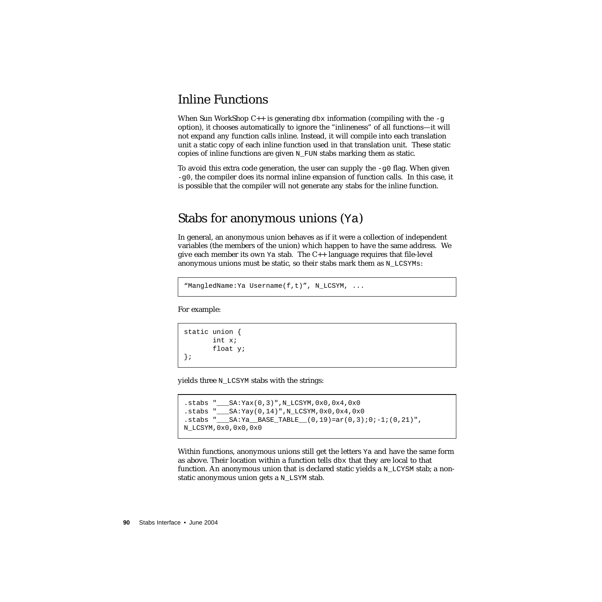### Inline Functions

When Sun WorkShop  $C_{++}$  is generating dbx information (compiling with the  $-g$ option), it chooses automatically to ignore the "inlineness" of all functions—it will not expand any function calls inline. Instead, it will compile into each translation unit a static copy of each inline function used in that translation unit. These static copies of inline functions are given N\_FUN stabs marking them as static.

To avoid this extra code generation, the user can supply the  $-\alpha$ <sup>0</sup> flag. When given  $-q0$ , the compiler does its normal inline expansion of function calls. In this case, it is possible that the compiler will not generate any stabs for the inline function.

#### Stabs for anonymous unions (Ya)

In general, an anonymous union behaves as if it were a collection of independent variables (the members of the union) which happen to have the same address. We give each member its own Ya stab. The C++ language requires that file-level anonymous unions must be static, so their stabs mark them as N\_LCSYMs:

"MangledName:Ya Username(f,t)", N\_LCSYM, ...

For example:

```
static union {
       int x;
       float y;
};
```
yields three N\_LCSYM stabs with the strings:

```
.stabs "___SA:Yax(0,3)",N_LCSYM,0x0,0x4,0x0
.stabs "___SA:Yay(0,14)",N_LCSYM,0x0,0x4,0x0
.stabs "___SA:Ya__BASE_TABLE__(0,19)=ar(0,3);0;-1;(0,21)",
N_LCSYM,0x0,0x0,0x0
```
Within functions, anonymous unions still get the letters Ya and have the same form as above. Their location within a function tells dbx that they are local to that function. An anonymous union that is declared static yields a  $N$  LCYSM stab; a nonstatic anonymous union gets a N\_LSYM stab.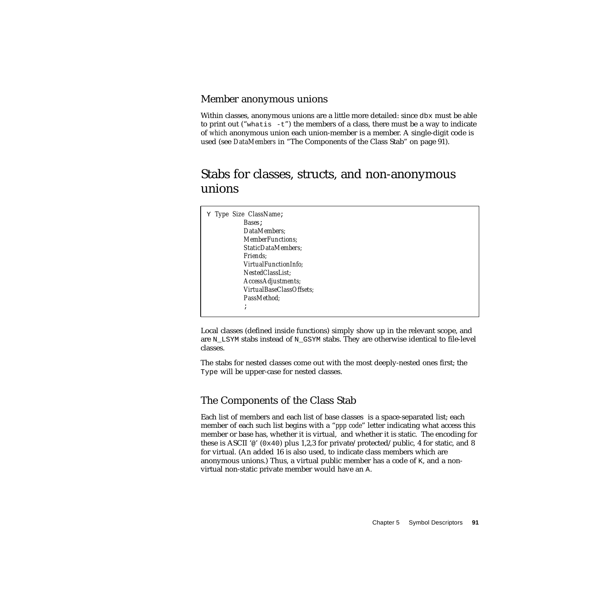#### Member anonymous unions

Within classes, anonymous unions are a little more detailed: since dbx must be able to print out ("what is  $-t$ ") the members of a class, there must be a way to indicate of *which* anonymous union each union-member is a member. A single-digit code is used (see *DataMembers* in ["The Components of the Class Stab" on page 91\)](#page-90-0).

### Stabs for classes, structs, and non-anonymous unions

| Y Type Size ClassName:    |  |  |
|---------------------------|--|--|
| Bases ;                   |  |  |
| DataMembers:              |  |  |
| <b>MemberFunctions</b> ;  |  |  |
| <b>StaticDataMembers:</b> |  |  |
| <i>Friends:</i>           |  |  |
| VirtualFunctionInfo:      |  |  |
| NestedClassList:          |  |  |
| AccessAdjustments;        |  |  |
| VirtualBaseClassOffsets;  |  |  |
| PassMethod:               |  |  |
| $\cdot$<br>$\mathbf{r}$   |  |  |
|                           |  |  |

Local classes (defined inside functions) simply show up in the relevant scope, and are N\_LSYM stabs instead of N\_GSYM stabs. They are otherwise identical to file-level classes.

The stabs for nested classes come out with the most deeply-nested ones first; the Type will be upper-case for nested classes.

#### <span id="page-90-0"></span>The Components of the Class Stab

Each list of members and each list of base classes is a space-separated list; each member of each such list begins with a "*ppp code*" letter indicating what access this member or base has, whether it is virtual, and whether it is static. The encoding for these is ASCII ' $\omega$ ' (0x40) plus 1,2,3 for private/protected/public, 4 for static, and 8 for virtual. (An added 16 is also used, to indicate class members which are anonymous unions.) Thus, a virtual public member has a code of K, and a nonvirtual non-static private member would have an A.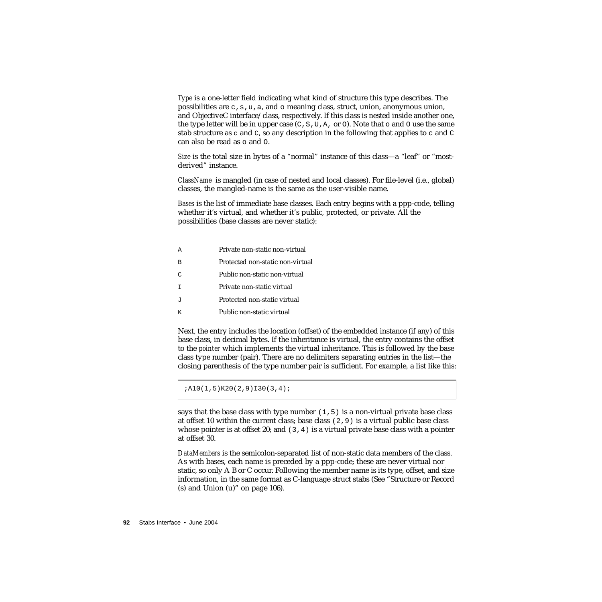*Type* is a one-letter field indicating what kind of structure this type describes. The possibilities are  $\sigma$ ,  $\sigma$ ,  $\mu$ ,  $\alpha$ , and  $\sigma$  meaning class, struct, union, anonymous union, and ObjectiveC interface/class, respectively. If this class is nested inside another one, the type letter will be in upper case  $(C, S, U, A, \text{or } O)$ . Note that  $\circ$  and  $O$  use the same stab structure as c and C, so any description in the following that applies to c and  $\sigma$ can also be read as o and O.

*Size* is the total size in bytes of a "normal" instance of this class—a "leaf" or "mostderived" instance.

*ClassName* is mangled (in case of nested and local classes). For file-level (i.e., global) classes, the mangled-name is the same as the user-visible name.

*Bases* is the list of immediate base classes. Each entry begins with a ppp-code, telling whether it's virtual, and whether it's public, protected, or private. All the possibilities (base classes are never static):

A Private non-static non-virtual B Protected non-static non-virtual C Public non-static non-virtual I Private non-static virtual J Protected non-static virtual K Public non-static virtual

Next, the entry includes the location (offset) of the embedded instance (if any) of this base class, in decimal bytes. If the inheritance is virtual, the entry contains the offset to the *pointer* which implements the virtual inheritance. This is followed by the base class type number (pair). There are no delimiters separating entries in the list—the closing parenthesis of the type number pair is sufficient. For example, a list like this:

;A10(1,5)K20(2,9)I30(3,4);

says that the base class with type number  $(1,5)$  is a non-virtual private base class at offset 10 within the current class; base class  $(2,9)$  is a virtual public base class whose pointer is at offset 20; and  $(3,4)$  is a virtual private base class with a pointer at offset 30.

*DataMembers* is the semicolon-separated list of non-static data members of the class. As with bases, each name is preceded by a ppp-code; these are never virtual nor static, so only A B or C occur. Following the member name is its type, offset, and size information, in the same format as C-language struct stabs (See "Structure or Record  $(s)$  and Union  $(u)$ " on page 106).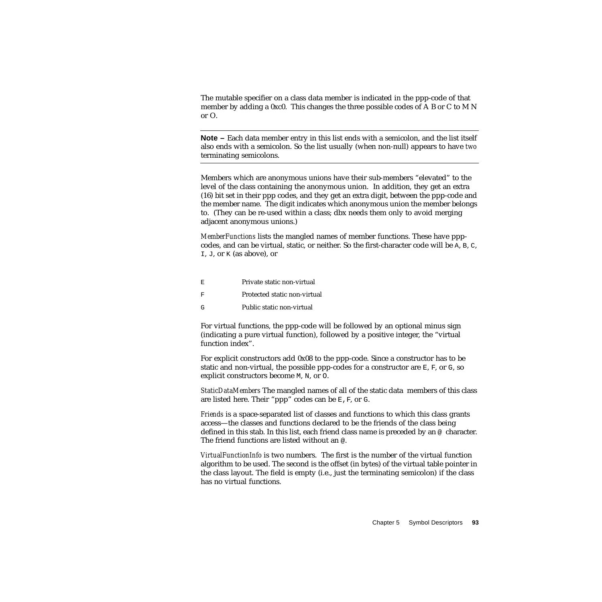The mutable specifier on a class data member is indicated in the ppp-code of that member by adding a 0xc0. This changes the three possible codes of A B or C to M N or O.

**Note –** Each data member entry in this list ends with a semicolon, and the list itself also ends with a semicolon. So the list usually (when non-null) appears to have *two* terminating semicolons.

Members which are anonymous unions have their sub-members "elevated" to the level of the class containing the anonymous union. In addition, they get an extra (16) bit set in their ppp codes, and they get an extra digit, between the ppp-code and the member name. The digit indicates which anonymous union the member belongs to. (They can be re-used within a class; dbx needs them only to avoid merging adjacent anonymous unions.)

*MemberFunctions* lists the mangled names of member functions. These have pppcodes, and can be virtual, static, or neither. So the first-character code will be A, B, C, I, J, or K (as above), or

E Private static non-virtual F Protected static non-virtual G Public static non-virtual

For virtual functions, the ppp-code will be followed by an optional minus sign (indicating a pure virtual function), followed by a positive integer, the "virtual function index".

For explicit constructors add 0x08 to the ppp-code. Since a constructor has to be static and non-virtual, the possible ppp-codes for a constructor are  $E$ ,  $F$ , or  $G$ , so explicit constructors become M, N, or O.

*StaticDataMembers* The mangled names of all of the static data members of this class are listed here. Their "ppp" codes can be  $E$ ,  $F$ , or  $G$ .

*Friends* is a space-separated list of classes and functions to which this class grants access—the classes and functions declared to be the friends of the class being defined in this stab. In this list, each friend class name is preceded by an @ character. The friend functions are listed without an @.

*VirtualFunctionInfo* is two numbers. The first is the number of the virtual function algorithm to be used. The second is the offset (in bytes) of the virtual table pointer in the class layout. The field is empty (i.e., just the terminating semicolon) if the class has no virtual functions.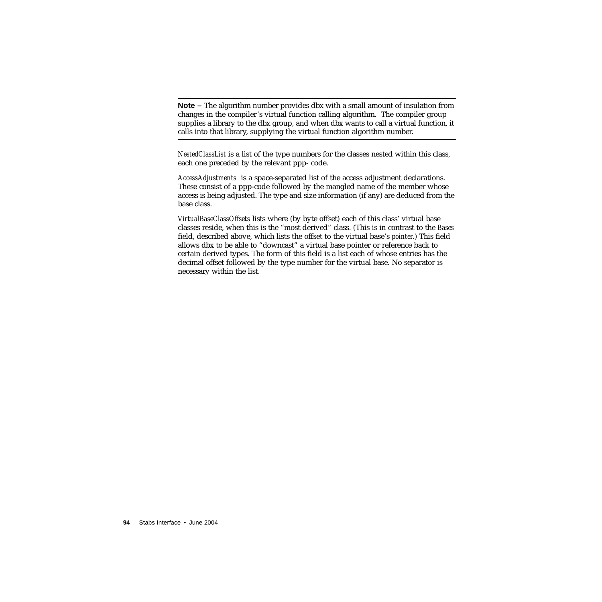**Note –** The algorithm number provides dbx with a small amount of insulation from changes in the compiler's virtual function calling algorithm. The compiler group supplies a library to the dbx group, and when dbx wants to call a virtual function, it calls into that library, supplying the virtual function algorithm number.

*NestedClassList* is a list of the type numbers for the classes nested within this class, each one preceded by the relevant ppp- code.

*AccessAdjustments* is a space-separated list of the access adjustment declarations. These consist of a ppp-code followed by the mangled name of the member whose access is being adjusted. The type and size information (if any) are deduced from the base class.

*VirtualBaseClassOffsets* lists where (by byte offset) each of this class' virtual base classes reside, when this is the "most derived" class. (This is in contrast to the *Bases* field, described above, which lists the offset to the virtual base's *pointer*.) This field allows dbx to be able to "downcast" a virtual base pointer or reference back to certain derived types. The form of this field is a list each of whose entries has the decimal offset followed by the type number for the virtual base. No separator is necessary within the list.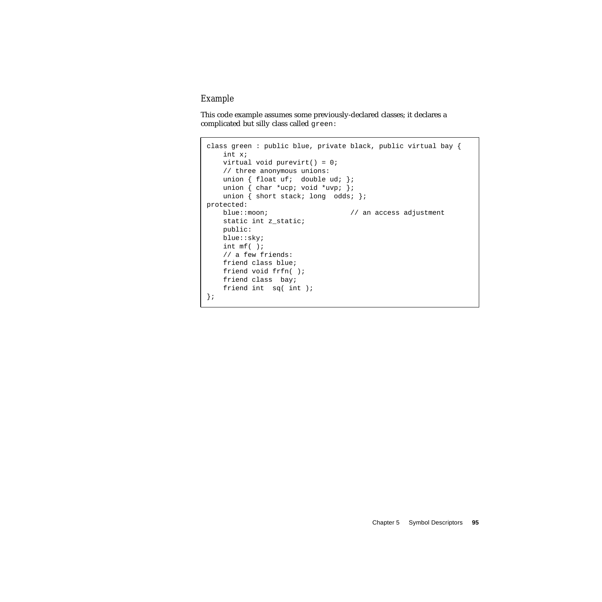#### *Example*

This code example assumes some previously-declared classes; it declares a complicated but silly class called green:

```
class green : public blue, private black, public virtual bay {
    int x;
   virtual void purevirt() = 0;
   // three anonymous unions:
   union { float uf; double ud; };
    union { char *ucp; void *uvp; };
    union { short stack; long odds; };
protected:
   blue::moon; // an access adjustment
    static int z_static;
   public:
   blue::sky;
   int mf( );
   // a few friends:
   friend class blue;
    friend void frfn( );
   friend class bay;
    friend int sq( int );
};
```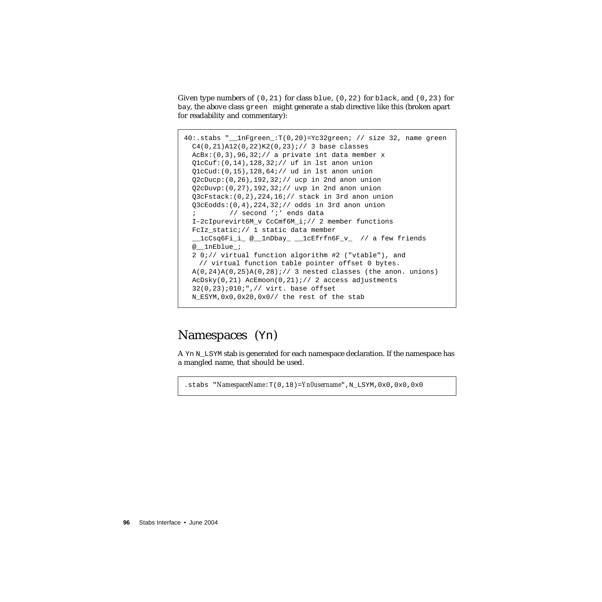Given type numbers of  $(0,21)$  for class blue,  $(0,22)$  for black, and  $(0,23)$  for bay, the above class green might generate a stab directive like this (broken apart for readability and commentary):

```
40:.stabs "__1nFgreen_:T(0,20)=Yc32green; // size 32, name green
  C4(0,21)A12(0,22)K2(0,23);// 3 base classes
 AcBx:(0,3), 96, 32;// a private int data member x
  Q1cCuf:(0,14),128,32;// uf in lst anon union
  Q1cCud:(0,15),128,64;// ud in lst anon union
  Q2cDucp:(0,26),192,32;// ucp in 2nd anon union
  Q2cDuvp:(0,27),192,32;// uvp in 2nd anon union
  Q3cFstack:(0,2),224,16;// stack in 3rd anon union
  Q3cEodds:(0,4),224,32;// odds in 3rd anon union
   ; // second ';' ends data
  I-2cIpurevirt6M_v CcCmf6M_i;// 2 member functions
 FcIz static; // 1 static data member
   __1cCsq6Fi_i_ @__1nDbay_ __1cEfrfn6F_v_ // a few friends
  @__1nEblue_;
  2 0;// virtual function algorithm #2 ("vtable"), and
   // virtual function table pointer offset 0 bytes.
 A(0, 24)A(0, 25)A(0, 28);// 3 nested classes (the anon. unions)
  AcDsky(0,21) AcEmoon(0,21);// 2 access adjustments
  32(0,23);010;",// virt. base offset
  N_ESYM,0x0,0x20,0x0// the rest of the stab
```
### Namespaces (Yn)

A Yn N LSYM stab is generated for each namespace declaration. If the namespace has a mangled name, that should be used.

.stabs "*NamespaceName*:T(0,18)=*Yn0username*",N\_LSYM,0x0,0x0,0x0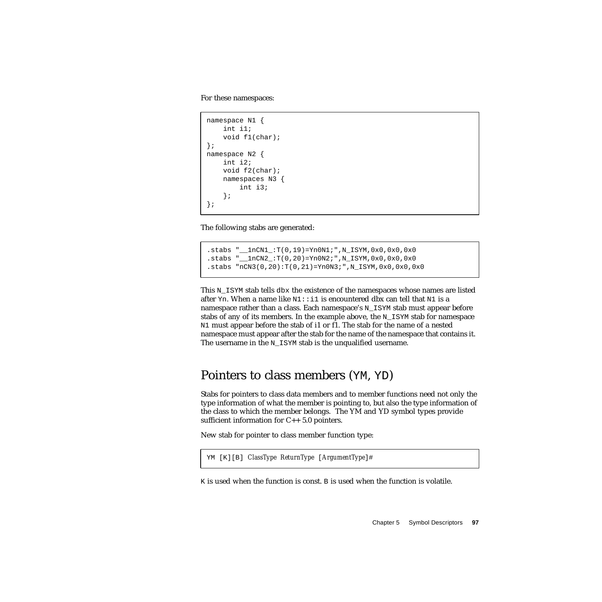For these namespaces:

```
namespace N1 {
    int i1;
    void f1(char);
};
namespace N2 {
    int i2;
    void f2(char);
    namespaces N3 {
        int i3;
    };
};
```
The following stabs are generated:

```
.stabs "__1nCN1_:T(0,19)=Yn0N1;",N_ISYM,0x0,0x0,0x0
.stabs "__1nCN2_:T(0,20)=Yn0N2;",N_ISYM,0x0,0x0,0x0
.stabs "nCN3(0,20):T(0,21)=Yn0N3;",N_ISYM,0x0,0x0,0x0
```
This  $N$  ISYM stab tells dbx the existence of the namespaces whose names are listed after Yn. When a name like  $N1$ : i 1 is encountered dbx can tell that  $N1$  is a namespace rather than a class. Each namespace's N\_ISYM stab must appear before stabs of any of its members. In the example above, the  $N$  ISYM stab for namespace N1 must appear before the stab of i1 or f1. The stab for the name of a nested namespace must appear after the stab for the name of the namespace that contains it. The username in the N\_ISYM stab is the unqualified username.

### Pointers to class members (YM, YD)

Stabs for pointers to class data members and to member functions need not only the type information of what the member is pointing to, but also the type information of the class to which the member belongs. The YM and YD symbol types provide sufficient information for C++ 5.0 pointers.

New stab for pointer to class member function type:

```
YM [K][B] ClassType ReturnType [ArgumentType]#
```
 $K$  is used when the function is const. B is used when the function is volatile.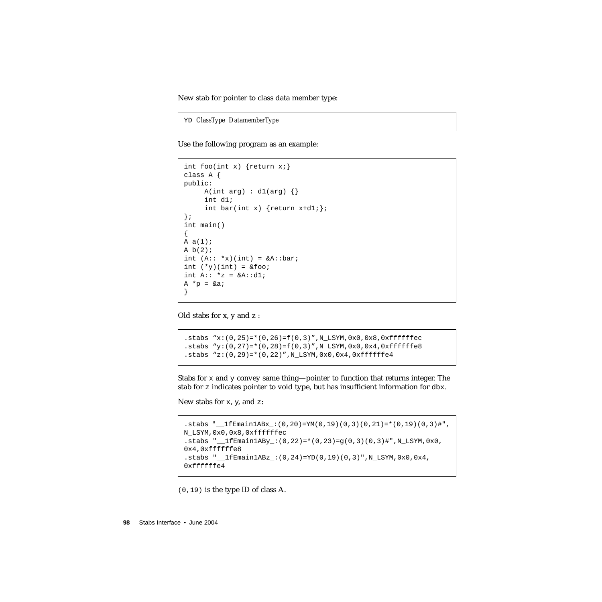New stab for pointer to class data member type:

YD *ClassType DatamemberType*

Use the following program as an example:

```
int foo(int x) \{return x\}class A {
public:
     A(int arg) : d1(arg) {\}int d1;
     int bar(int x) \{return x+dl;\};
};
int main()
{
A a(1);
A b(2);int (A: : *x)(int) = \&A: :bar;int (*y)(int) = \&foo;int A:: *z = &A::dl;
A * p = \& a;}
```
Old stabs for x, y and z :

.stabs " $x:(0,25)=*(0,26)=f(0,3)$ ",  $N_L$ LSYM,0x0,0x8,0xffffffec .stabs "y: $(0,27)$ =\* $(0,28)$ =f(0,3)",N LSYM,0x0,0x4,0xffffffe8  $.$ stabs "z: $(0, 29)$ =\* $(0, 22)$ ", N\_LSYM,0x0,0x4,0xffffffe4

Stabs for  $x$  and  $y$  convey same thing—pointer to function that returns integer. The stab for z indicates pointer to void type, but has insufficient information for dbx.

New stabs for  $x$ ,  $y$ , and  $z$ :

```
.stabs " 1fEmain1ABx : (0,20)=YM(0,19)(0,3)(0,21)=*(0,19)(0,3)#",
N_LSYM,0x0,0x8,0xffffffec
.stabs "__1fEmain1ABy_:(0,22)=*(0,23)=g(0,3)(0,3)#",N_LSYM,0x0,
0x4,0xffffffe8
.stabs "__1fEmain1ABz_:(0,24)=YD(0,19)(0,3)",N_LSYM,0x0,0x4,
0xffffffe4
```
(0,19) is the type ID of class A.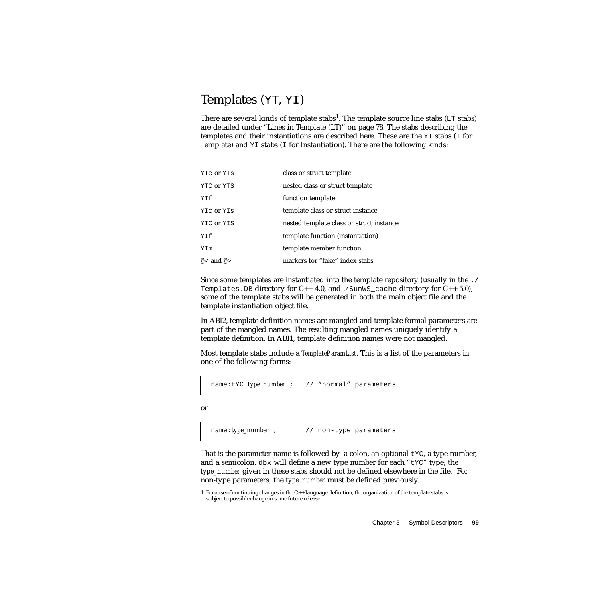### <span id="page-98-0"></span>Templates (YT, YI)

There are several kinds of template stabs<sup>1</sup>. The template source line stabs ( $LT$  stabs) are detailed under ["Lines in Template \(LT\)" on page 78.](#page-77-0) The stabs describing the templates and their instantiations are described here. These are the YT stabs (T for Template) and  $YI$  stabs (I for Instantiation). There are the following kinds:

| YTC OF YTS    | class or struct template                 |
|---------------|------------------------------------------|
| YTC or YTS    | nested class or struct template          |
| YTf           | function template                        |
| YIC OF YIS    | template class or struct instance        |
| YIC or YIS    | nested template class or struct instance |
| <b>YTf</b>    | template function (instantiation)        |
| YIm           | template member function                 |
| $@1$ and $@>$ | markers for "fake" index stabs           |

Since some templates are instantiated into the template repository (usually in the ./ Templates. DB directory for  $C_{++}$  4.0, and ./SunWS\_cache directory for  $C_{++}$  5.0), some of the template stabs will be generated in both the main object file and the template instantiation object file.

In ABI2, template definition names are mangled and template formal parameters are part of the mangled names. The resulting mangled names uniquely identify a template definition. In ABI1, template definition names were not mangled.

Most template stabs include a *TemplateParamList*. This is a list of the parameters in one of the following forms:

name:tYC *type\_number* ; // "normal" parameters

or

name:*type\_number* ; // non-type parameters

That is the parameter name is followed by a colon, an optional  $\forall x \in \mathcal{X}$  a type number, and a semicolon.  $\Delta x$  will define a new type number for each " $\Delta x$ " type; the *type\_number* given in these stabs should not be defined elsewhere in the file. For non-type parameters, the *type\_number* must be defined previously.

<sup>1.</sup> Because of continuing changes in the C++ language definition, the organization of the template stabs is subject to possible change in some future release.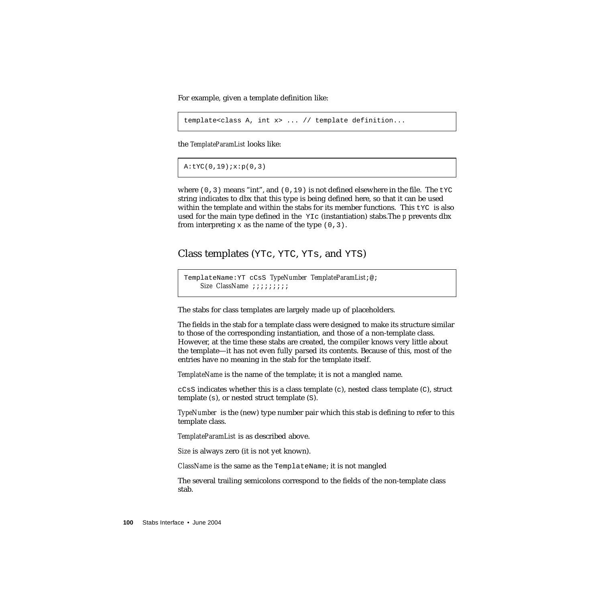For example, given a template definition like:

```
template<class A, int x> ... // template definition...
```
the *TemplateParamList* looks like:

 $A:$ tYC $(0,19)$ ;  $x:$ p $(0,3)$ 

where (0,3) means "int", and (0,19) is not defined elsewhere in the file. The  $\text{tyc}$ string indicates to dbx that this type is being defined here, so that it can be used within the template and within the stabs for its member functions. This  $\forall x \in \mathbb{R}$  is also used for the main type defined in the YIc (instantiation) stabs.The *p* prevents dbx from interpreting x as the name of the type  $(0,3)$ .

Class templates (YTc, YTC, YTs, and YTS)

```
TemplateName:YT cCsS TypeNumber TemplateParamList;@;
    Size ClassName ;;;;;;;;;
```
The stabs for class templates are largely made up of placeholders.

The fields in the stab for a template class were designed to make its structure similar to those of the corresponding instantiation, and those of a non-template class. However, at the time these stabs are created, the compiler knows very little about the template—it has not even fully parsed its contents. Because of this, most of the entries have no meaning in the stab for the template itself.

*TemplateName* is the name of the template; it is not a mangled name.

 $ccss$  indicates whether this is a class template (c), nested class template (c), struct template (s), or nested struct template (S).

*TypeNumber* is the (new) type number pair which this stab is defining to refer to this template class.

*TemplateParamList* is as described above.

*Size* is always zero (it is not yet known).

*ClassName* is the same as the TemplateName; it is not mangled

The several trailing semicolons correspond to the fields of the non-template class stab.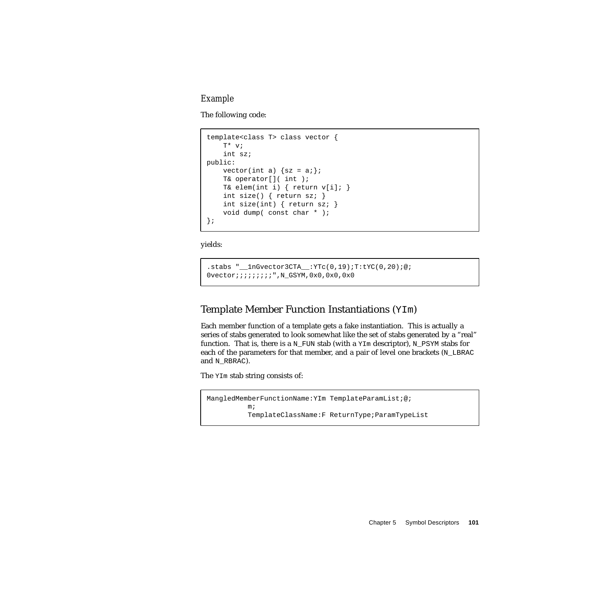#### *Example*

The following code:

```
template<class T> class vector {
   T* v;
    int sz;
public:
   vector(int a) \{sz = ai\};T& operator[]( int );
    T& elem(int i) { return v[i]; }
    int size() { return sz: }
    int size(int) { return sz; }
    void dump( const char * );
};
```
yields:

```
.stabs "__1nGvector3CTA__:YTc(0,19);T:tYC(0,20);@;
0vector;;;;;;;;;",N_GSYM,0x0,0x0,0x0
```
#### Template Member Function Instantiations (YIm)

Each member function of a template gets a fake instantiation. This is actually a series of stabs generated to look somewhat like the set of stabs generated by a "real" function. That is, there is a N\_FUN stab (with a  $YIm$  descriptor), N\_PSYM stabs for each of the parameters for that member, and a pair of level one brackets  $(N$  LBRAC and N\_RBRAC).

The YIm stab string consists of:

```
MangledMemberFunctionName:YIm TemplateParamList;@;
          m;
          TemplateClassName:F ReturnType;ParamTypeList
```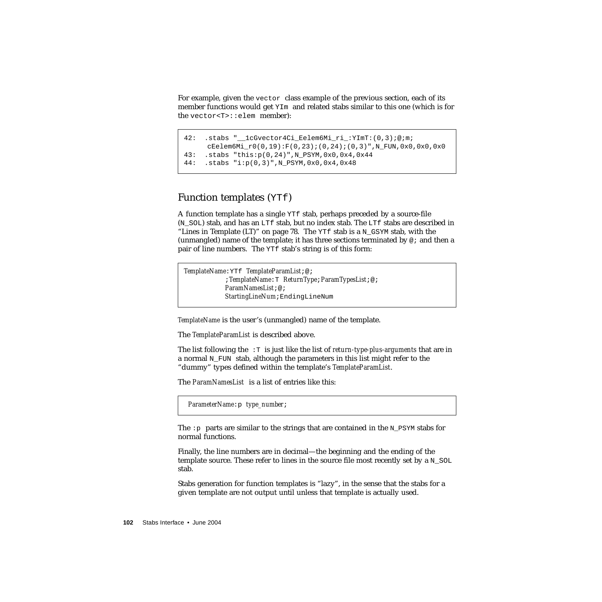For example, given the vector class example of the previous section, each of its member functions would get YIm and related stabs similar to this one (which is for the vector<T>::elem member):

```
42: .stabs "__1cGvector4Ci_Eelem6Mi_ri_:YImT:(0,3);@;m;
      cEelem6Mi_r0(0,19):F(0,23);(0,24);(0,3)",N_FUN,0x0,0x0,0x0
43: .stabs "this:p(0,24)",N_PSYM,0x0,0x4,0x44
44: .stabs "i:p(0,3)",N_PSYM,0x0,0x4,0x48
```
#### Function templates (YTf)

A function template has a single YTf stab, perhaps preceded by a source-file (N\_SOL) stab, and has an LTf stab, but no index stab. The LTf stabs are described in ["Lines in Template \(LT\)" on page 78](#page-77-0). The YTf stab is a N\_GSYM stab, with the (unmangled) name of the template; it has three sections terminated by  $\varnothing$ ; and then a pair of line numbers. The YTf stab's string is of this form:

*TemplateName*:YTf *TemplateParamList*;@; ;*TemplateName*:T *ReturnType*;*ParamTypesList*;@; *ParamNamesList*;@; *StartingLineNum*;EndingLineNum

*TemplateName* is the user's (unmangled) name of the template.

The *TemplateParamList* is described above.

The list following the :T is just like the list of *return-type-plus-arguments* that are in a normal  $N$  FUN stab, although the parameters in this list might refer to the "dummy" types defined within the template's *TemplateParamList*.

The *ParamNamesList* is a list of entries like this:

*ParameterName*:p *type\_number*;

The : p parts are similar to the strings that are contained in the N\_PSYM stabs for normal functions.

Finally, the line numbers are in decimal—the beginning and the ending of the template source. These refer to lines in the source file most recently set by a  $N$  SOL stab.

Stabs generation for function templates is "lazy", in the sense that the stabs for a given template are not output until unless that template is actually used.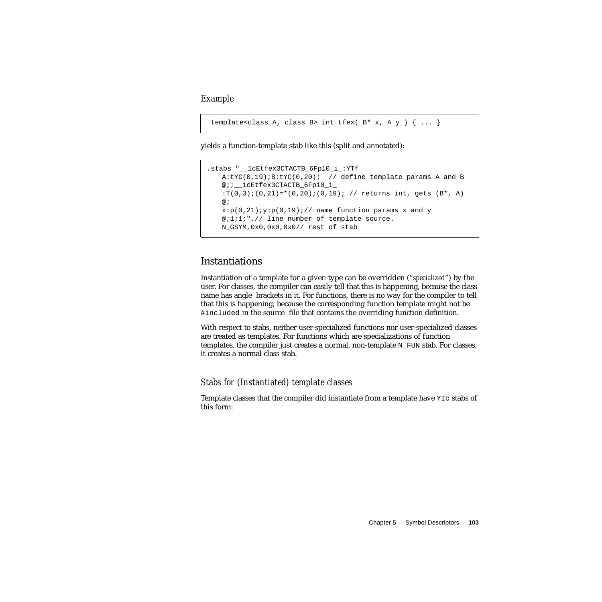*Example*

```
template<class A, class B> int tfex( B* x, A y ) \{ \ldots \}
```
yields a function-template stab like this (split and annotated):

```
.stabs " lcEtfex3CTACTB 6Fp10 i :YTf
   A:YC(0,19); B:YC(0,20); // define template params A and B
   @;;__1cEtfex3CTACTB_6Fp10_i_
   :T(0,3);(0,21)=*(0,20);(0,19); // returns int, gets (B^*, A)@;
   x:p(0,21);y:p(0,19); // name function params x and y
   @;1;1;",// line number of template source.
   N_GSYM,0x0,0x0,0x0// rest of stab
```
#### Instantiations

Instantiation of a template for a given type can be overridden ("*specialized*") by the user. For classes, the compiler can easily tell that this is happening, because the class name has angle brackets in it. For functions, there is no way for the compiler to tell that this is happening, because the corresponding function template might not be #included in the source file that contains the overriding function definition.

With respect to stabs, neither user-specialized functions nor user-specialized classes are treated as templates. For functions which are specializations of function templates, the compiler just creates a normal, non-template  $N$  FUN stab. For classes, it creates a normal class stab.

#### *Stabs for (Instantiated) template classes*

Template classes that the compiler did instantiate from a template have YIc stabs of this form: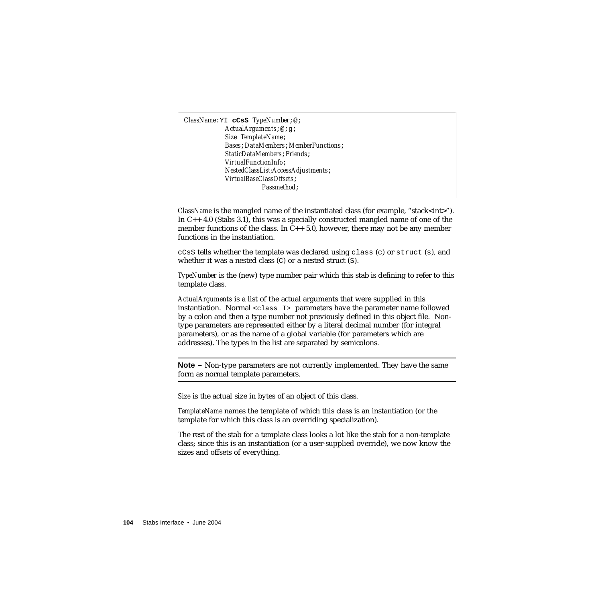*ClassName*:YI **cCsS** *TypeNumber*;@; *ActualArguments*;@;g; *Size TemplateName*; *Bases*;*DataMembers*;*MemberFunctions*; *StaticDataMembers*;*Friends*; *VirtualFunctionInfo*; *NestedClassList;AccessAdjustments*; *VirtualBaseClassOffsets*; *Passmethod*;

*ClassName* is the mangled name of the instantiated class (for example, "stack<int>"). In C++ 4.0 (Stabs 3.1), this was a specially constructed mangled name of one of the member functions of the class. In  $C_{++}$  5.0, however, there may not be any member functions in the instantiation.

 $ccss$  tells whether the template was declared using  $class$  (c) or struct (s), and whether it was a nested class (C) or a nested struct (S).

*TypeNumber* is the (new) type number pair which this stab is defining to refer to this template class.

*ActualArguments* is a list of the actual arguments that were supplied in this instantiation. Normal <class T> parameters have the parameter name followed by a colon and then a type number not previously defined in this object file. Nontype parameters are represented either by a literal decimal number (for integral parameters), or as the name of a global variable (for parameters which are addresses). The types in the list are separated by semicolons.

**Note –** Non-type parameters are not currently implemented. They have the same form as normal template parameters.

*Size* is the actual size in bytes of an object of this class.

*TemplateName* names the template of which this class is an instantiation (or the template for which this class is an overriding specialization).

The rest of the stab for a template class looks a lot like the stab for a non-template class; since this is an instantiation (or a user-supplied override), we now know the sizes and offsets of everything.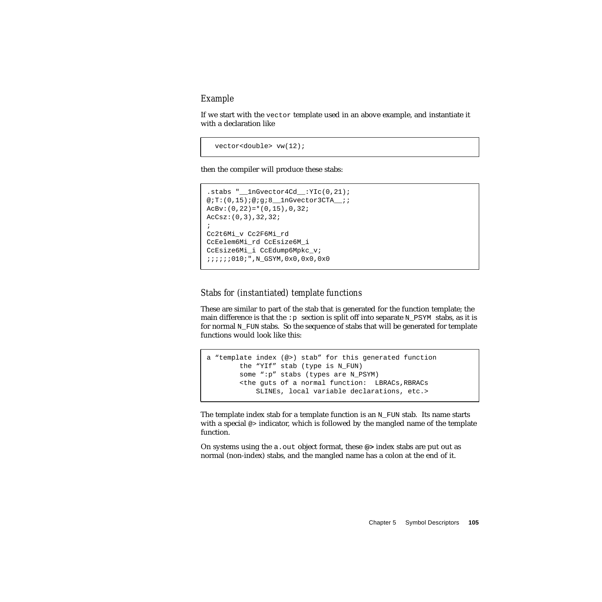#### *Example*

If we start with the vector template used in an above example, and instantiate it with a declaration like

```
 vector<double> vw(12);
```
then the compiler will produce these stabs:

```
.stabs "__1nGvector4Cd__:YIc(0,21);
@;T:(0,15);@;q;8 lnGvector3CTA ;;
ACBy: (0, 22) = * (0, 15), 0, 32;
AcCsz:(0,3),32,32;
;
Cc2t6Mi_v Cc2F6Mi_rd
CcEelem6Mi_rd CcEsize6M_i
CcEsize6Mi_i CcEdump6Mpkc_v;
;;;;;;010;",N_GSYM,0x0,0x0,0x0
```
#### *Stabs for (instantiated) template functions*

These are similar to part of the stab that is generated for the function template; the main difference is that the :p section is split off into separate N\_PSYM stabs, as it is for normal N\_FUN stabs. So the sequence of stabs that will be generated for template functions would look like this:

```
a "template index (@>) stab" for this generated function
       the "YIf" stab (type is N_FUN)
        some ":p" stabs (types are N_PSYM)
        <the guts of a normal function: LBRACs,RBRACs
            SLINEs, local variable declarations, etc.>
```
The template index stab for a template function is an  $N$ -FUN stab. Its name starts with a special  $\infty$  indicator, which is followed by the mangled name of the template function.

On systems using the a.out object format, these **@>** index stabs are put out as normal (non-index) stabs, and the mangled name has a colon at the end of it.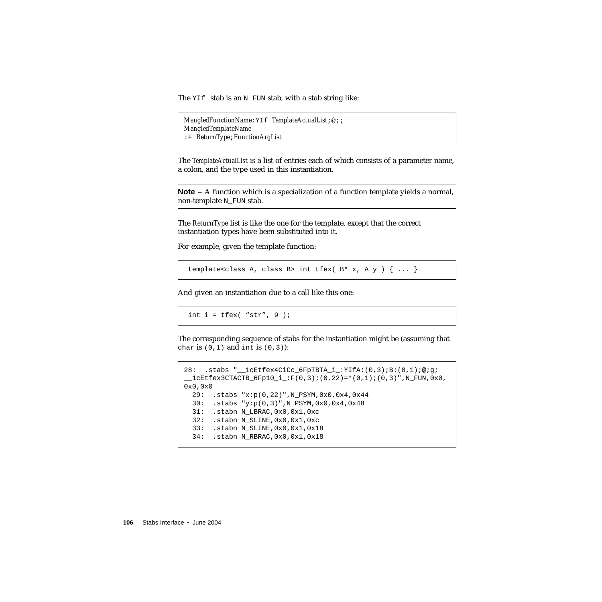The YIf stab is an N\_FUN stab, with a stab string like:

```
MangledFunctionName:YIf TemplateActualList;@;;
MangledTemplateName
:F ReturnType;FunctionArgList
```
The *TemplateActualList* is a list of entries each of which consists of a parameter name, a colon, and the type used in this instantiation.

**Note –** A function which is a specialization of a function template yields a normal, non-template N\_FUN stab.

The *ReturnType* list is like the one for the template, except that the correct instantiation types have been substituted into it.

For example, given the template function:

template<class A, class B> int tfex(  $B* x$ , A  $y$  )  $\{ \ldots \}$ 

And given an instantiation due to a call like this one:

int  $i = t$  fex( "str", 9 );

The corresponding sequence of stabs for the instantiation might be (assuming that char is  $(0,1)$  and int is  $(0,3)$ :

```
28: .stabs "__1cEtfex4CiCc_6FpTBTA_i_:YIfA:(0,3);B:(0,1);@;g;
\_1cEtfex3CTACTB_6Fp10_i_:F(0,3);(0,22)=*(0,1);(0,3)",N_FUN,0x0,
0x0,0x0
  29: .stabs "x:p(0,22)",N_PSYM,0x0,0x4,0x44
  30: .stabs "y:p(0,3)",N_PSYM,0x0,0x4,0x48
  31: .stabn N_LBRAC,0x0,0x1,0xc
   32: .stabn N_SLINE,0x0,0x1,0xc
  33: .stabn N_SLINE,0x0,0x1,0x18
   34: .stabn N_RBRAC,0x0,0x1,0x18
```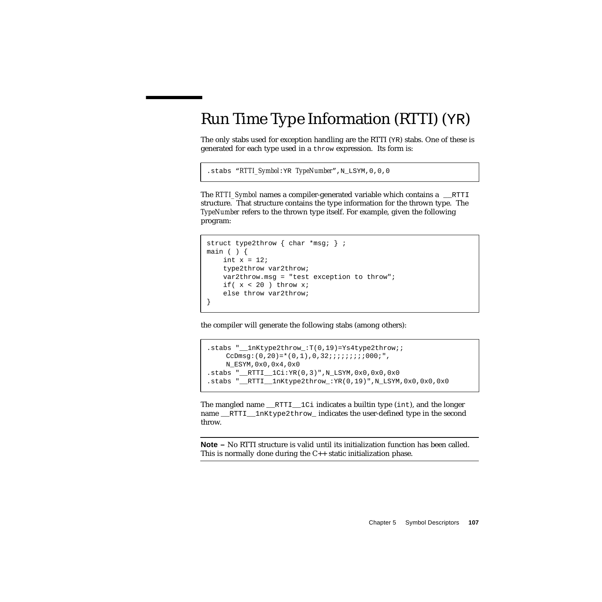# Run Time Type Information (RTTI) (YR)

The only stabs used for exception handling are the RTTI (YR) stabs. One of these is generated for each type used in a throw expression. Its form is:

```
.stabs "RTTI_Symbol:YR TypeNumber",N_LSYM,0,0,0
```
The *RTTI\_Symbol* names a compiler-generated variable which contains a \_\_RTTI structure. That structure contains the type information for the thrown type. The *TypeNumber* refers to the thrown type itself. For example, given the following program:

```
struct type2throw { char *msg; } ;
main ( ) {
   int x = 12;
    type2throw var2throw;
    var2throw.msg = "test exception to throw";
    if(x < 20) throw xi;
    else throw var2throw;
}
```
the compiler will generate the following stabs (among others):

```
.stabs "__1nKtype2throw_:T(0,19)=Ys4type2throw;;
    CcDmsg:(0, 20)=*(0, 1),0,32;;;;;;;;;000;",
     N_ESYM,0x0,0x4,0x0
.stabs "__RTTI__1Ci:YR(0,3)",N_LSYM,0x0,0x0,0x0
.stabs "__RTTI__1nKtype2throw_:YR(0,19)",N_LSYM,0x0,0x0,0x0
```
The mangled name  $RTTI$   $1Ci$  indicates a builtin type (int), and the longer name RTTI lnKtype2throw indicates the user-defined type in the second throw.

**Note –** No RTTI structure is valid until its initialization function has been called. This is normally done during the C++ static initialization phase.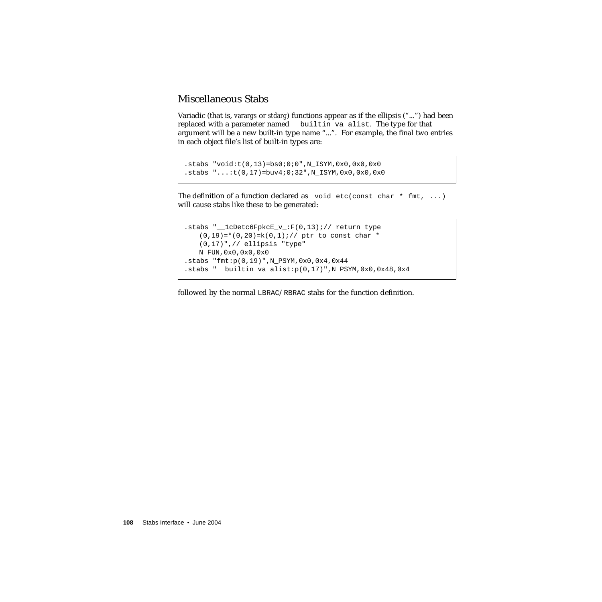#### Miscellaneous Stabs

Variadic (that is, *varargs* or *stdarg*) functions appear as if the ellipsis ("...") had been replaced with a parameter named \_\_builtin\_va\_alist. The type for that argument will be a new built-in type name "...". For example, the final two entries in each object file's list of built-in types are:

```
.stabs "void:t(0,13)=bs0:0:0", N_ISYM, 0x0, 0x0, 0x0
.stabs "...:t(0,17)=buv4;0;32",N_ISYM,0x0,0x0,0x0
```
The definition of a function declared as void etc(const char  $*$  fmt, ...) will cause stabs like these to be generated:

```
.stabs "__1cDetc6FpkcE_v_:F(0,13);// return type
   (0,19)=*(0,20)=k(0,1); // ptr to const char *
   (0,17)",// ellipsis "type"
   N_FUN,0x0,0x0,0x0
.stabs "fmt:p(0,19)",N_PSYM,0x0,0x4,0x44
.stabs "_builtin_va_alist:p(0,17)", N_PSYM,0x0,0x48,0x4
```
followed by the normal LBRAC/RBRAC stabs for the function definition.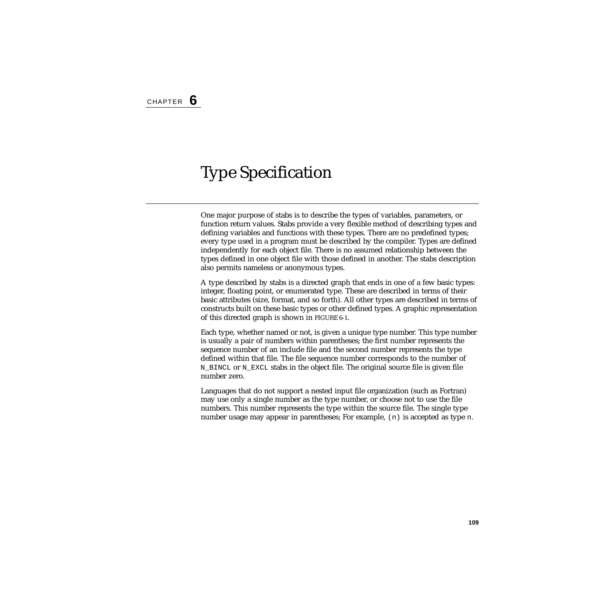# Type Specification

One major purpose of stabs is to describe the types of variables, parameters, or function return values. Stabs provide a very flexible method of describing types and defining variables and functions with these types. There are no predefined types; every type used in a program must be described by the compiler. Types are defined independently for each object file. There is no assumed relationship between the types defined in one object file with those defined in another. The stabs description also permits nameless or anonymous types.

A type described by stabs is a directed graph that ends in one of a few basic types: integer, floating point, or enumerated type. These are described in terms of their basic attributes (size, format, and so forth). All other types are described in terms of constructs built on these basic types or other defined types. A graphic representation of this directed graph is shown in [FIGURE 6-1](#page-111-0).

Each type, whether named or not, is given a unique type number. This type number is usually a pair of numbers within parentheses; the first number represents the sequence number of an include file and the second number represents the type defined within that file. The file sequence number corresponds to the number of N\_BINCL or N\_EXCL stabs in the object file. The original source file is given file number zero.

Languages that do not support a nested input file organization (such as Fortran) may use only a single number as the type number, or choose not to use the file numbers. This number represents the type within the source file. The single type number usage may appear in parentheses; For example, (n) is accepted as type n.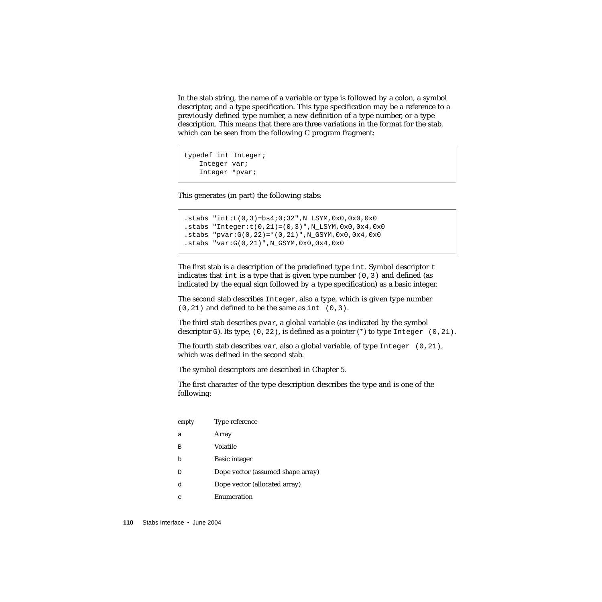In the stab string, the name of a variable or type is followed by a colon, a symbol descriptor, and a type specification. This type specification may be a reference to a previously defined type number, a new definition of a type number, or a type description. This means that there are three variations in the format for the stab, which can be seen from the following C program fragment:

```
typedef int Integer;
   Integer var;
   Integer *pvar;
```
This generates (in part) the following stabs:

```
.stabs "int:t(0,3)=bs4;0;32",N_LSYM,0x0,0x0,0x0
.stabs "Integer:t(0,21)=(0,3)", N LSYM, 0x0, 0x4, 0x0
.stabs "pvar:G(0, 22) = * (0, 21)", N_GSYM, 0x0, 0x4, 0x0
.stabs "var:G(0,21)",N_GSYM,0x0,0x4,0x0
```
The first stab is a description of the predefined type int. Symbol descriptor  $t$ indicates that int is a type that is given type number  $(0,3)$  and defined (as indicated by the equal sign followed by a type specification) as a basic integer.

The second stab describes Integer, also a type, which is given type number  $(0,21)$  and defined to be the same as int  $(0,3)$ .

The third stab describes pvar, a global variable (as indicated by the symbol descriptor G). Its type,  $(0, 22)$ , is defined as a pointer (\*) to type Integer  $(0, 21)$ .

The fourth stab describes var, also a global variable, of type Integer (0,21), which was defined in the second stab.

The symbol descriptors are described in Chapter 5.

The first character of the type description describes the type and is one of the following:

| empty | Type reference                    |
|-------|-----------------------------------|
| а     | Array                             |
| в     | Volatile                          |
| h     | <b>Basic integer</b>              |
| D     | Dope vector (assumed shape array) |
| d     | Dope vector (allocated array)     |
| е     | Enumeration                       |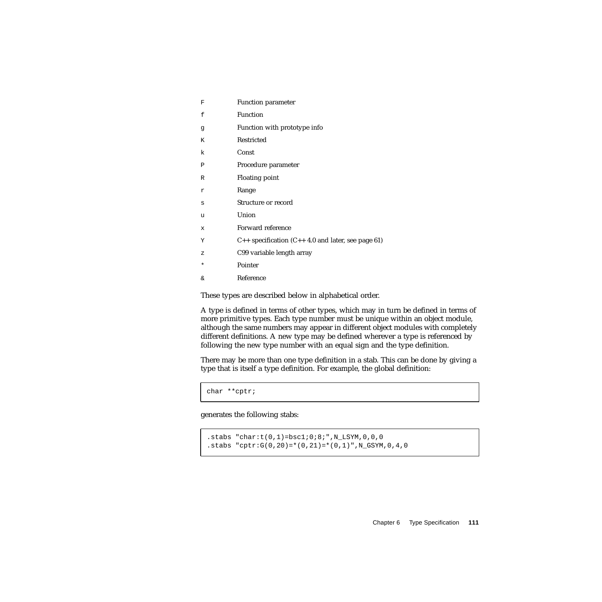| F       | Function parameter                                            |
|---------|---------------------------------------------------------------|
| f       | Function                                                      |
| g       | Function with prototype info                                  |
| K       | Restricted                                                    |
| k       | Const                                                         |
| P       | Procedure parameter                                           |
| R       | <b>Floating point</b>                                         |
| r       | Range                                                         |
| S       | Structure or record                                           |
| u       | Union                                                         |
| X       | Forward reference                                             |
| Υ       | $C_{++}$ specification ( $C_{++}$ 4.0 and later, see page 61) |
| Ζ       | C99 variable length array                                     |
| $\star$ | Pointer                                                       |
| &       | Reference                                                     |

These types are described below in alphabetical order.

A type is defined in terms of other types, which may in turn be defined in terms of more primitive types. Each type number must be unique within an object module, although the same numbers may appear in different object modules with completely different definitions. A new type may be defined wherever a type is referenced by following the new type number with an equal sign and the type definition.

There may be more than one type definition in a stab. This can be done by giving a type that is itself a type definition. For example, the global definition:

char \*\*cptr;

generates the following stabs:

```
.stabs "char:t(0,1)=bsc1:0:8:", N_LSYM, 0, 0, 0
.stabs "cptr:G(0, 20) = * (0, 21) = * (0, 1)", N_GSYM, 0, 4, 0
```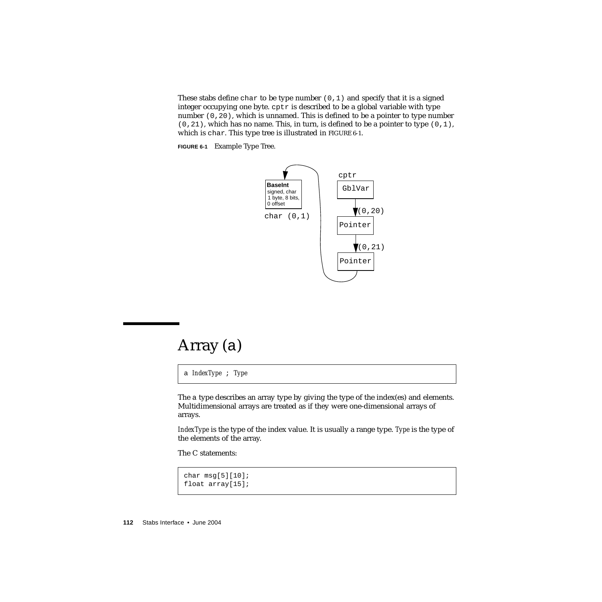These stabs define char to be type number  $(0,1)$  and specify that it is a signed integer occupying one byte. cptr is described to be a global variable with type number (0,20), which is unnamed. This is defined to be a pointer to type number  $(0,21)$ , which has no name. This, in turn, is defined to be a pointer to type  $(0,1)$ , which is char. This type tree is illustrated in [FIGURE 6-1](#page-111-0).

<span id="page-111-0"></span>**FIGURE 6-1** Example Type Tree.



#### <span id="page-111-1"></span>Array (a)

a *IndexType* ; *Type*

The a type describes an array type by giving the type of the index(es) and elements. Multidimensional arrays are treated as if they were one-dimensional arrays of arrays.

*IndexType* is the type of the index value. It is usually a range type. *Type* is the type of the elements of the array.

The C statements:

```
char msg[5][10];
float array[15];
```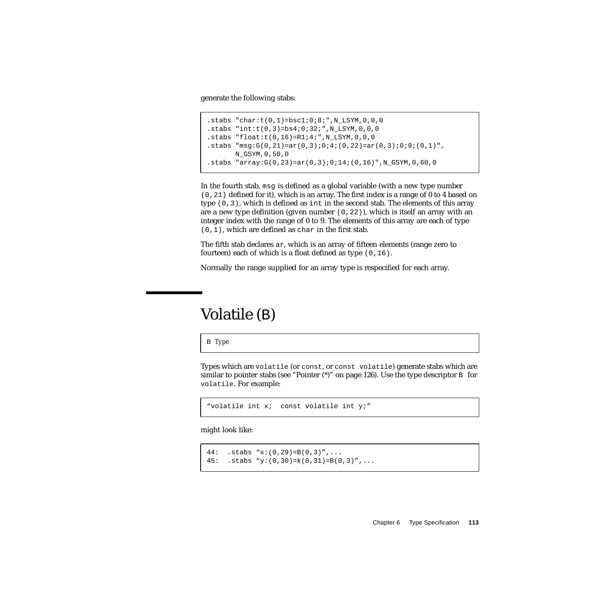generate the following stabs:

```
.stabs "char:t(0,1)=bsc1:0:8:",N_LSYM,0,0,0
.stabs "int:t(0,3)=bs4:0:32:", N_LSYM,0,0,0
.stabs "float:t(0,16)=R1;4;",N_LSYM,0,0,0
.stabs "msq:G(0, 21) = ar(0, 3);0;4; (0, 22) = ar(0, 3);0;9; (0, 1)"N_GSYM,0,50,0
.stabs "array:G(0,23)=ar(0,3);0;14;(0,16)",N_GSYM,0,60,0
```
In the fourth stab,  $msq$  is defined as a global variable (with a new type number (0,21) defined for it), which is an array. The first index is a range of 0 to 4 based on type (0,3), which is defined as int in the second stab. The elements of this array are a new type definition (given number  $(0,22)$ ), which is itself an array with an integer index with the range of 0 to 9. The elements of this array are each of type (0,1), which are defined as char in the first stab.

The fifth stab declares ar, which is an array of fifteen elements (range zero to fourteen) each of which is a float defined as type (0,16).

Normally the range supplied for an array type is respecified for each array.

## Volatile (B)

B *Type*

Types which are volatile (or const, or const volatile) generate stabs which are similar to pointer stabs (see "Pointer  $(*)$ " on page 126). Use the type descriptor B for volatile. For example:

```
"volatile int x; const volatile int y;"
```
might look like:

```
44: .stabs "x:(0,29)=B(0,3)",...
45: .stabs "y:(0,30) = k(0,31) = B(0,3)'",...
```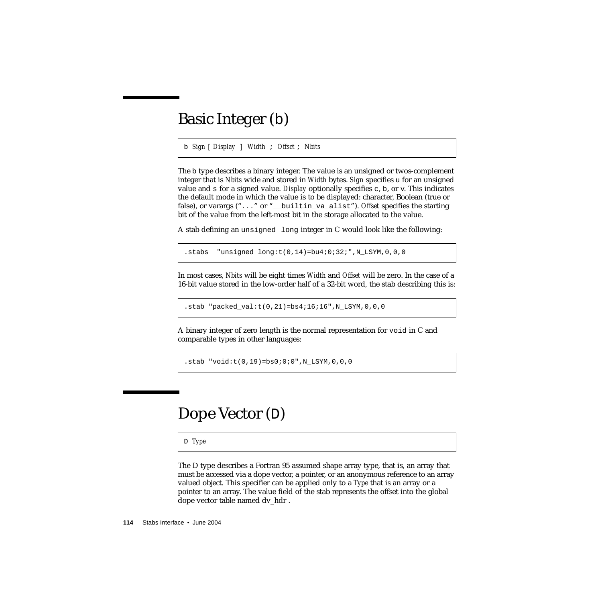## Basic Integer (b)

b *Sign* [ *Display* ] *Width* ; *Offset* ; *Nbits*

The b type describes a binary integer. The value is an unsigned or twos-complement integer that is *Nbits* wide and stored in *Width* bytes. *Sign* specifies u for an unsigned value and s for a signed value. *Display* optionally specifies c, b, or v. This indicates the default mode in which the value is to be displayed: character, Boolean (true or false), or varargs ("..." or "\_\_builtin\_va\_alist"). *Offset* specifies the starting bit of the value from the left-most bit in the storage allocated to the value.

A stab defining an unsigned long integer in C would look like the following:

.stabs "unsigned long: $t(0,14)$ =bu4;0;32;",N\_LSYM,0,0,0

In most cases, *Nbits* will be eight times *Width* and *Offset* will be zero. In the case of a 16-bit value stored in the low-order half of a 32-bit word, the stab describing this is:

.stab "packed\_val: $t(0,21)$ =bs4;16;16", N\_LSYM, 0, 0, 0

A binary integer of zero length is the normal representation for void in C and comparable types in other languages:

 $.stab$  " $void:t(0,19)=bs0:0:0"$ , N LSYM, 0, 0, 0

#### Dope Vector (D)

D *Type*

The D type describes a Fortran 95 assumed shape array type, that is, an array that must be accessed via a dope vector, a pointer, or an anonymous reference to an array valued object. This specifier can be applied only to a *Type* that is an array or a pointer to an array. The value field of the stab represents the offset into the global dope vector table named dv\_hdr .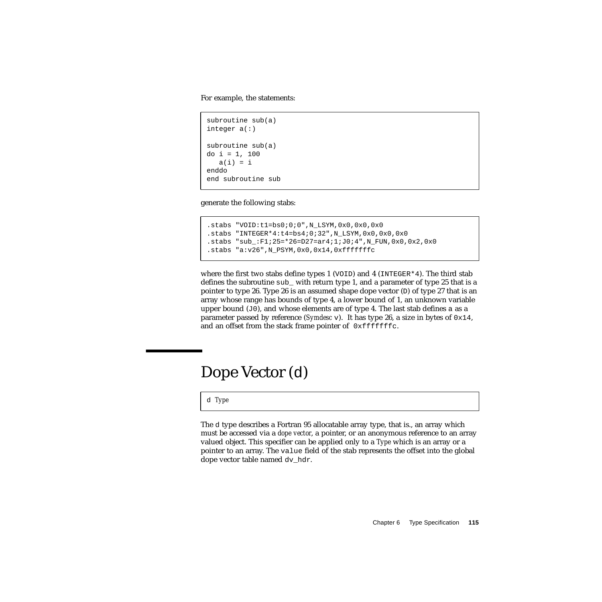For example, the statements:

```
subroutine sub(a)
integer a(:)
subroutine sub(a)
do i = 1, 100
   a(i) = ienddo
end subroutine sub
```
generate the following stabs:

```
.stabs "VOID:t1=bs0;0;0",N_LSYM,0x0,0x0,0x0
.stabs "INTEGER*4:t4=bs4;0;32",N_LSYM,0x0,0x0,0x0
.stabs "sub_:F1;25=*26=D27=ar4;1;J0;4",N_FUN,0x0,0x2,0x0
.stabs "a:v26",N_PSYM,0x0,0x14,0xfffffffc
```
where the first two stabs define types 1 (VOID) and 4 (INTEGER\*4). The third stab defines the subroutine sub\_ with return type 1, and a parameter of type 25 that is a pointer to type 26. Type 26 is an assumed shape dope vector  $(D)$  of type 27 that is an array whose range has bounds of type 4, a lower bound of 1, an unknown variable upper bound  $(J0)$ , and whose elements are of type 4. The last stab defines a as a parameter passed by reference (*Symdesc* v). It has type 26, a size in bytes of  $0 \times 14$ , and an offset from the stack frame pointer of  $0xfffffffc$ .

#### Dope Vector (d)

d *Type*

The d type describes a Fortran 95 allocatable array type, that is., an array which must be accessed via a *dope vector*, a pointer, or an anonymous reference to an array valued object. This specifier can be applied only to a *Type* which is an array or a pointer to an array. The value field of the stab represents the offset into the global dope vector table named dv\_hdr.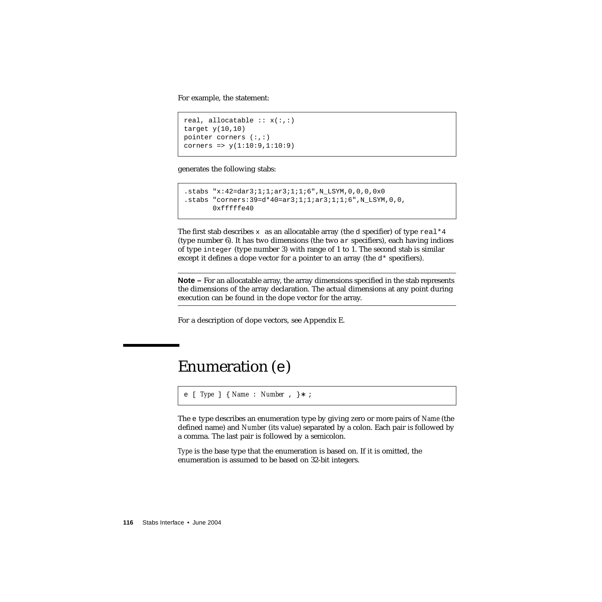For example, the statement:

```
real, allocatable :: x(:,:)target y(10,10)pointer corners (:,:)
corners => y(1:10:9,1:10:9)
```
generates the following stabs:

```
.stabs "x:42=dar3;1;1;ar3;1;1;6",N_LSYM,0,0,0,0x0
.stabs "corners:39=d*40=ar3;1;1;ar3;1;1;6",N_LSYM,0,0,
      0xfffff640
```
The first stab describes  $x$  as an allocatable array (the d specifier) of type real  $*4$ (type number 6). It has two dimensions (the two ar specifiers), each having indices of type integer (type number 3) with range of 1 to 1. The second stab is similar except it defines a dope vector for a pointer to an array (the  $d*$  specifiers).

**Note –** For an allocatable array, the array dimensions specified in the stab represents the dimensions of the array declaration. The actual dimensions at any point during execution can be found in the dope vector for the array.

For a description of dope vectors, see Appendix E.

## Enumeration (e)

```
e [ Type ] { Name : Number , }∗ ;
```
The e type describes an enumeration type by giving zero or more pairs of *Name* (the defined name) and *Number* (its value) separated by a colon. Each pair is followed by a comma. The last pair is followed by a semicolon.

*Type* is the base type that the enumeration is based on. If it is omitted, the enumeration is assumed to be based on 32-bit integers.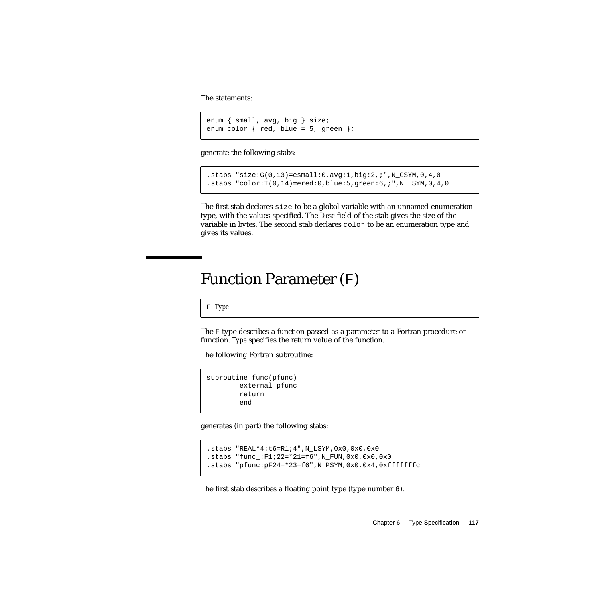The statements:

```
enum { small, avg, big } size;
enum color \{ red, blue = 5, green \};
```
generate the following stabs:

```
.stabs "size:G(0,13)=esmall:0,avg:1,big:2,;",N_GSYM,0,4,0
.stabs "color:T(0,14)=ered:0,blue:5,green:6,;",N_LSYM,0,4,0
```
The first stab declares size to be a global variable with an unnamed enumeration type, with the values specified. The *Desc* field of the stab gives the size of the variable in bytes. The second stab declares color to be an enumeration type and gives its values.

#### Function Parameter (F)

F *Type*

The F type describes a function passed as a parameter to a Fortran procedure or function. *Type* specifies the return value of the function.

The following Fortran subroutine:

```
subroutine func(pfunc)
        external pfunc
        return
        end
```
generates (in part) the following stabs:

```
.stabs "REAL*4:t6=R1;4",N_LSYM,0x0,0x0,0x0
.stabs "func_:F1;22=*21=f6",N_FUN,0x0,0x0,0x0
.stabs "pfunc:pF24=*23=f6",N_PSYM,0x0,0x4,0xfffffffc
```
The first stab describes a floating point type (type number 6).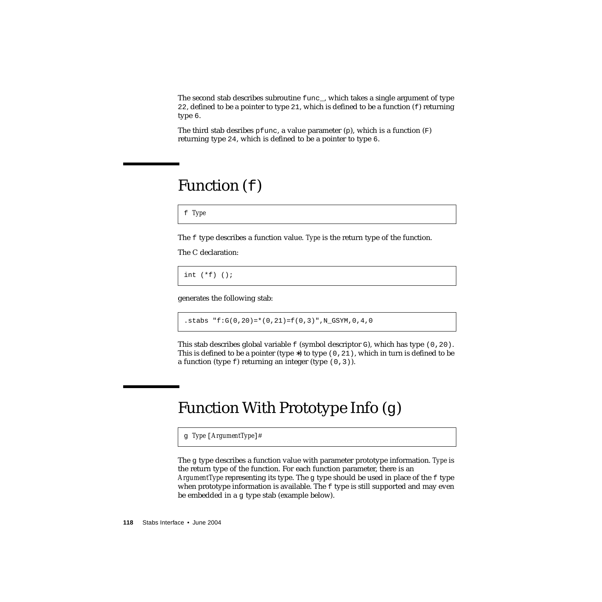The second stab describes subroutine func\_, which takes a single argument of type 22, defined to be a pointer to type 21, which is defined to be a function  $(f)$  returning type 6.

The third stab desribes pfunc, a value parameter  $(p)$ , which is a function  $(F)$ returning type 24, which is defined to be a pointer to type 6.

## Function (f)

f *Type*

The f type describes a function value. *Type* is the return type of the function.

The C declaration:

int (\*f) ();

generates the following stab:

.stabs "f:G(0,20)=\*(0,21)=f(0,3)",N\_GSYM,0,4,0

This stab describes global variable  $f$  (symbol descriptor  $G$ ), which has type (0,20). This is defined to be a pointer (type  $*$ ) to type (0,21), which in turn is defined to be a function (type  $f$ ) returning an integer (type  $(0,3)$ ).

# Function With Prototype Info (g)

g *Type* [*ArgumentType*]#

The g type describes a function value with parameter prototype information. *Type* is the return type of the function. For each function parameter, there is an *ArgumentType* representing its type. The g type should be used in place of the f type when prototype information is available. The  $f$  type is still supported and may even be embedded in a g type stab (example below).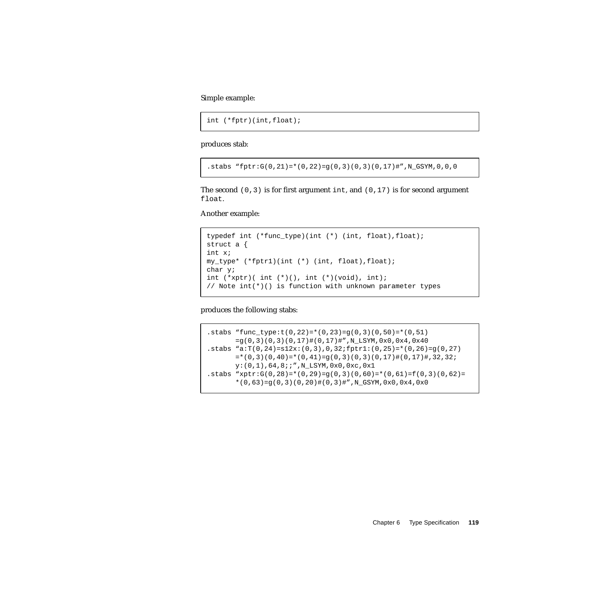Simple example:

```
int (*fptr)(int,float);
```
produces stab:

.stabs "fptr:G(0,21)=\*(0,22)=g(0,3)(0,3)(0,17)#",N\_GSYM,0,0,0

The second  $(0,3)$  is for first argument int, and  $(0,17)$  is for second argument float.

Another example:

```
typedef int (*func_type)(int (*) (int, float), float);
struct a {
int x;
my_type* (*fptr1)(int (*) (int, float),float);
char y;
int (*xptr) (int (*) (), int (*) (void), int);
// Note int(*)() is function with unknown parameter types
```
produces the following stabs:

.stabs "func\_type: $t(0,22)=*(0,23)=g(0,3)(0,50)=*(0,51)$ =g(0,3)(0,3)(0,17)#(0,17)#",N\_LSYM,0x0,0x4,0x40 .stabs  $\texttt{``a:} \texttt{T}(0,24)=s12x:(0,3),0,32:fptr1:(0,25)=*(0,26)=g(0,27)$  $=*(0,3)(0,40)=*(0,41)=g(0,3)(0,3)(0,17)*(0,17)$ #,32,32; y:(0,1),64,8;;",N\_LSYM,0x0,0xc,0x1 .stabs "xptr:G(0,28)=\*(0,29)=q(0,3)(0,60)=\*(0,61)=f(0,3)(0,62)=  $*(0,63)=g(0,3)(0,20)+(0,3)*"$ , N\_GSYM, 0x0, 0x4, 0x0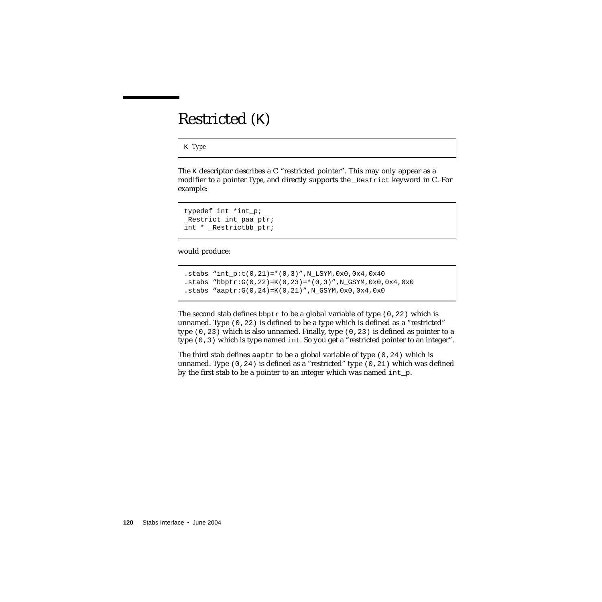## Restricted (K)

K *Type*

The K descriptor describes a C "restricted pointer". This may only appear as a modifier to a pointer *Type*, and directly supports the \_Restrict keyword in C. For example:

```
typedef int *int_p;
_Restrict int_paa_ptr;
int * Restrictbb ptr;
```
would produce:

```
.stabs "int_p:t(0, 21)=*(0, 3)", N_LSYM,0x0,0x4,0x40
.stabs "bbptr:G(0, 22) = K(0, 23) = * (0, 3)", N_GSYM, 0x0, 0x4, 0x0
.stabs "aaptr:G(0, 24) = K(0, 21)", N_GSYM, 0x0, 0x4, 0x0
```
The second stab defines  $b$ b $p$ tr to be a global variable of type (0,22) which is unnamed. Type (0,22) is defined to be a type which is defined as a "restricted" type  $(0,23)$  which is also unnamed. Finally, type  $(0,23)$  is defined as pointer to a type (0,3) which is type named int. So you get a "restricted pointer to an integer".

The third stab defines aaptr to be a global variable of type  $(0, 24)$  which is unnamed. Type  $(0,24)$  is defined as a "restricted" type  $(0,21)$  which was defined by the first stab to be a pointer to an integer which was named int\_p.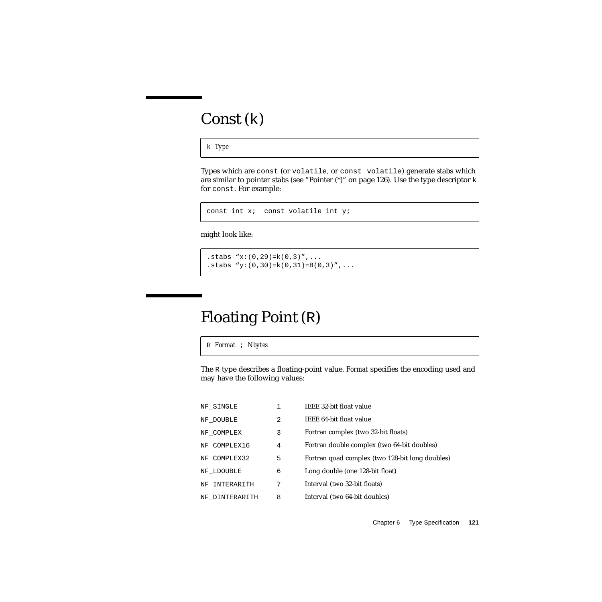## Const (k)

k *Type*

Types which are const (or volatile, or const volatile) generate stabs which are similar to pointer stabs (see "Pointer  $(*)$ " on page 126). Use the type descriptor  $k$ for const. For example:

```
const int x; const volatile int y;
```
might look like:

.stabs  $"x:(0,29)=k(0,3)"$ , ... .stabs "y:  $(0,30)$ =k $(0,31)$ =B $(0,3)$ ",...

## Floating Point (R)

R *Format* ; *Nbytes*

The R type describes a floating-point value. *Format* specifies the encoding used and may have the following values:

| NF SINGLE      |   | IEEE 32-bit float value                         |
|----------------|---|-------------------------------------------------|
| NF DOUBLE      | 2 | IEEE 64-bit float value                         |
| NF COMPLEX     | 3 | Fortran complex (two 32-bit floats)             |
| NF COMPLEX16   | 4 | Fortran double complex (two 64-bit doubles)     |
| NF COMPLEX32   | 5 | Fortran quad complex (two 128-bit long doubles) |
| NF LDOUBLE     | 6 | Long double (one 128-bit float)                 |
| NF INTERARITH  | 7 | Interval (two 32-bit floats)                    |
| NF DINTERARITH | 8 | Interval (two 64-bit doubles)                   |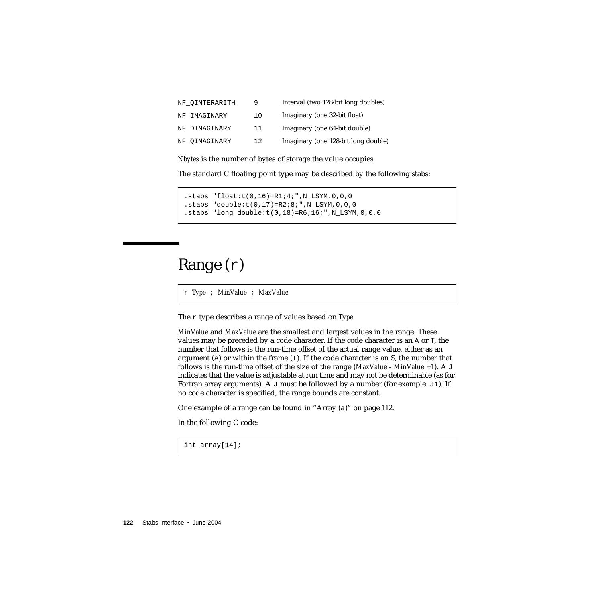| NF OINTERARITH | 9   | Interval (two 128-bit long doubles) |
|----------------|-----|-------------------------------------|
| NF IMAGINARY   | 10  | Imaginary (one 32-bit float)        |
| NF DIMAGINARY  | 11  | Imaginary (one 64-bit double)       |
| NF OIMAGINARY  | 12. | Imaginary (one 128-bit long double) |

*Nbytes* is the number of bytes of storage the value occupies.

The standard C floating point type may be described by the following stabs:

```
.stabs "float:t(0,16)=R1;4;",N_LSYM,0,0,0
.stabs "double:t(0,17)=R2;8;",N_LSYM,0,0,0
.stabs "long double:t(0,18)=R6;16;",N LSYM,0,0,0
```
### <span id="page-121-0"></span>Range (r)

r *Type* ; *MinValue* ; *MaxValue*

The r type describes a range of values based on *Type*.

*MinValue* and *MaxValue* are the smallest and largest values in the range. These values may be preceded by a code character. If the code character is an A or T, the number that follows is the run-time offset of the actual range value, either as an argument (A) or within the frame (T). If the code character is an S, the number that follows is the run-time offset of the size of the range (*MaxValue* - *MinValue* +1). A J indicates that the value is adjustable at run time and may not be determinable (as for Fortran array arguments). A J must be followed by a number (for example. J1). If no code character is specified, the range bounds are constant.

One example of a range can be found in "Array (a[\)" on page 112.](#page-111-1)

In the following C code:

int array[14];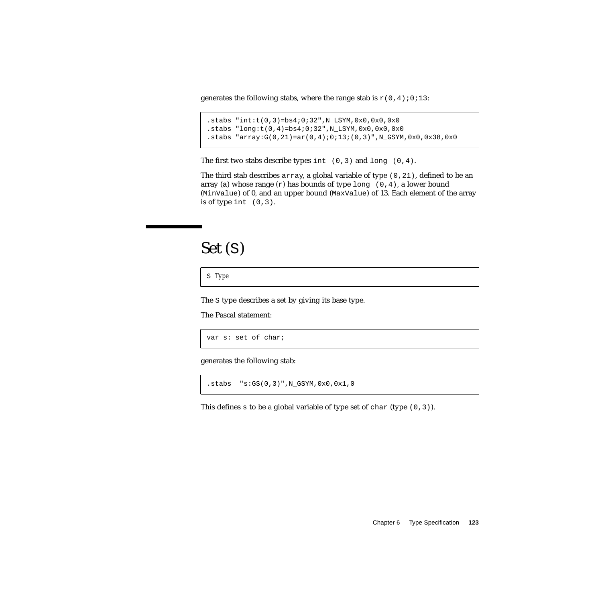generates the following stabs, where the range stab is  $r(0,4);0;13$ :

```
.stabs "int:t(0,3)=bs4;0;32",N_LSYM,0x0,0x0,0x0
.stabs "long:t(0,4)=bs4;0;32",N_LSYM,0x0,0x0,0x0
.stabs "array:G(0,21)=ar(0,4);0;13;(0,3)",N_GSYM,0x0,0x38,0x0
```
The first two stabs describe types int  $(0,3)$  and long  $(0,4)$ .

The third stab describes array, a global variable of type  $(0, 21)$ , defined to be an array (a) whose range  $(r)$  has bounds of type long  $(0,4)$ , a lower bound (MinValue) of 0, and an upper bound (MaxValue) of 13. Each element of the array is of type int  $(0,3)$ .

#### Set (S)

S *Type*

The S type describes a set by giving its base type.

The Pascal statement:

var s: set of char;

generates the following stab:

.stabs "s:GS(0,3)",N\_GSYM,0x0,0x1,0

This defines s to be a global variable of type set of char (type  $(0,3)$ ).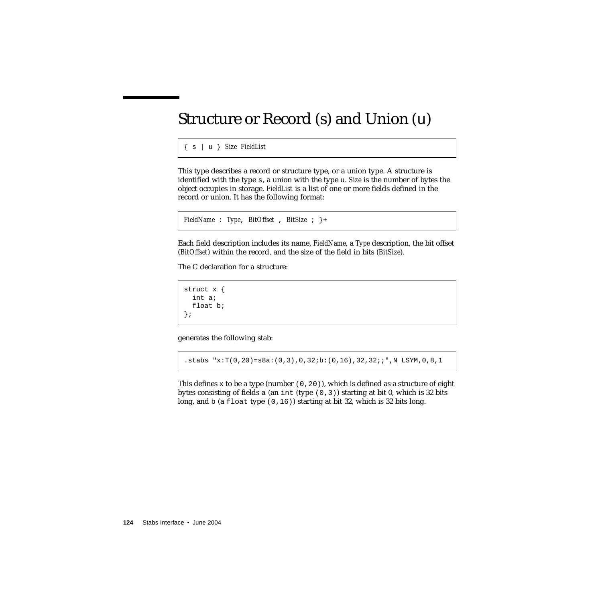## Structure or Record (s) and Union (u)

{ s | u } *Size FieldList*

This type describes a record or structure type, or a union type. A structure is identified with the type s, a union with the type u. *Size* is the number of bytes the object occupies in storage. *FieldList* is a list of one or more fields defined in the record or union. It has the following format:

```
FieldName : Type, BitOffset , BitSize ; }+
```
Each field description includes its name, *FieldName*, a *Type* description, the bit offset (*BitOffset*) within the record, and the size of the field in bits (*BitSize*).

The C declaration for a structure:

```
struct x {
  int a;
 float b;
};
```
generates the following stab:

.stabs "x:T(0,20)=s8a:(0,3),0,32;b:(0,16),32,32;;",N\_LSYM,0,8,1

This defines x to be a type (number  $(0, 20)$ ), which is defined as a structure of eight bytes consisting of fields a (an int (type  $(0,3)$ ) starting at bit 0, which is 32 bits long, and b (a float type  $(0,16)$ ) starting at bit 32, which is 32 bits long.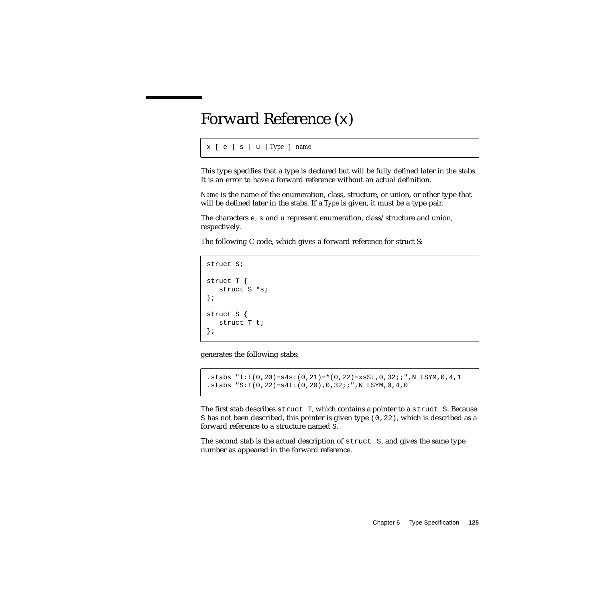### Forward Reference (x)

```
x [ e | s | u | Type ] name
```
This type specifies that a type is declared but will be fully defined later in the stabs. It is an error to have a forward reference without an actual definition.

*Name* is the name of the enumeration, class, structure, or union, or other type that will be defined later in the stabs. If a *Type* is given, it must be a type pair.

The characters e, s and u represent enumeration, class/structure and union, respectively.

The following C code, which gives a forward reference for struct S:

```
struct S;
struct T {
  struct S *s;
};
struct S {
   struct T t;
};
```
generates the following stabs:

```
.stabs "T:T(0, 20)=s4s:(0, 21)=*(0, 22)=xsS:, 0, 32;;",N LSYM,0,4,1
.stabs "S:T(0,22)=s4t:(0,20),0,32;;",N_LSYM,0,4,0
```
The first stab describes struct T, which contains a pointer to a struct S. Because S has not been described, this pointer is given type (0,22), which is described as a forward reference to a structure named S.

The second stab is the actual description of struct S, and gives the same type number as appeared in the forward reference.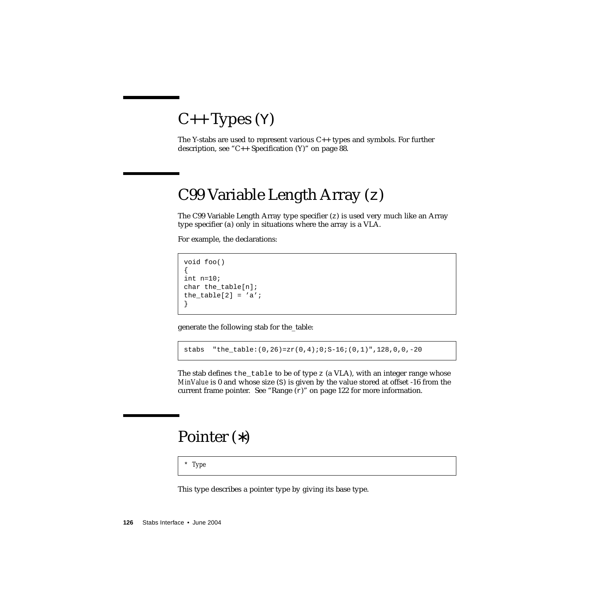## $C++$  Types  $(Y)$

The Y-stabs are used to represent various  $C_{++}$  types and symbols. For further description, see ["C++ Specification \(Y\)" on page 88.](#page-87-0)

## C99 Variable Length Array (z)

The C99 Variable Length Array type specifier (z) is used very much like an Array type specifier (a) only in situations where the array is a VLA.

For example, the declarations:

void foo() { int n=10; char the table[n]; the\_table[2] =  $'a$ ; }

generate the following stab for the\_table:

stabs "the table: $(0,26)$ =zr $(0,4)$ ;0;S-16; $(0,1)$ ",128,0,0,-20

The stab defines the\_table to be of type z (a VLA), with an integer range whose *MinValue* is 0 and whose size (S) is given by the value stored at offset -16 from the current frame pointer. See "Range  $(r)$ " on page 122 for more information.

#### <span id="page-125-0"></span>Pointer (∗)

\* *Type*

This type describes a pointer type by giving its base type.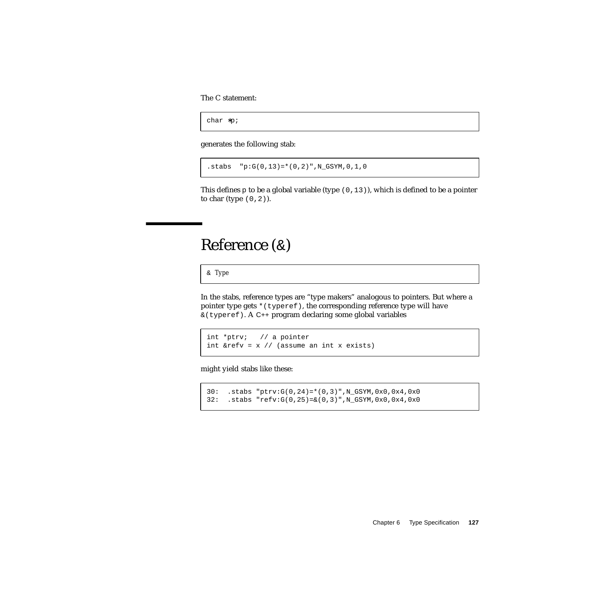The C statement:

char ∗p;

generates the following stab:

 $.$ stabs  $"p:G(0,13)=*(0,2)"$ , N\_GSYM, 0, 1, 0

This defines  $p$  to be a global variable (type  $(0,13)$ ), which is defined to be a pointer to char (type  $(0,2)$ ).

#### Reference (&)

& *Type*

In the stabs, reference types are "type makers" analogous to pointers. But where a pointer type gets \* (typeref), the corresponding reference type will have &(typeref). A C++ program declaring some global variables

```
int *ptrv; // a pointer
int xrefv = x // (assume an int x exists)
```
might yield stabs like these:

```
30: .stabs "ptrv:G(0,24)=*(0,3)",N_GSYM,0x0,0x4,0x0
32: .stabs "refv:G(0,25)=&(0,3)",N_GSYM,0x0,0x4,0x0
```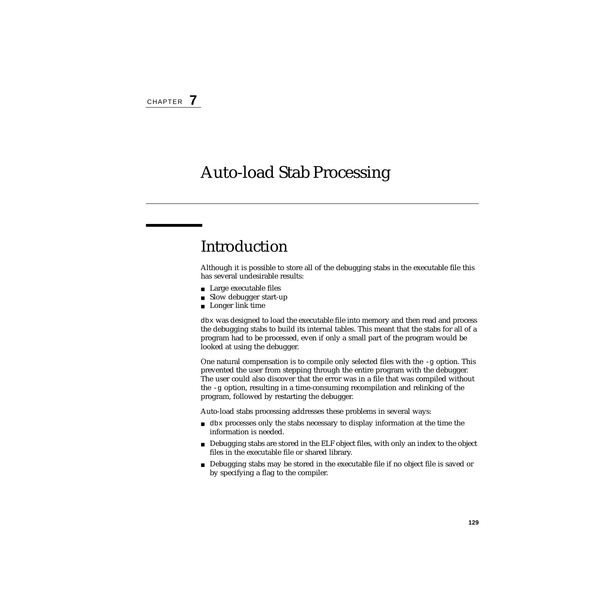## Auto-load Stab Processing

## Introduction

Although it is possible to store all of the debugging stabs in the executable file this has several undesirable results:

- Large executable files
- Slow debugger start-up
- Longer link time

dbx was designed to load the executable file into memory and then read and process the debugging stabs to build its internal tables. This meant that the stabs for all of a program had to be processed, even if only a small part of the program would be looked at using the debugger.

One natural compensation is to compile only selected files with the  $-g$  option. This prevented the user from stepping through the entire program with the debugger. The user could also discover that the error was in a file that was compiled without the -g option, resulting in a time-consuming recompilation and relinking of the program, followed by restarting the debugger.

Auto-load stabs processing addresses these problems in several ways:

- dbx processes only the stabs necessary to display information at the time the information is needed.
- Debugging stabs are stored in the ELF object files, with only an index to the object files in the executable file or shared library.
- Debugging stabs may be stored in the executable file if no object file is saved or by specifying a flag to the compiler.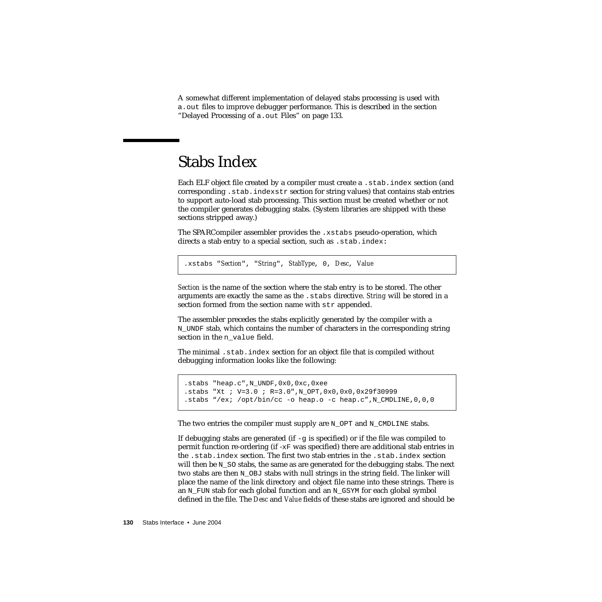A somewhat different implementation of delayed stabs processing is used with a.out files to improve debugger performance. This is described in the section ["Delayed Processing of](#page-132-0) a.out Files" on page 133.

### Stabs Index

Each ELF object file created by a compiler must create a .stab.index section (and corresponding .stab.indexstr section for string values) that contains stab entries to support auto-load stab processing. This section must be created whether or not the compiler generates debugging stabs. (System libraries are shipped with these sections stripped away.)

The SPARCompiler assembler provides the .xstabs pseudo-operation, which directs a stab entry to a special section, such as .stab.index**:**

.xstabs "*Section*", "*String*", *StabType*, 0, *Desc*, *Value*

*Section* is the name of the section where the stab entry is to be stored. The other arguments are exactly the same as the .stabs directive. *String* will be stored in a section formed from the section name with str appended.

The assembler precedes the stabs explicitly generated by the compiler with a N\_UNDF stab, which contains the number of characters in the corresponding string section in the n\_value field.

The minimal .stab.index section for an object file that is compiled without debugging information looks like the following:

```
.stabs "heap.c",N_UNDF,0x0,0xc,0xee
.stabs "Xt ; V=3.0 ; R=3.0",N_OPT,0x0,0x0,0x29f30999
.stabs "/ex; /opt/bin/cc -o heap.o -c heap.c", N CMDLINE, 0, 0,0
```
The two entries the compiler must supply are N\_OPT and N\_CMDLINE stabs.

If debugging stabs are generated (if  $-\sigma$  is specified) or if the file was compiled to permit function re-ordering (if - $xF$  was specified) there are additional stab entries in the .stab.index section. The first two stab entries in the .stab.index section will then be  $N$  so stabs, the same as are generated for the debugging stabs. The next two stabs are then N\_OBJ stabs with null strings in the string field. The linker will place the name of the link directory and object file name into these strings. There is an N\_FUN stab for each global function and an N\_GSYM for each global symbol defined in the file. The *Desc* and *Value* fields of these stabs are ignored and should be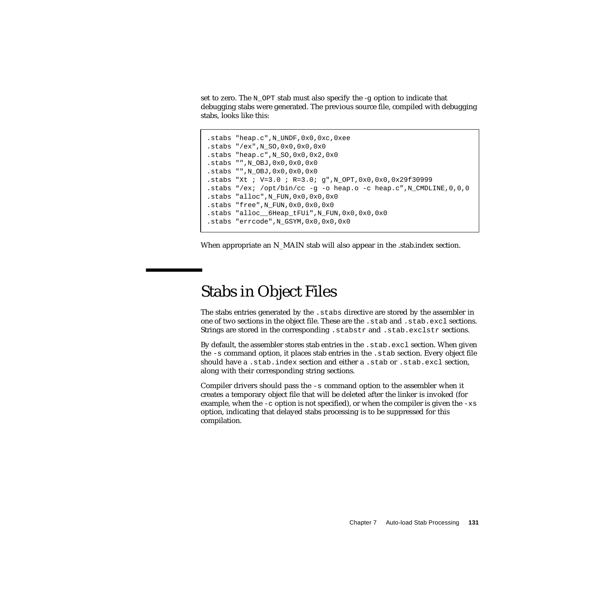set to zero. The N\_OPT stab must also specify the -g option to indicate that debugging stabs were generated. The previous source file, compiled with debugging stabs, looks like this:

```
.stabs "heap.c",N_UNDF,0x0,0xc,0xee
.stabs "/ex",N_SO,0x0,0x0,0x0
.stabs "heap.c",N_SO,0x0,0x2,0x0
.stabs "",N_OBJ,0x0,0x0,0x0
.stabs "",N_OBJ,0x0,0x0,0x0
.stabs "Xt ; V=3.0 ; R=3.0; g",N_OPT,0x0,0x0,0x29f30999
.stabs "/ex; /opt/bin/cc -g -o heap.o -c heap.c",N_CMDLINE,0,0,0
.stabs "alloc",N_FUN,0x0,0x0,0x0
.stabs "free",N_FUN,0x0,0x0,0x0
.stabs "alloc__6Heap_tFUi",N_FUN,0x0,0x0,0x0
.stabs "errcode",N_GSYM,0x0,0x0,0x0
```
When appropriate an N\_MAIN stab will also appear in the .stab.index section.

### Stabs in Object Files

The stabs entries generated by the .stabs directive are stored by the assembler in one of two sections in the object file. These are the .stab and .stab.excl sections. Strings are stored in the corresponding . stabstr and . stab.exclstr sections.

By default, the assembler stores stab entries in the . stab.excl section. When given the -s command option, it places stab entries in the .stab section. Every object file should have a .stab.index section and either a .stab or .stab.excl section, along with their corresponding string sections.

Compiler drivers should pass the -s command option to the assembler when it creates a temporary object file that will be deleted after the linker is invoked (for example, when the  $-c$  option is not specified), or when the compiler is given the  $-xs$ option, indicating that delayed stabs processing is to be suppressed for this compilation.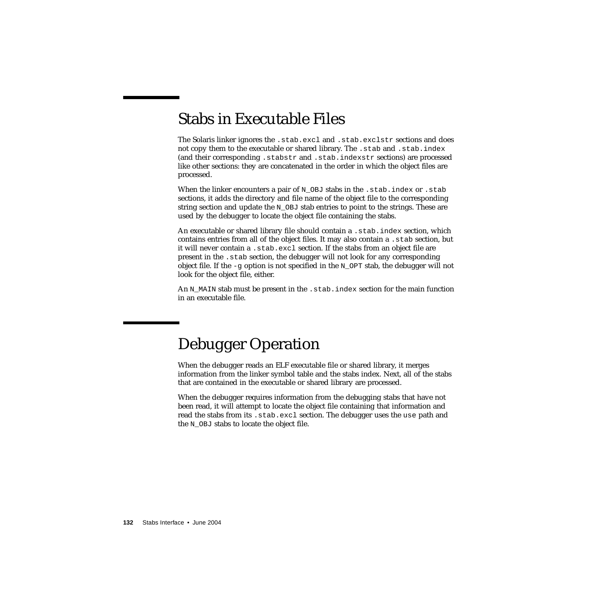## Stabs in Executable Files

The Solaris linker ignores the .stab.excl and .stab.exclstr sections and does not copy them to the executable or shared library. The .stab and .stab.index (and their corresponding .stabstr and .stab.indexstr sections) are processed like other sections: they are concatenated in the order in which the object files are processed.

When the linker encounters a pair of  $N$  OBJ stabs in the .stab.index or .stab sections, it adds the directory and file name of the object file to the corresponding string section and update the  $N$  OBJ stab entries to point to the strings. These are used by the debugger to locate the object file containing the stabs.

An executable or shared library file should contain a .stab.index section, which contains entries from all of the object files. It may also contain a .stab section, but it will never contain a .stab.excl section. If the stabs from an object file are present in the .stab section, the debugger will not look for any corresponding object file. If the  $-\alpha$  option is not specified in the N OPT stab, the debugger will not look for the object file, either.

An N\_MAIN stab must be present in the .stab.index section for the main function in an executable file.

# Debugger Operation

When the debugger reads an ELF executable file or shared library, it merges information from the linker symbol table and the stabs index. Next, all of the stabs that are contained in the executable or shared library are processed.

When the debugger requires information from the debugging stabs that have not been read, it will attempt to locate the object file containing that information and read the stabs from its .stab.excl section. The debugger uses the use path and the N\_OBJ stabs to locate the object file.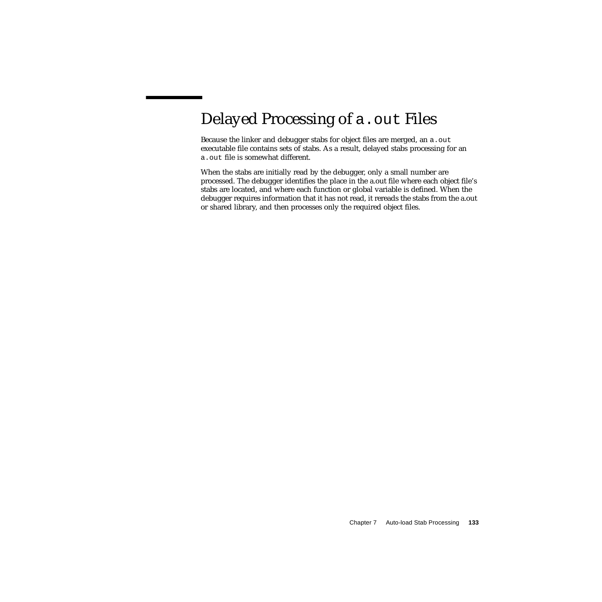# <span id="page-132-0"></span>Delayed Processing of a . out Files

Because the linker and debugger stabs for object files are merged, an a.out executable file contains sets of stabs. As a result, delayed stabs processing for an a.out file is somewhat different.

When the stabs are initially read by the debugger, only a small number are processed. The debugger identifies the place in the a.out file where each object file's stabs are located, and where each function or global variable is defined. When the debugger requires information that it has not read, it rereads the stabs from the a.out or shared library, and then processes only the required object files.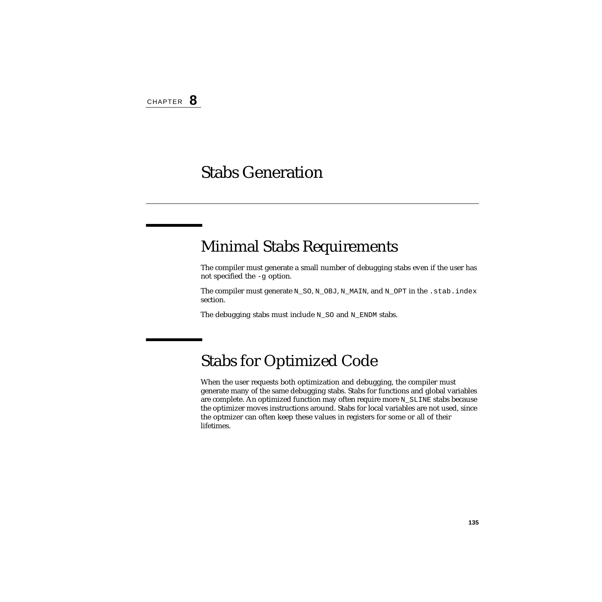### Stabs Generation

### Minimal Stabs Requirements

The compiler must generate a small number of debugging stabs even if the user has not specified the -g option.

The compiler must generate N\_SO, N\_OBJ, N\_MAIN, and N\_OPT in the .stab.index section.

The debugging stabs must include N\_SO and N\_ENDM stabs.

### Stabs for Optimized Code

When the user requests both optimization and debugging, the compiler must generate many of the same debugging stabs. Stabs for functions and global variables are complete. An optimized function may often require more N\_SLINE stabs because the optimizer moves instructions around. Stabs for local variables are not used, since the optmizer can often keep these values in registers for some or all of their lifetimes.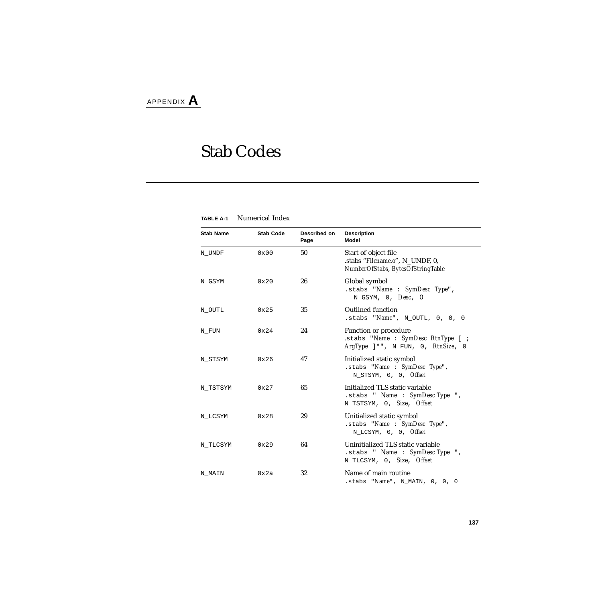# Stab Codes

| <b>Stab Name</b> | <b>Stab Code</b> | Described on<br>Page | <b>Description</b><br>Model                                                                          |
|------------------|------------------|----------------------|------------------------------------------------------------------------------------------------------|
| N UNDF           | $0 \times 00$    | 50                   | Start of object file<br>.stabs "Filename.o", N_UNDF, 0,<br>NumberOfStabs, BytesOfStringTable         |
| N GSYM           | $0 \times 20$    | 26                   | Global symbol<br>.stabs "Name: $SymDesc Type$ ",<br>$N_GSYM, 0, Desc, 0$                             |
| N_OUTL           | 0x25             | 35                   | Outlined function<br>.stabs " $Name$ ", $N$ _OUTL, 0, 0, 0                                           |
| N FUN            | 0x24             | 24                   | Function or procedure<br>.stabs "Name: SymDesc RtnType [ ;<br>$ArgType$ ]*", N_FUN, 0, $RtnSize$ , 0 |
| N STSYM          | 0x26             | 47                   | Initialized static symbol<br>.stabs "Name : SymDesc Type",<br>N STSYM, 0, 0, Offset                  |
| N_TSTSYM         | $0 \times 27$    | 65                   | Initialized TLS static variable<br>.stabs " Name : SymDesc Type ",<br>N_TSTSYM, 0, Size, Offset      |
| N LCSYM          | 0x28             | 29                   | Unitialized static symbol<br>.stabs "Name : SymDesc Type",<br>N LCSYM, 0, 0, Offset                  |
| N TLCSYM         | $0 \times 29$    | 64                   | Uninitialized TLS static variable<br>.stabs " Name : SymDesc Type ",<br>N_TLCSYM, 0, Size, Offset    |
| N MAIN           | 0x2a             | 32                   | Name of main routine<br>.stabs " $Name$ ", $N_MAIN$ , 0, 0, 0                                        |

#### **TABLE A-1** Numerical Index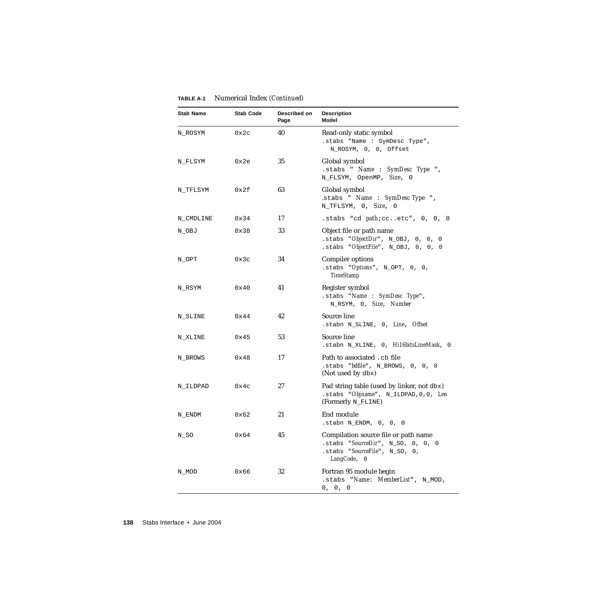| <b>Stab Name</b> | <b>Stab Code</b> | Described on<br>Page | <b>Description</b><br>Model                                                                                                      |
|------------------|------------------|----------------------|----------------------------------------------------------------------------------------------------------------------------------|
| N_ROSYM          | 0x2c             | 40                   | Read-only static symbol<br>.stabs "Name : SymDesc Type",<br>N_ROSYM, 0, 0, Offset                                                |
| N_FLSYM          | 0x2e             | 35                   | Global symbol<br>.stabs " Name : SymDesc Type ",<br>N_FLSYM, OpenMP, Size, 0                                                     |
| N_TFLSYM         | 0x2f             | 63                   | Global symbol<br>.stabs " Name : SymDesc Type ",<br>N_TFLSYM, 0, Size, 0                                                         |
| N_CMDLINE        | 0x34             | 17                   | .stabs "cd $path$ :ccetc", $0, 0, 0$                                                                                             |
| N_OBJ            | 0x38             | 33                   | Object file or path name<br>.stabs " $ObjectDir$ ", $N_OBJ$ , 0, 0, 0<br>.stabs "ObjectFile", N_OBJ, 0, 0, 0                     |
| N_OPT            | 0x3c             | 34                   | Compiler options<br>.stabs "Options", N_OPT, 0, 0,<br><b>TimeStamp</b>                                                           |
| N_RSYM           | 0x40             | 41                   | Register symbol<br>.stabs "Name: $SymDesc Type$ ",<br>N_RSYM, 0, Size, Number                                                    |
| N_SLINE          | 0x44             | 42                   | Source line<br>.stabn N_SLINE, 0, Line, Offset                                                                                   |
| N XLINE          | 0x45             | 53                   | Source line<br>.stabn N_XLINE, 0, Hil6bitsLineMask, 0                                                                            |
| N BROWS          | 0x48             | 17                   | Path to associated . cb file<br>.stabs $"bdfile", N_BROWS, 0, 0, 0$<br>(Not used by dbx)                                         |
| N_ILDPAD         | 0x4c             | 27                   | Pad string table (used by linker, not dbx)<br>.stabs "Objname", N_ILDPAD, 0, 0, Len<br>(Formerly N_FLINE)                        |
| N ENDM           | 0x62             | 21                   | End module<br>.stabn N_ENDM, 0, 0, 0                                                                                             |
| N_SO             | 0x64             | 45                   | Compilation source file or path name<br>.stabs " $SourceDir$ ", $N_S$ 0, 0, 0, 0<br>.stabs "SourceFile", N_SO, 0,<br>LangCode, 0 |
| N_MOD            | 0x66             | 32                   | Fortran 95 module begin<br>.stabs "Name: MemberList", N_MOD,<br>0, 0, 0                                                          |

#### **TABLE A-1** Numerical Index *(Continued)*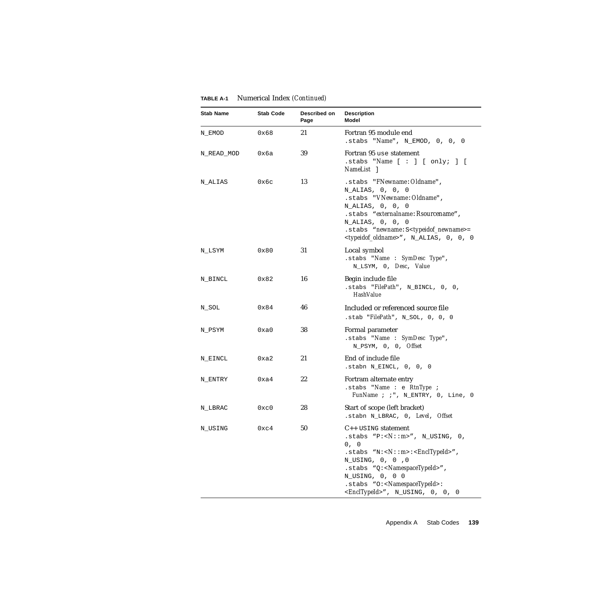| <b>Stab Name</b> | <b>Stab Code</b> | Described on<br>Page | <b>Description</b><br>Model                                                                                                                                                                                                                                                                                          |
|------------------|------------------|----------------------|----------------------------------------------------------------------------------------------------------------------------------------------------------------------------------------------------------------------------------------------------------------------------------------------------------------------|
| N_EMOD           | 0x68             | 21                   | Fortran 95 module end<br>.stabs " $Name$ ", $N\_EMOD$ , 0, 0, 0                                                                                                                                                                                                                                                      |
| N_READ_MOD       | 0хба             | 39                   | Fortran 95 use statement<br>.stabs "Name $[ : ] [ only; ] [$<br>NameList 1                                                                                                                                                                                                                                           |
| N_ALIAS          | 0х6с             | 13                   | .stabs "FNewname: Oldname",<br>N_ALIAS, 0, 0, 0<br>.stabs "VNewname: Oldname",<br>N_ALIAS, 0, 0, 0<br>.stabs "externalname: Rsourcename",<br>N_ALIAS, 0, 0, 0<br>.stabs "newname:S <typeidof_newname>=<br/>&lt;<i>typeidof_oldname&gt;"</i>, N_ALIAS, 0, 0, 0</typeidof_newname>                                     |
| N_LSYM           | 0x80             | 31                   | Local symbol<br>.stabs "Name : SymDesc Type",<br>N_LSYM, 0, Desc, Value                                                                                                                                                                                                                                              |
| N_BINCL          | 0x82             | 16                   | Begin include file<br>.stabs "FilePath", N_BINCL, 0, 0,<br><b>HashValue</b>                                                                                                                                                                                                                                          |
| N_SOL            | 0x84             | 46                   | Included or referenced source file<br>.stab "FilePath", N_SOL, 0, 0, 0                                                                                                                                                                                                                                               |
| N_PSYM           | 0xa0             | 38                   | Formal parameter<br>.stabs "Name: $SymDesc Type$ ",<br>N_PSYM, 0, 0, Offset                                                                                                                                                                                                                                          |
| N_EINCL          | 0xa2             | 21                   | End of include file<br>.stabn N_EINCL, 0, 0, 0                                                                                                                                                                                                                                                                       |
| N_ENTRY          | 0xa4             | 22                   | Fortram alternate entry<br>.stabs "Name : e RtnType ;<br>FunName ; ; ", N_ENTRY, 0, Line, 0                                                                                                                                                                                                                          |
| N_LBRAC          | 0xc0             | 28                   | Start of scope (left bracket)<br>.stabn N_LBRAC, 0, Level, Offset                                                                                                                                                                                                                                                    |
| N_USING          | 0xc4             | 50                   | $C_{++}$ USING statement<br>.stabs $"P: "$ , N_USING, 0,<br>0, 0<br>$:$ stabs "N: < $N$ :: m>: < $EnclTypeId$ >",<br>N_USING, 0, 0 ,0<br>$:$ stabs "Q: <namespacetypeid>",<br/>N_USING, 0, 0 0<br/>.stabs "O:<namespacetypeid>:<br/><encltypeid>", N_USING, 0, 0, 0</encltypeid></namespacetypeid></namespacetypeid> |

#### **TABLE A-1** Numerical Index *(Continued)*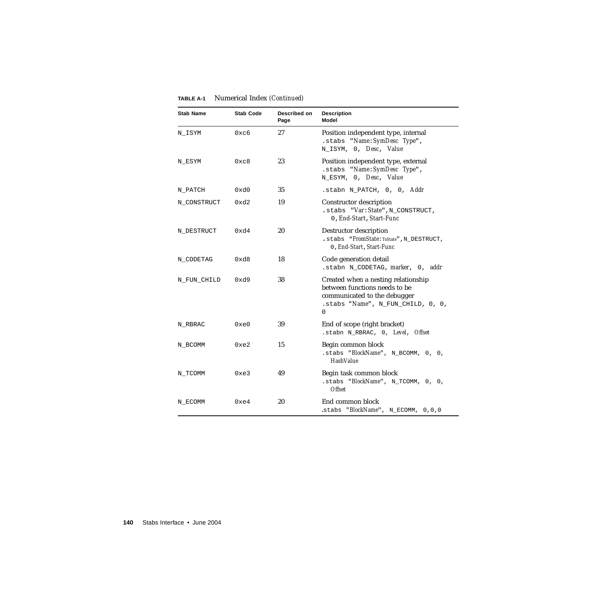| <b>Stab Name</b> | <b>Stab Code</b> | Described on<br>Page | <b>Description</b><br>Model                                                                                                                        |
|------------------|------------------|----------------------|----------------------------------------------------------------------------------------------------------------------------------------------------|
| N_ISYM           | 0xc6             | 27                   | Position independent type, internal<br>.stabs "Name: SymDesc Type",<br>N_ISYM, 0, Desc, Value                                                      |
| N_ESYM           | 0xc8             | 23                   | Position independent type, external<br>.stabs "Name: SymDesc Type",<br>N_ESYM, 0, Desc, Value                                                      |
| N_PATCH          | 0xd0             | 35                   | .stabn N_PATCH, 0, 0, Addr                                                                                                                         |
| N_CONSTRUCT      | 0xd2             | 19                   | Constructor description<br>.stabs "Var: State", N_CONSTRUCT,<br>0, End-Start, Start-Func                                                           |
| N_DESTRUCT       | 0xd4             | 20                   | Destructor description<br>. stabs "FromState: ToState", N_DESTRUCT,<br>0, End-Start, Start-Func                                                    |
| N_CODETAG        | 0xd8             | 18                   | Code generation detail<br>.stabn N_CODETAG, marker, 0, addr                                                                                        |
| N_FUN_CHILD      | 0xd9             | 38                   | Created when a nesting relationship<br>between functions needs to be<br>communicated to the debugger<br>.stabs " $Name$ ", N_FUN_CHILD, 0, 0,<br>0 |
| N_RBRAC          | 0xe0             | 39                   | End of scope (right bracket)<br>.stabn N_RBRAC, 0, Level, Offset                                                                                   |
| N_BCOMM          | 0xe2             | 15                   | Begin common block<br>.stabs "BlockName", N_BCOMM, 0, 0,<br><b>HashValue</b>                                                                       |
| N_TCOMM          | 0xe3             | 49                   | Begin task common block<br>.stabs "BlockName", N_TCOMM, 0, 0,<br><b>Offset</b>                                                                     |
| N ECOMM          | 0xe4             | 20                   | End common block<br>.stabs "BlockName", N_ECOMM, 0,0,0                                                                                             |

#### **TABLE A-1** Numerical Index *(Continued)*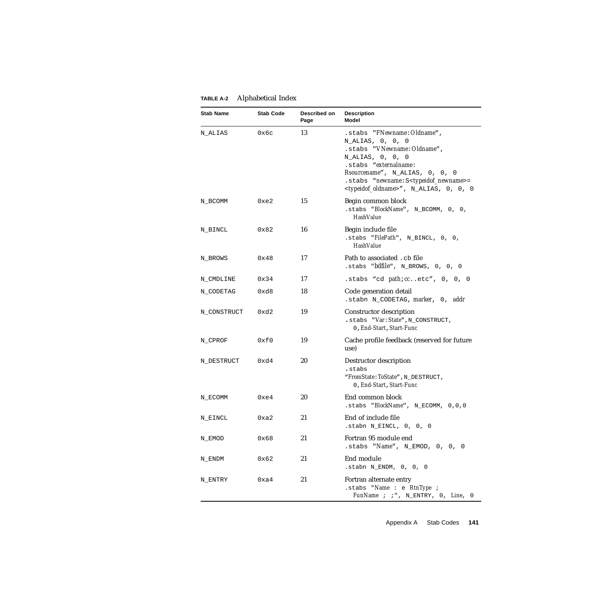| <b>Stab Name</b> | <b>Stab Code</b> | Described on<br>Page | <b>Description</b><br><b>Model</b>                                                                                                                                                                                                                                                         |
|------------------|------------------|----------------------|--------------------------------------------------------------------------------------------------------------------------------------------------------------------------------------------------------------------------------------------------------------------------------------------|
| N ALIAS          | 0x6c             | 13                   | .stabs "FNewname: Oldname",<br>N_ALIAS, 0, 0, 0<br>.stabs "VNewname: Oldname",<br>$N\_ALIAS, 0, 0, 0$<br>.stabs "externalname:<br>Rsourcename", N_ALIAS, 0, 0, 0<br>.stabs "newname: S <typeidof_newname>=<br/><typeidof_oldname>", N_ALIAS, 0, 0, 0</typeidof_oldname></typeidof_newname> |
| N_BCOMM          | 0xe2             | 15                   | Begin common block<br>.stabs "BlockName", N_BCOMM, 0, 0,<br><b>HashValue</b>                                                                                                                                                                                                               |
| N_BINCL          | 0x82             | 16                   | Begin include file<br>$.$ stabs " $FilePath$ ", N_BINCL, 0, 0,<br><b>HashValue</b>                                                                                                                                                                                                         |
| N_BROWS          | 0x48             | 17                   | Path to associated .cb file<br>.stabs "bdfile", N_BROWS, 0, 0, 0                                                                                                                                                                                                                           |
| N_CMDLINE        | 0x34             | 17                   | .stabs "cd path: ccetc", 0, 0, 0                                                                                                                                                                                                                                                           |
| N_CODETAG        | 0xd8             | 18                   | Code generation detail<br>.stabn N_CODETAG, marker, 0, addr                                                                                                                                                                                                                                |
| N_CONSTRUCT      | 0xd2             | 19                   | Constructor description<br>.stabs "Var: State", N_CONSTRUCT,<br>0, End-Start, Start-Func                                                                                                                                                                                                   |
| N_CPROF          | 0xf0             | 19                   | Cache profile feedback (reserved for future<br>use)                                                                                                                                                                                                                                        |
| N_DESTRUCT       | 0xd4             | 20                   | Destructor description<br>.stabs<br>"FromState: ToState", N_DESTRUCT,<br>0, End-Start, Start-Func                                                                                                                                                                                          |
| N_ECOMM          | 0xe4             | 20                   | End common block<br>.stabs "BlockName", N_ECOMM, 0,0,0                                                                                                                                                                                                                                     |
| N_EINCL          | 0xa2             | 21                   | End of include file<br>.stabn N_EINCL, 0, 0, 0                                                                                                                                                                                                                                             |
| N_EMOD           | 0x68             | 21                   | Fortran 95 module end<br>.stabs "Name", N_EMOD, 0, 0, 0                                                                                                                                                                                                                                    |
| N_ENDM           | 0x62             | 21                   | End module<br>.stabn N_ENDM, 0, 0, 0                                                                                                                                                                                                                                                       |
| N_ENTRY          | 0xa4             | 21                   | Fortran alternate entry<br>.stabs "Name : e RtnType ;<br>FunName ; ; ", N_ENTRY, 0, Line, 0                                                                                                                                                                                                |

#### **TABLE A-2** Alphabetical Index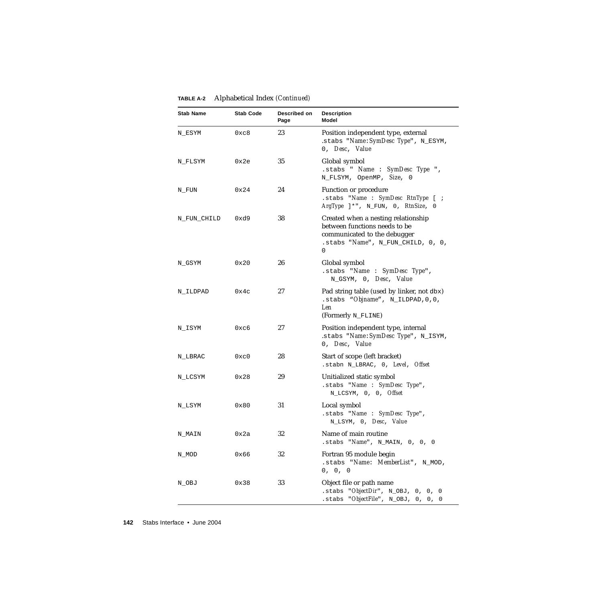| <b>Stab Name</b> | <b>Stab Code</b> | Described on<br>Page | <b>Description</b><br>Model                                                                                                                    |
|------------------|------------------|----------------------|------------------------------------------------------------------------------------------------------------------------------------------------|
| N_ESYM           | 0xc8             | 23                   | Position independent type, external<br>.stabs "Name: SymDesc Type", N_ESYM,<br>0, Desc, Value                                                  |
| N_FLSYM          | 0x2e             | 35                   | Global symbol<br>.stabs " Name : SymDesc Type ",<br>N_FLSYM, OpenMP, Size, 0                                                                   |
| N_FUN            | 0x24             | 24                   | Function or procedure<br>.stabs "Name : SymDesc RtnType [ ;<br>$ArgType$ ]*", N_FUN, 0, $RtnSize$ , 0                                          |
| N_FUN_CHILD      | 0xd9             | 38                   | Created when a nesting relationship<br>between functions needs to be<br>communicated to the debugger<br>.stabs "Name", N_FUN_CHILD, 0, 0,<br>0 |
| N_GSYM           | 0x20             | 26                   | Global symbol<br>.stabs "Name : SymDesc Type",<br>N_GSYM, 0, Desc, Value                                                                       |
| N_ILDPAD         | 0x4c             | 27                   | Pad string table (used by linker, not dbx)<br>$. {\text{stabs}}$ "Objname", N_ILDPAD, 0, 0,<br>Len<br>(Formerly N_FLINE)                       |
| N_ISYM           | 0xc6             | 27                   | Position independent type, internal<br>.stabs "Name: SymDesc Type", N_ISYM,<br>0, Desc, Value                                                  |
| N_LBRAC          | 0xc0             | 28                   | Start of scope (left bracket)<br>.stabn N_LBRAC, 0, Level, Offset                                                                              |
| N_LCSYM          | 0x28             | 29                   | Unitialized static symbol<br>.stabs "Name : SymDesc Type",<br>N_LCSYM, 0, 0, Offset                                                            |
| N_LSYM           | 0x80             | 31                   | Local symbol<br>.stabs "Name : SymDesc Type",<br>N LSYM, 0, Desc, Value                                                                        |
| N MAIN           | 0x2a             | 32                   | Name of main routine<br>.stabs $Name$ , $N_MAIN$ , 0, 0, 0                                                                                     |
| N_MOD            | 0x66             | 32                   | Fortran 95 module begin<br>.stabs "Name: MemberList", N_MOD,<br>0, 0, 0                                                                        |
| N_OBJ            | 0x38             | 33                   | Object file or path name<br>.stabs $"ObjectDir", N_OBJ, 0, 0, 0$<br>"ObjectFile", N_OBJ, 0, 0, 0<br>.stabs                                     |

#### **TABLE A-2** Alphabetical Index *(Continued)*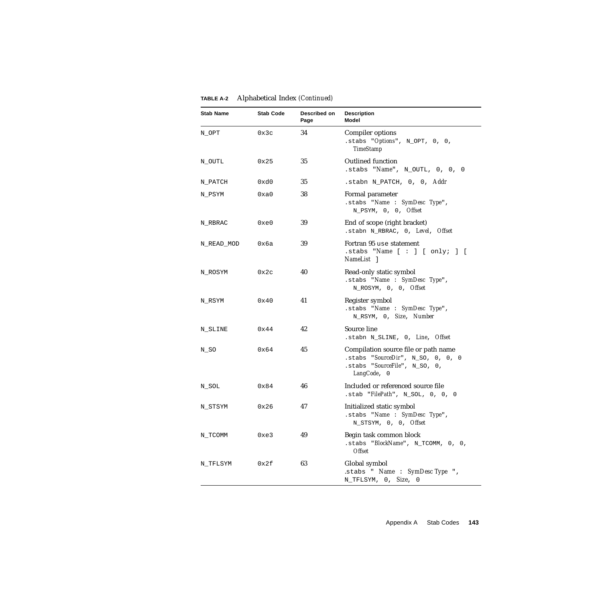| <b>Stab Name</b> | <b>Stab Code</b> | Described on<br>Page | <b>Description</b><br><b>Model</b>                                                                                               |
|------------------|------------------|----------------------|----------------------------------------------------------------------------------------------------------------------------------|
| N_OPT            | 0x3c             | 34                   | Compiler options<br>.stabs " $Options$ ", $N_OPT$ , 0, 0,<br><b>TimeStamp</b>                                                    |
| N_OUTL           | 0x25             | 35                   | <b>Outlined function</b><br>.stabs " $Name$ ", $N_OUTL$ , 0, 0, 0                                                                |
| N PATCH          | 0xd0             | 35                   | .stabn N_PATCH, 0, 0, Addr                                                                                                       |
| N_PSYM           | 0xa0             | 38                   | Formal parameter<br>.stabs "Name : SymDesc Type",<br>N_PSYM, 0, 0, Offset                                                        |
| N_RBRAC          | 0xe0             | 39                   | End of scope (right bracket)<br>.stabn N_RBRAC, 0, Level, Offset                                                                 |
| N READ MOD       | 0хба             | 39                   | Fortran 95 use statement<br>.stabs "Name $[ : ] [ \text{only}; ] [$<br>NameList 1                                                |
| N_ROSYM          | 0x2c             | 40                   | Read-only static symbol<br>.stabs "Name : SymDesc Type",<br>N_ROSYM, 0, 0, Offset                                                |
| N_RSYM           | 0x40             | 41                   | Register symbol<br>.stabs "Name: SymDesc Type",<br>N_RSYM, 0, Size, Number                                                       |
| N_SLINE          | 0x44             | 42                   | Source line<br>.stabn N_SLINE, 0, Line, Offset                                                                                   |
| N_SO             | 0x64             | 45                   | Compilation source file or path name<br>.stabs " $SourceDir$ ", $N_S$ 0, 0, 0, 0<br>.stabs "SourceFile", N_SO, 0,<br>LangCode, 0 |
| N_SOL            | 0x84             | 46                   | Included or referenced source file<br>.stab " $FilePath$ ", $N_SOL$ , 0, 0, 0                                                    |
| N_STSYM          | 0x26             | 47                   | Initialized static symbol<br>.stabs "Name : SymDesc Type",<br>N_STSYM, 0, 0, Offset                                              |
| N_TCOMM          | 0xe3             | 49                   | Begin task common block<br>.stabs "BlockName", N_TCOMM, 0, 0,<br><b>Offset</b>                                                   |
| N_TFLSYM         | 0x2f             | 63                   | Global symbol<br>.stabs " Name : SymDesc Type ",<br>N_TFLSYM, 0, Size, 0                                                         |

#### **TABLE A-2** Alphabetical Index *(Continued)*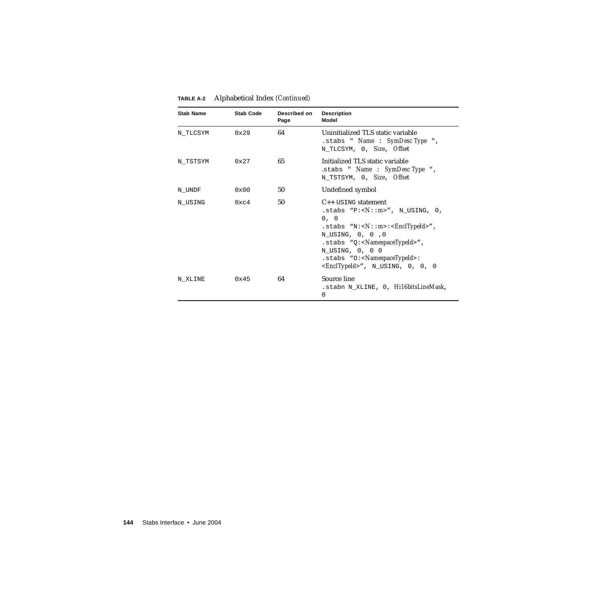| <b>Stab Name</b> | <b>Stab Code</b> | Described on<br>Page | <b>Description</b><br><b>Model</b>                                                                                                                                                                                                                                                                                                                   |
|------------------|------------------|----------------------|------------------------------------------------------------------------------------------------------------------------------------------------------------------------------------------------------------------------------------------------------------------------------------------------------------------------------------------------------|
| N TLCSYM         | 0x29             | 64                   | Uninitialized TLS static variable<br>$.$ stabs " Name : SymDesc Type ",<br>N_TLCSYM, 0, Size, Offset                                                                                                                                                                                                                                                 |
| N TSTSYM         | 0x27             | 65                   | Initialized TLS static variable<br>.stabs " $Name : SymDesc Type$ ",<br>N TSTSYM, 0, Size, Offset                                                                                                                                                                                                                                                    |
| N UNDF           | $0 \times 00$    | 50                   | Undefined symbol                                                                                                                                                                                                                                                                                                                                     |
| N USING          | $0 \times c$ 4   | 50                   | $C_{++}$ USING statement<br>.stabs "P:< $N$ :: $m$ >", N USING, 0,<br>0, 0<br>$:$ stabs "N:< $N:$ : m>:< $EnclTypeId$ >",<br>N_USING, 0, 0 ,0<br>$:$ stabs "Q: <namespacetypeid>",<br/>N_USING, 0, 0 0<br/><math>:</math>stabs "O:&lt;<math>N</math>amespaceTypeId&gt;:<br/><math>\epsilon</math>EnclTypeId&gt;", N_USING, 0, 0, 0</namespacetypeid> |
| N XLINE          | $0 \times 45$    | 64                   | Source line<br>.stabn N_XLINE, 0, <i>Hil6bitsLineMask</i> ,<br>0                                                                                                                                                                                                                                                                                     |

#### **TABLE A-2** Alphabetical Index *(Continued)*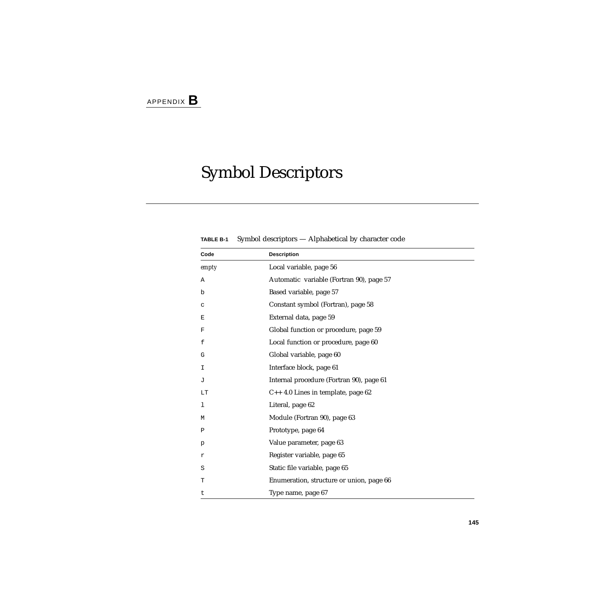# Symbol Descriptors

**TABLE B-1** Symbol descriptors — Alphabetical by character code

| Code  | <b>Description</b>                       |  |
|-------|------------------------------------------|--|
| empty | Local variable, page 56                  |  |
| Α     | Automatic variable (Fortran 90), page 57 |  |
| b     | Based variable, page 57                  |  |
| C     | Constant symbol (Fortran), page 58       |  |
| Ε     | External data, page 59                   |  |
| F     | Global function or procedure, page 59    |  |
| f     | Local function or procedure, page 60     |  |
| G     | Global variable, page 60                 |  |
| I     | Interface block, page 61                 |  |
| J     | Internal procedure (Fortran 90), page 61 |  |
| LT    | C++ 4.0 Lines in template, page 62       |  |
| 1     | Literal, page 62                         |  |
| М     | Module (Fortran 90), page 63             |  |
| Ρ     | Prototype, page 64                       |  |
| р     | Value parameter, page 63                 |  |
| r     | Register variable, page 65               |  |
| S     | Static file variable, page 65            |  |
| T     | Enumeration, structure or union, page 66 |  |
| t     | Type name, page 67                       |  |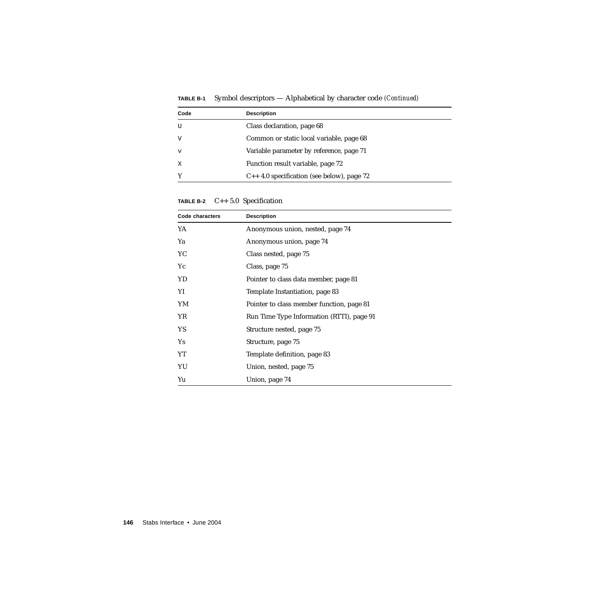| Code        | <b>Description</b>                              |  |
|-------------|-------------------------------------------------|--|
| U           | Class declaration, page 68                      |  |
| V           | Common or static local variable, page 68        |  |
| $\mathbf v$ | Variable parameter by reference, page 71        |  |
| X           | Function result variable, page 72               |  |
| Y           | $C_{++}$ 4.0 specification (see below), page 72 |  |

**TABLE B-1** Symbol descriptors — Alphabetical by character code *(Continued)*

**TABLE B-2** C++ 5.0 Specification

| Code characters | <b>Description</b>                        |
|-----------------|-------------------------------------------|
| YA              | Anonymous union, nested, page 74          |
| Ya              | Anonymous union, page 74                  |
| YC              | Class nested, page 75                     |
| Yc              | Class, page 75                            |
| YD              | Pointer to class data member, page 81     |
| YI              | Template Instantiation, page 83           |
| YM              | Pointer to class member function, page 81 |
| YR              | Run Time Type Information (RTTI), page 91 |
| YS.             | Structure nested, page 75                 |
| Ys              | Structure, page 75                        |
| YT              | Template definition, page 83              |
| YU              | Union, nested, page 75                    |
| Yu              | Union, page 74                            |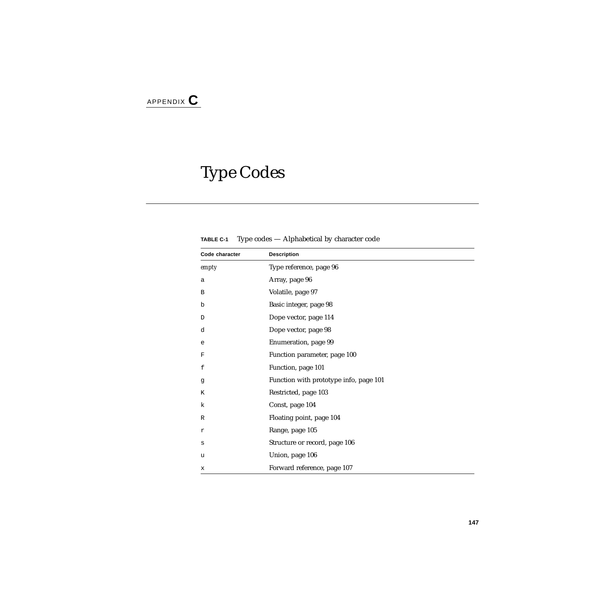# Type Codes

**TABLE C-1** Type codes — Alphabetical by character code

| Code character | <b>Description</b>                     |
|----------------|----------------------------------------|
| empty          | Type reference, page 96                |
| a              | Array, page 96                         |
| B              | Volatile, page 97                      |
| b              | Basic integer, page 98                 |
| D              | Dope vector, page 114                  |
| d              | Dope vector, page 98                   |
| e              | Enumeration, page 99                   |
| F              | Function parameter, page 100           |
| f              | Function, page 101                     |
| g              | Function with prototype info, page 101 |
| К              | Restricted, page 103                   |
| k              | Const, page 104                        |
| R              | Floating point, page 104               |
| r              | Range, page 105                        |
| S              | Structure or record, page 106          |
| u              | Union, page 106                        |
| x              | Forward reference, page 107            |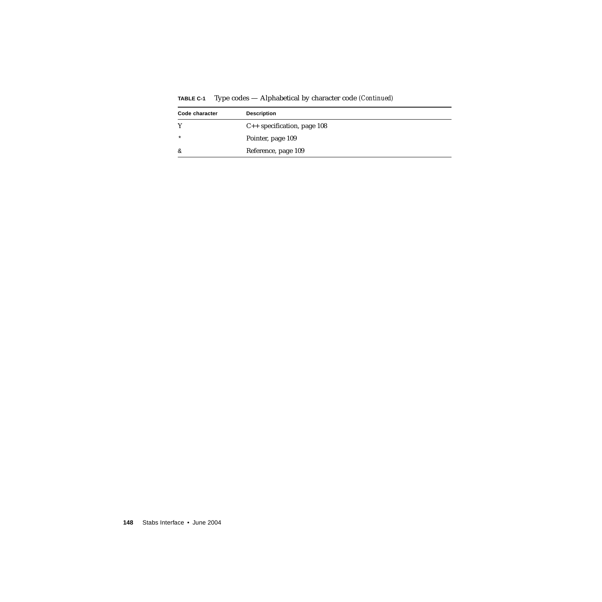| Code character | <b>Description</b>               |
|----------------|----------------------------------|
|                | $C_{++}$ specification, page 108 |
| $\star$        | Pointer, page 109                |
| &              | Reference, page 109              |

**TABLE C-1** Type codes — Alphabetical by character code *(Continued)*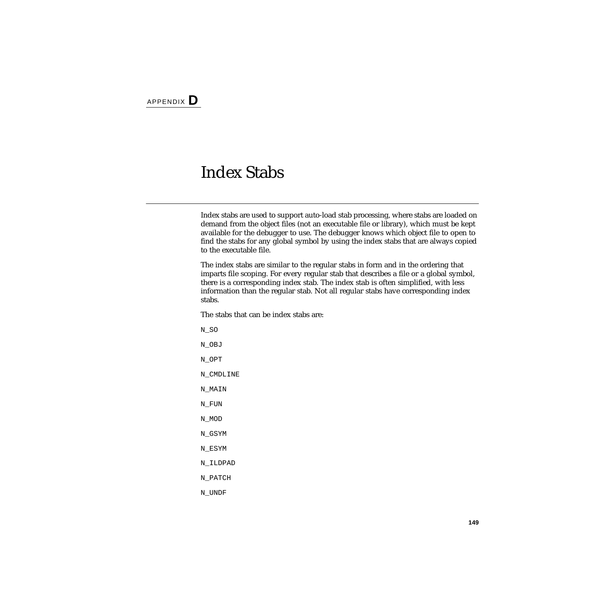#### Index Stabs

Index stabs are used to support auto-load stab processing, where stabs are loaded on demand from the object files (not an executable file or library), which must be kept available for the debugger to use. The debugger knows which object file to open to find the stabs for any global symbol by using the index stabs that are always copied to the executable file.

The index stabs are similar to the regular stabs in form and in the ordering that imparts file scoping. For every regular stab that describes a file or a global symbol, there is a corresponding index stab. The index stab is often simplified, with less information than the regular stab. Not all regular stabs have corresponding index stabs.

The stabs that can be index stabs are:

N\_SO N\_OBJ N\_OPT N\_CMDLINE N\_MAIN N\_FUN N\_MOD N\_GSYM N\_ESYM N\_ILDPAD N\_PATCH N\_UNDF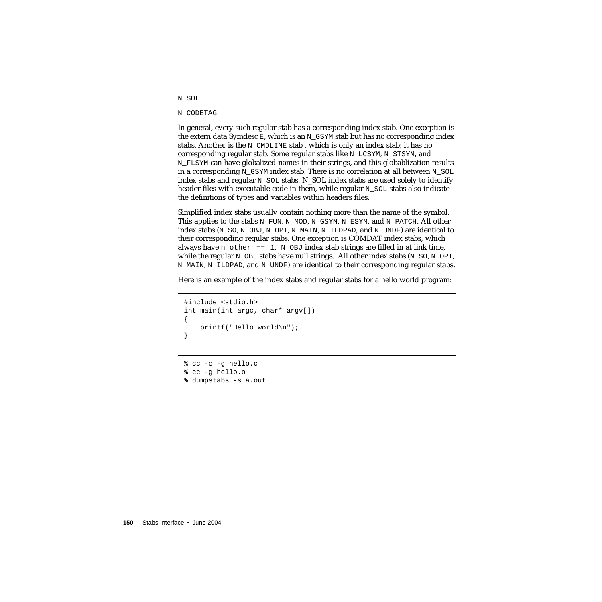#### N\_SOL

#### N\_CODETAG

In general, every such regular stab has a corresponding index stab. One exception is the extern data Symdesc  $E$ , which is an N\_GSYM stab but has no corresponding index stabs. Another is the N\_CMDLINE stab, which is only an index stab; it has no corresponding regular stab. Some regular stabs like N\_LCSYM, N\_STSYM, and N\_FLSYM can have globalized names in their strings, and this globablization results in a corresponding N\_GSYM index stab. There is no correlation at all between N\_SOL index stabs and regular N\_SOL stabs. N\_SOL index stabs are used solely to identify header files with executable code in them, while regular  $N$  SOL stabs also indicate the definitions of types and variables within headers files.

Simplified index stabs usually contain nothing more than the name of the symbol. This applies to the stabs N\_FUN, N\_MOD, N\_GSYM, N\_ESYM, and N\_PATCH. All other index stabs (N\_SO, N\_OBJ, N\_OPT, N\_MAIN, N\_ILDPAD, and N\_UNDF) are identical to their corresponding regular stabs. One exception is COMDAT index stabs, which always have  $n_{other} = 1$ .  $N_{OBJ}$  index stab strings are filled in at link time, while the regular  $N$  OBJ stabs have null strings. All other index stabs (N\_SO, N\_OPT, N\_MAIN, N\_ILDPAD, and N\_UNDF) are identical to their corresponding regular stabs.

Here is an example of the index stabs and regular stabs for a hello world program:

```
#include <stdio.h>
int main(int argc, char* argv[])
{
   printf("Hello world\n");
}
```

```
% cc -c -g hello.c
% cc -g hello.o
% dumpstabs -s a.out
```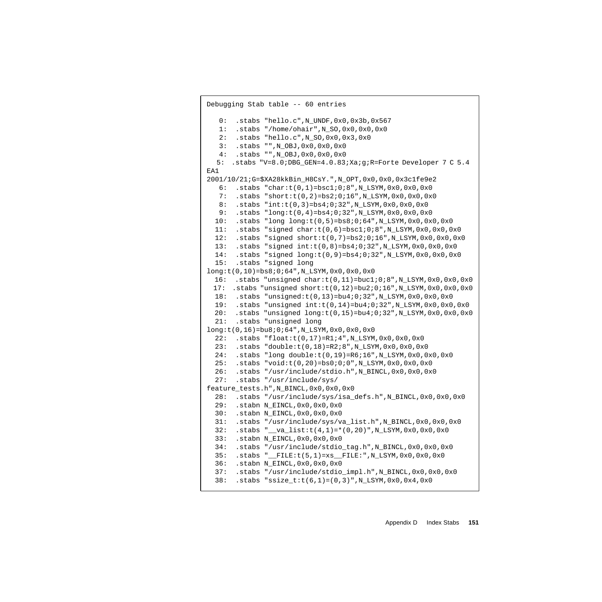```
Debugging Stab table -- 60 entries
   0: .stabs "hello.c",N_UNDF,0x0,0x3b,0x567
   1: .stabs "/home/ohair",N_SO,0x0,0x0,0x0
    2: .stabs "hello.c",N_SO,0x0,0x3,0x0
    3: .stabs "",N_OBJ,0x0,0x0,0x0
   4: .stabs "",N_OBJ,0x0,0x0,0x0
  5: .stabs "V=8.0;DBG_GEN=4.0.83;Xa;g;R=Forte Developer 7 C 5.4
EA1
2001/10/21;G=$XA28kkBin_H8CsY.",N_OPT,0x0,0x0,0x3c1fe9e2
   6: .stabs "char:t(0,1)=bsc1;0;8",N_LSYM,0x0,0x0,0x0
    7: .stabs "short:t(0,2)=bs2;0;16",N_LSYM,0x0,0x0,0x0
   8: .stabs "int:t(0,3)=bs4;0;32",N_LSYM,0x0,0x0,0x0
  9: .stabs "long:t(0,4)=bs4;0;32",N LSYM,0x0,0x0,0x0
  10: .stabs "long long:t(0,5)=bs8;0;64",N_LSYM,0x0,0x0,0x0
  11: .stabs "signed char:t(0,6)=bsc1;0;8",N_LSYM,0x0,0x0,0x0
 12: .stabs "signed short:t(0,7)=bs2;0;16",N LSYM,0x0,0x0,0x0
  13: .stabs "signed int:t(0,8)=bs4;0;32",N_LSYM,0x0,0x0,0x0
   14: .stabs "signed long:t(0,9)=bs4;0;32",N_LSYM,0x0,0x0,0x0
   15: .stabs "signed long
long:t(0,10)=bs8;0;64",N_LSYM,0x0,0x0,0x0
 16: .stabs "unsigned char:t(0,11)=buc1;0;8",N_LSYM,0x0,0x0,0x0
 17: .stabs "unsigned short:t(0,12)=bu2;0;16",N_LSYM,0x0,0x0,0x0
  18: .stabs "unsigned:t(0,13)=bu4;0;32",N_LSYM,0x0,0x0,0x0
  19: .stabs "unsigned int:t(0,14)=bu4;0;32",N_LSYM,0x0,0x0,0x0
 20: .stabs "unsigned long:t(0,15)=bu4;0;32",N LSYM,0x0,0x0,0x0
   21: .stabs "unsigned long
long:t(0,16)=bu8;0;64",N_LSYM,0x0,0x0,0x0
  22: .stabs "float:t(0,17)=R1;4",N LSYM,0x0,0x0,0x0 23: .stabs "double:t(0,18)=R2;8",N_LSYM,0x0,0x0,0x0
   24: .stabs "long double:t(0,19)=R6;16",N_LSYM,0x0,0x0,0x0
   25: .stabs "void:t(0,20)=bs0;0;0",N_LSYM,0x0,0x0,0x0
   26: .stabs "/usr/include/stdio.h",N_BINCL,0x0,0x0,0x0
   27: .stabs "/usr/include/sys/
feature_tests.h",N_BINCL,0x0,0x0,0x0
   28: .stabs "/usr/include/sys/isa_defs.h",N_BINCL,0x0,0x0,0x0
   29: .stabn N_EINCL,0x0,0x0,0x0
   30: .stabn N_EINCL,0x0,0x0,0x0
   31: .stabs "/usr/include/sys/va_list.h",N_BINCL,0x0,0x0,0x0
   32: .stabs "__va_list:t(4,1)=*(0,20)",N_LSYM,0x0,0x0,0x0
   33: .stabn N_EINCL,0x0,0x0,0x0
   34: .stabs "/usr/include/stdio_tag.h",N_BINCL,0x0,0x0,0x0
   35: .stabs "__FILE:t(5,1)=xs__FILE:",N_LSYM,0x0,0x0,0x0
   36: .stabn N_EINCL,0x0,0x0,0x0
   37: .stabs "/usr/include/stdio_impl.h",N_BINCL,0x0,0x0,0x0
   38: .stabs "ssize_t:t(6,1)=(0,3)",N_LSYM,0x0,0x4,0x0
```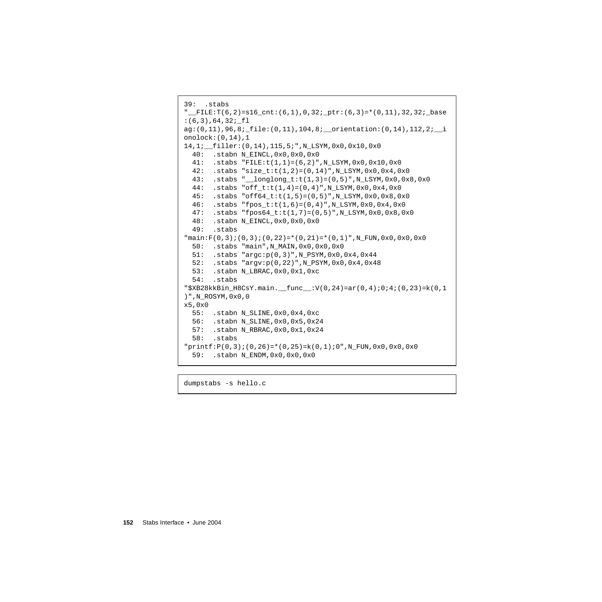```
39: .stabs
"_FILE: T(6,2)=s16_cnt:(6,1),0,32i_ptr:(6,3)=*(0,11),32,32i_base:(6,3),64,32; fl
ag:(0,11),96,8;_file:(0,11),104,8;__orientation:(0,14),112,2;__i
onolock:(0,14),1
14,1;__filler:(0,14),115,5;",N_LSYM,0x0,0x10,0x0
   40: .stabn N_EINCL,0x0,0x0,0x0
  41: .stabs "FILE:t(1,1)=(6,2)", N LSYM,0x0,0x10,0x0
  42: .stabs "size_t:t(1,2)=(0,14)",N_LSYM,0x0,0x4,0x0
   43: .stabs "__longlong_t:t(1,3)=(0,5)",N_LSYM,0x0,0x8,0x0
   44: .stabs "off_t:t(1,4)=(0,4)",N_LSYM,0x0,0x4,0x0
   45: .stabs "off64_t:t(1,5)=(0,5)",N_LSYM,0x0,0x8,0x0
   46: .stabs "fpos_t:t(1,6)=(0,4)",N_LSYM,0x0,0x4,0x0
   47: .stabs "fpos64_t:t(1,7)=(0,5)",N_LSYM,0x0,0x8,0x0
   48: .stabn N_EINCL,0x0,0x0,0x0
   49: .stabs
\texttt{``main:F(0,3)}; (0,3); (0,22)=*(0,21)=*(0,1)", N_FUN, 0x0, 0x0, 0x0
   50: .stabs "main",N_MAIN,0x0,0x0,0x0
   51: .stabs "argc:p(0,3)",N_PSYM,0x0,0x4,0x44
   52: .stabs "argv:p(0,22)",N_PSYM,0x0,0x4,0x48
   53: .stabn N_LBRAC,0x0,0x1,0xc
   54: .stabs
"$XB28kkBin H8CsY.main. func :V(0,24)=ar(0,4);0;4;(0,23)=k(0,1))",N_ROSYM,0x0,0
x5,0x0
   55: .stabn N_SLINE,0x0,0x4,0xc
   56: .stabn N_SLINE,0x0,0x5,0x24
   57: .stabn N_RBRAC,0x0,0x1,0x24
   58: .stabs
"printf:P(0,3);(0,26)=*(0,25)=k(0,1);0", N_FUN,0x0,0x0,0x0 59: .stabn N_ENDM,0x0,0x0,0x0
```
dumpstabs -s hello.c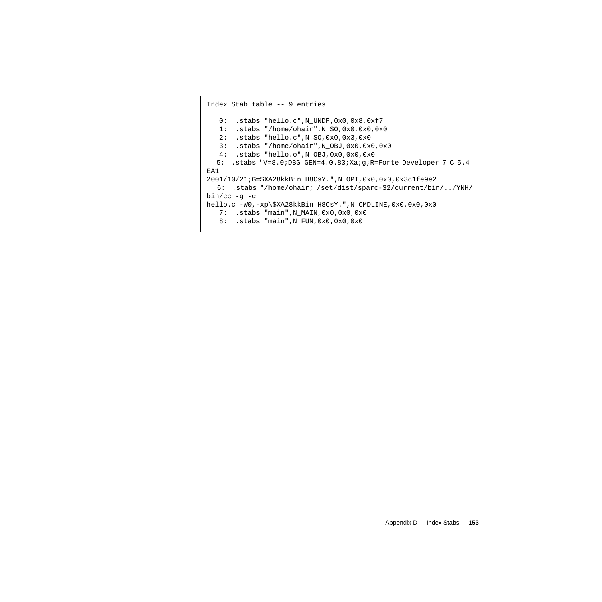```
Index Stab table -- 9 entries
    0: .stabs "hello.c",N_UNDF,0x0,0x8,0xf7
    1: .stabs "/home/ohair",N_SO,0x0,0x0,0x0
    2: .stabs "hello.c",N_SO,0x0,0x3,0x0
    3: .stabs "/home/ohair",N_OBJ,0x0,0x0,0x0
    4: .stabs "hello.o",N_OBJ,0x0,0x0,0x0
  5: .stabs "V=8.0;DBG_GEN=4.0.83;Xa;g;R=Forte Developer 7 C 5.4
EA1
2001/10/21;G=$XA28kkBin_H8CsY.",N_OPT,0x0,0x0,0x3c1fe9e2
  6: .stabs "/home/ohair; /set/dist/sparc-S2/current/bin/../YNH/
bin/cc -g -c
hello.c -W0,-xp\$XA28kkBin_H8CsY.",N_CMDLINE,0x0,0x0,0x0
    7: .stabs "main",N_MAIN,0x0,0x0,0x0
    8: .stabs "main",N_FUN,0x0,0x0,0x0
```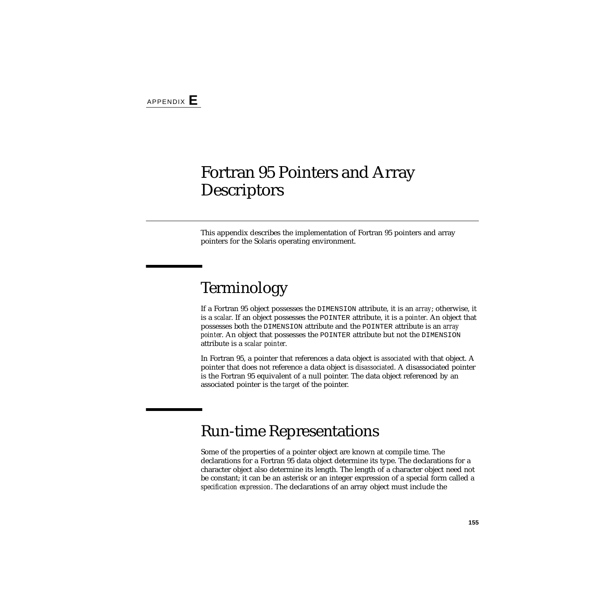## Fortran 95 Pointers and Array **Descriptors**

This appendix describes the implementation of Fortran 95 pointers and array pointers for the Solaris operating environment.

## Terminology

If a Fortran 95 object possesses the DIMENSION attribute, it is an *array*; otherwise, it is a *scalar*. If an object possesses the POINTER attribute, it is a *pointer*. An object that possesses both the DIMENSION attribute and the POINTER attribute is an *array pointer*. An object that possesses the POINTER attribute but not the DIMENSION attribute is a *scalar pointer*.

In Fortran 95, a pointer that references a data object is *associated* with that object. A pointer that does not reference a data object is *disassociated*. A disassociated pointer is the Fortran 95 equivalent of a null pointer. The data object referenced by an associated pointer is the *target* of the pointer.

### Run-time Representations

Some of the properties of a pointer object are known at compile time. The declarations for a Fortran 95 data object determine its type. The declarations for a character object also determine its length. The length of a character object need not be constant; it can be an asterisk or an integer expression of a special form called a *specification expression*. The declarations of an array object must include the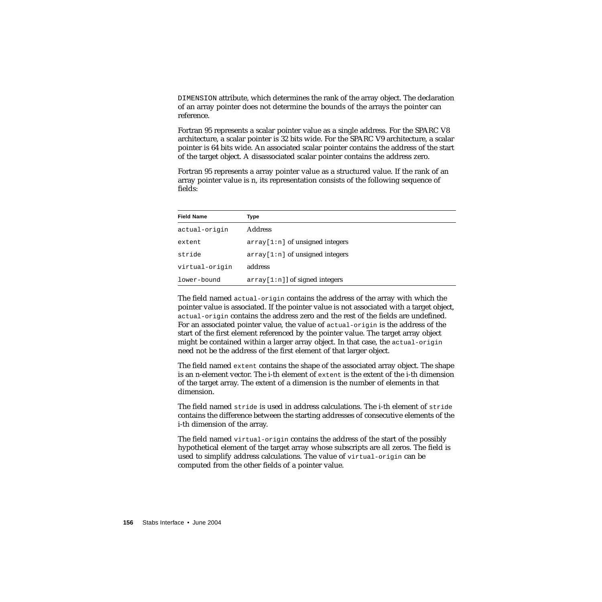DIMENSION attribute, which determines the rank of the array object. The declaration of an array pointer does not determine the bounds of the arrays the pointer can reference.

Fortran 95 represents a scalar pointer value as a single address. For the SPARC V8 architecture, a scalar pointer is 32 bits wide. For the SPARC V9 architecture, a scalar pointer is 64 bits wide. An associated scalar pointer contains the address of the start of the target object. A disassociated scalar pointer contains the address zero.

Fortran 95 represents a array pointer value as a structured value. If the rank of an array pointer value is n, its representation consists of the following sequence of fields:

| <b>Field Name</b> | Type                              |
|-------------------|-----------------------------------|
| actual-origin     | <b>Address</b>                    |
| extent            | $array[1:n]$ of unsigned integers |
| stride            | $array[1:n]$ of unsigned integers |
| virtual-origin    | address                           |
| lower-bound       | $array[1:n]$ of signed integers   |

The field named actual-origin contains the address of the array with which the pointer value is associated. If the pointer value is not associated with a target object, actual-origin contains the address zero and the rest of the fields are undefined. For an associated pointer value, the value of actual-origin is the address of the start of the first element referenced by the pointer value. The target array object might be contained within a larger array object. In that case, the actual-origin need not be the address of the first element of that larger object.

The field named extent contains the shape of the associated array object. The shape is an n-element vector. The i-th element of extent is the extent of the i-th dimension of the target array. The extent of a dimension is the number of elements in that dimension.

The field named stride is used in address calculations. The i-th element of stride contains the difference between the starting addresses of consecutive elements of the i-th dimension of the array.

The field named virtual-origin contains the address of the start of the possibly hypothetical element of the target array whose subscripts are all zeros. The field is used to simplify address calculations. The value of virtual-origin can be computed from the other fields of a pointer value.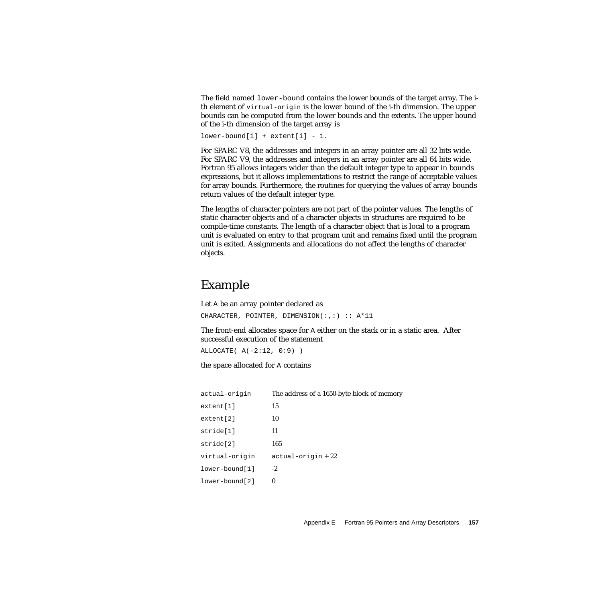The field named lower-bound contains the lower bounds of the target array. The ith element of virtual-origin is the lower bound of the i-th dimension. The upper bounds can be computed from the lower bounds and the extents. The upper bound of the i-th dimension of the target array is

```
lower-bound[i] + extent[i] - 1.
```
For SPARC V8, the addresses and integers in an array pointer are all 32 bits wide. For SPARC V9, the addresses and integers in an array pointer are all 64 bits wide. Fortran 95 allows integers wider than the default integer type to appear in bounds expressions, but it allows implementations to restrict the range of acceptable values for array bounds. Furthermore, the routines for querying the values of array bounds return values of the default integer type.

The lengths of character pointers are not part of the pointer values. The lengths of static character objects and of a character objects in structures are required to be compile-time constants. The length of a character object that is local to a program unit is evaluated on entry to that program unit and remains fixed until the program unit is exited. Assignments and allocations do not affect the lengths of character objects.

#### Example

Let A be an array pointer declared as CHARACTER, POINTER, DIMENSION(:,:) :: A\*11

The front-end allocates space for A either on the stack or in a static area. After successful execution of the statement

```
ALLOCATE( A(-2:12, 0:9) )
```
the space allocated for A contains

| actual-origin  | The address of a 1650-byte block of memory |
|----------------|--------------------------------------------|
| extent[1]      | 15                                         |
| extent[2]      | 10                                         |
| stride[1]      | 11                                         |
| stride[2]      | 165                                        |
| virtual-origin | $actual-origin + 22$                       |
| lower-bound[1] | $-2$                                       |
| lower-bound[2] | $\bf{0}$                                   |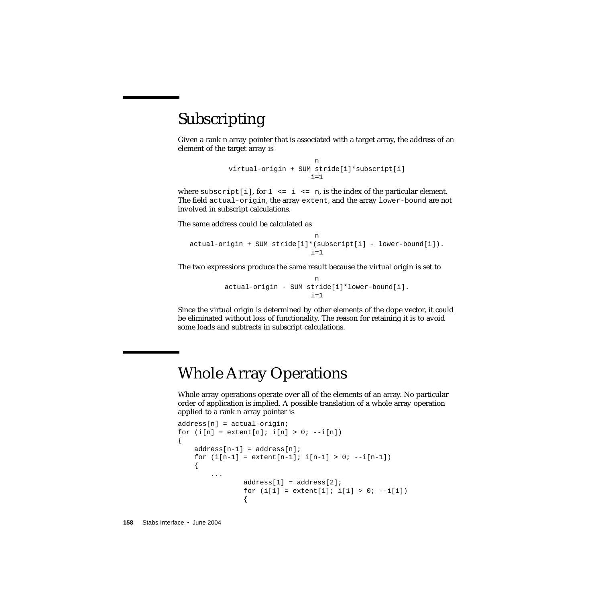### Subscripting

Given a rank n array pointer that is associated with a target array, the address of an element of the target array is

```
n
virtual-origin + SUM stride[i]*subscript[i]
                    i=1
```
where subscript [i], for  $1 \le i \le n$ , is the index of the particular element. The field actual-origin, the array extent, and the array lower-bound are not involved in subscript calculations.

The same address could be calculated as

```
n
actual-origin + SUM stride[i]*(subscript[i] - lower-bound[i]).
                             i=1
```
The two expressions produce the same result because the virtual origin is set to

```
n
actual-origin - SUM stride[i]*lower-bound[i].
                     i=1
```
Since the virtual origin is determined by other elements of the dope vector, it could be eliminated without loss of functionality. The reason for retaining it is to avoid some loads and subtracts in subscript calculations.

### Whole Array Operations

Whole array operations operate over all of the elements of an array. No particular order of application is implied. A possible translation of a whole array operation applied to a rank n array pointer is

```
address[n] = actual-origin;
for (i[n] = extent[n]; i[n] > 0; -i[n]){
    address[n-1] = address[n];for (i[n-1] = extent[n-1]; i[n-1] > 0; --i[n-1]){
        ...
               address[1] = address[2];for (i[1] = extent[1]; i[1] > 0; -i[1]){
```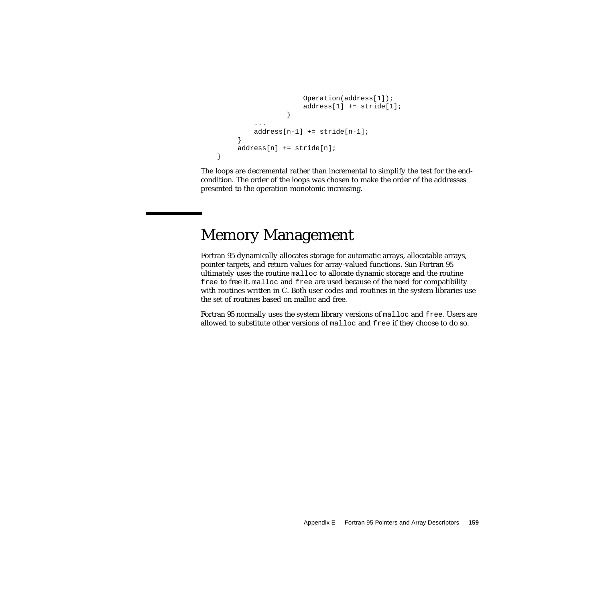```
Operation(address[1]);
                     address[1] += stride[1];
                 }
         address[n-1] += stride[n-1];
     }
     address[n] += stride[n];
}
```
The loops are decremental rather than incremental to simplify the test for the endcondition. The order of the loops was chosen to make the order of the addresses presented to the operation monotonic increasing.

### Memory Management

Fortran 95 dynamically allocates storage for automatic arrays, allocatable arrays, pointer targets, and return values for array-valued functions. Sun Fortran 95 ultimately uses the routine malloc to allocate dynamic storage and the routine free to free it. malloc and free are used because of the need for compatibility with routines written in C. Both user codes and routines in the system libraries use the set of routines based on malloc and free.

Fortran 95 normally uses the system library versions of malloc and free. Users are allowed to substitute other versions of malloc and free if they choose to do so.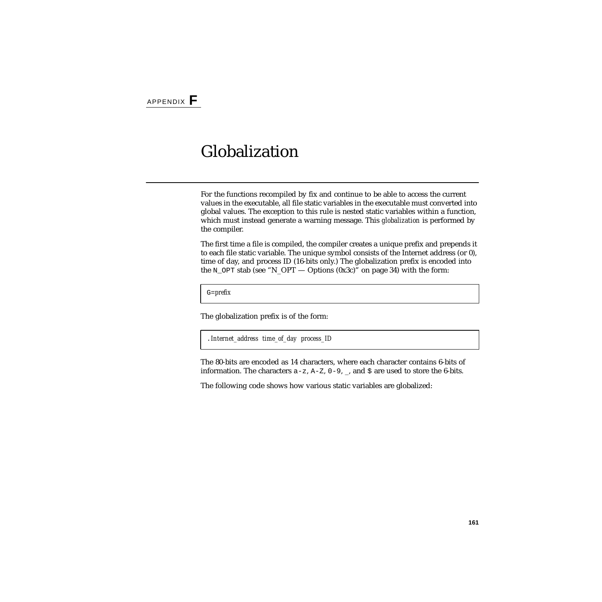## Globalization

For the functions recompiled by fix and continue to be able to access the current values in the executable, all file static variables in the executable must converted into global values. The exception to this rule is nested static variables within a function, which must instead generate a warning message. This *globalization* is performed by the compiler.

The first time a file is compiled, the compiler creates a unique prefix and prepends it to each file static variable. The unique symbol consists of the Internet address (or 0), time of day, and process ID (16-bits only.) The globalization prefix is encoded into the N\_OPT stab (see "N\_OPT — Options (0x3c)" on page 34) with the form:

G=*prefix*

The globalization prefix is of the form:

```
.Internet_address time_of_day process_ID
```
The 80-bits are encoded as 14 characters, where each character contains 6-bits of information. The characters  $a-z$ ,  $A-Z$ ,  $0-9$ ,  $\Box$ , and  $\ddot{z}$  are used to store the 6-bits.

The following code shows how various static variables are globalized: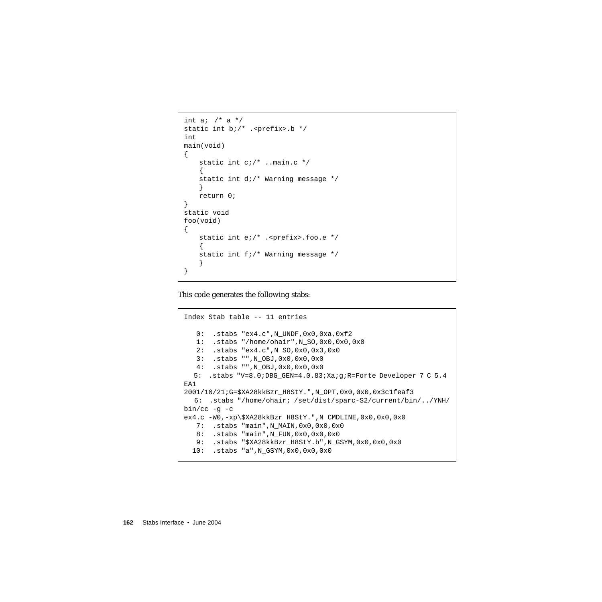```
int a; /* a */static int b;/* .<prefix>.b */
int
main(void)
{
   static int c;/* ..main.c */
   {
   static int d;/* Warning message */
    }
   return 0;
}
static void
foo(void)
{
   static int e;/* .<prefix>.foo.e */
    {
   static int f;/* Warning message */
    }
}
```
This code generates the following stabs:

```
Index Stab table -- 11 entries
  0: .stabs "ex4.c", N UNDF, 0x0, 0xa, 0xf2
   1: .stabs "/home/ohair",N_SO,0x0,0x0,0x0
   2: .stabs "ex4.c",N_SO,0x0,0x3,0x0
   3: .stabs "",N_OBJ,0x0,0x0,0x0
   4: .stabs "",N_OBJ,0x0,0x0,0x0
  5: .stabs "V=8.0;DBG_GEN=4.0.83;Xa;g;R=Forte Developer 7 C 5.4
EA1
2001/10/21;G=$XA28kkBzr_H8StY.",N_OPT,0x0,0x0,0x3c1feaf3
  6: .stabs "/home/ohair; /set/dist/sparc-S2/current/bin/../YNH/
bin/cc -g -c
ex4.c -W0,-xp\$XA28kkBzr_H8StY.",N_CMDLINE,0x0,0x0,0x0
   7: .stabs "main",N_MAIN,0x0,0x0,0x0
   8: .stabs "main",N_FUN,0x0,0x0,0x0
   9: .stabs "$XA28kkBzr_H8StY.b",N_GSYM,0x0,0x0,0x0
  10: .stabs "a",N_GSYM,0x0,0x0,0x0
```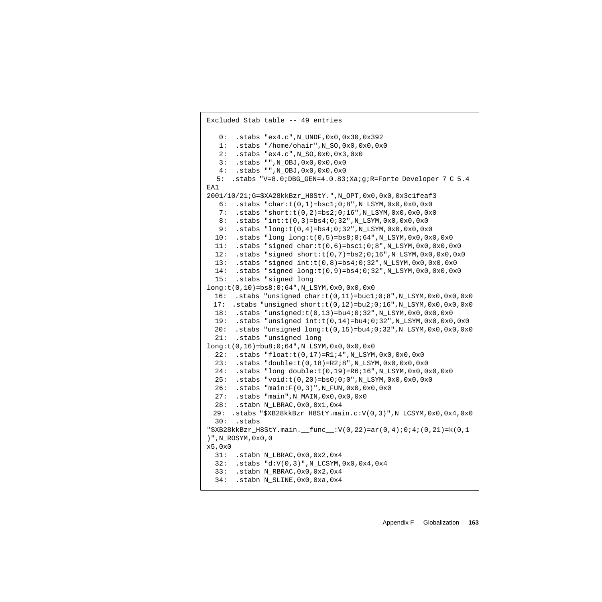```
Excluded Stab table -- 49 entries
   0: .stabs "ex4.c",N_UNDF,0x0,0x30,0x392
  1: .stabs "/home/ohair", N SO,0x0,0x0,0x0
   2: .stabs "ex4.c",N_SO,0x0,0x3,0x0
   3: .stabs "",N_OBJ,0x0,0x0,0x0
   4: .stabs "",N_OBJ,0x0,0x0,0x0
  5: .stabs "V=8.0;DBG_GEN=4.0.83;Xa;g;R=Forte Developer 7 C 5.4
EA1
2001/10/21;G=$XA28kkBzr_H8StY.",N_OPT,0x0,0x0,0x3c1feaf3
    6: .stabs "char:t(0,1)=bsc1;0;8",N_LSYM,0x0,0x0,0x0
    7: .stabs "short:t(0,2)=bs2;0;16",N_LSYM,0x0,0x0,0x0
   8: .stabs "int:t(0,3)=bs4;0;32",N_LSYM,0x0,0x0,0x0
  9: .stabs "long:t(0,4)=bs4;0;32",N_LSYM,0x0,0x0,0x0
  10: .stabs "long long:t(0,5)=bs8;0;64",N_LSYM,0x0,0x0,0x0
 11: .stabs "signed char:t(0,6)=bsc1;0;8",N LSYM,0x0,0x0,0x0
 12: .stabs "signed short:t(0,7)=bs2;0;16",N_LSYM,0x0,0x0,0x0
   13: .stabs "signed int:t(0,8)=bs4;0;32",N_LSYM,0x0,0x0,0x0
   14: .stabs "signed long:t(0,9)=bs4;0;32",N_LSYM,0x0,0x0,0x0
  15: .stabs "signed long
long:t(0,10)=bs8;0;64",N_LSYM,0x0,0x0,0x0
 16: .stabs "unsigned char:t(0,11)=buc1;0;8",N_LSYM,0x0,0x0,0x0
 17: .stabs "unsigned short:t(0,12)=bu2;0;16",N_LSYM,0x0,0x0,0x0
  18: .stabs "unsigned:t(0,13)=bu4;0;32",N_LSYM,0x0,0x0,0x0
  19: .stabs "unsigned int:t(0,14)=bu4;0;32",N_LSYM,0x0,0x0,0x0
 20: .stabs "unsigned long:t(0,15)=bu4;0;32",N_LSYM,0x0,0x0,0x0
   21: .stabs "unsigned long
long:t(0,16)=bu8;0;64",N_LSYM,0x0,0x0,0x0
  22: .stabs "float:t(0,17)=R1;4",N LSYM,0x0,0x0,0x0 23: .stabs "double:t(0,18)=R2;8",N_LSYM,0x0,0x0,0x0
   24: .stabs "long double:t(0,19)=R6;16",N_LSYM,0x0,0x0,0x0
   25: .stabs "void:t(0,20)=bs0;0;0",N_LSYM,0x0,0x0,0x0
   26: .stabs "main:F(0,3)",N_FUN,0x0,0x0,0x0
   27: .stabs "main",N_MAIN,0x0,0x0,0x0
  28: .stabn N_LBRAC,0x0,0x1,0x4
 29: .stabs "$XB28kkBzr_H8StY.main.c:V(0,3)",N_LCSYM,0x0,0x4,0x0
  30: .stabs
"\$XB28k kBzr_H8StY.mainloop.main. func :V(0,22) = ar(0,4);0;4;(0,21)=k(0,1
)",N_ROSYM,0x0,0
x5.0x031: .stabn N_LBRAC,0x0,0x2,0x4
   32: .stabs "d:V(0,3)",N_LCSYM,0x0,0x4,0x4
   33: .stabn N_RBRAC,0x0,0x2,0x4
   34: .stabn N_SLINE,0x0,0xa,0x4
```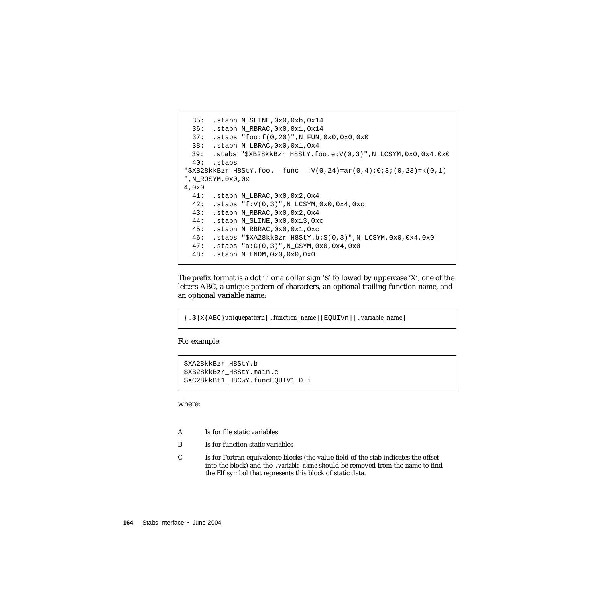```
35: .stabn N_SLINE,0x0,0xb,0x14
   36: .stabn N_RBRAC,0x0,0x1,0x14
   37: .stabs "foo:f(0,20)",N_FUN,0x0,0x0,0x0
   38: .stabn N_LBRAC,0x0,0x1,0x4
 39: .stabs "$XB28kkBzr_H8StY.foo.e:V(0,3)",N_LCSYM,0x0,0x4,0x0
   40: .stabs
"$XB28kkBzr H8StY.foo. func :V(0,24)=ar(0,4);0;3;(0,23)=k(0,1)",N_ROSYM,0x0,0x
4,0x0
  41: .stabn N_LBRAC,0x0,0x2,0x4
   42: .stabs "f:V(0,3)",N_LCSYM,0x0,0x4,0xc
   43: .stabn N_RBRAC,0x0,0x2,0x4
   44: .stabn N_SLINE,0x0,0x13,0xc
   45: .stabn N_RBRAC,0x0,0x1,0xc
  46: .stabs "$XA28kkBzr_H8StY.b:S(0,3)",N_LCSYM,0x0,0x4,0x0
   47: .stabs "a:G(0,3)",N_GSYM,0x0,0x4,0x0
   48: .stabn N_ENDM,0x0,0x0,0x0
```
The prefix format is a dot '.' or a dollar sign '\$' followed by uppercase 'X', one of the letters ABC, a unique pattern of characters, an optional trailing function name, and an optional variable name:

```
{.$}X{ABC}uniquepattern[.function_name][EQUIVn][.variable_name]
```
For example:

```
$XA28kkBzr_H8StY.b
$XB28kkBzr_H8StY.main.c
$XC28kkBt1_H8CwY.funcEQUIV1_0.i
```
where:

- A Is for file static variables
- B Is for function static variables
- C Is for Fortran equivalence blocks (the value field of the stab indicates the offset into the block) and the .*variable\_name* should be removed from the name to find the Elf symbol that represents this block of static data.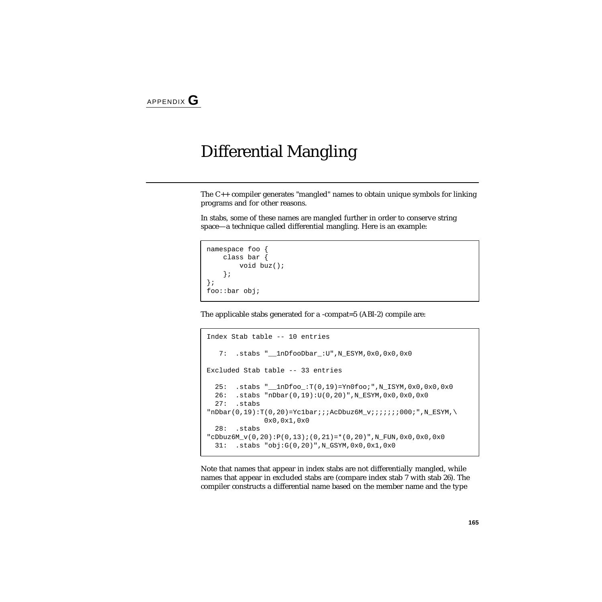## Differential Mangling

The C++ compiler generates "mangled" names to obtain unique symbols for linking programs and for other reasons.

In stabs, some of these names are mangled further in order to conserve string space—a technique called differential mangling. Here is an example:

```
namespace foo {
   class bar {
        void buz();
    };
};
foo::bar obj;
```
The applicable stabs generated for a -compat=5 (ABI-2) compile are:

```
Index Stab table -- 10 entries
    7: .stabs "__1nDfooDbar_:U",N_ESYM,0x0,0x0,0x0
Excluded Stab table -- 33 entries
   25: .stabs "__1nDfoo_:T(0,19)=Yn0foo;",N_ISYM,0x0,0x0,0x0
   26: .stabs "nDbar(0,19):U(0,20)",N_ESYM,0x0,0x0,0x0
   27: .stabs
"nDbar(0,19):T(0,20)=Yc1bar;;ACDbuz6M_v;;i;;;000;",N_ESYM,\n 0x0,0x1,0x0
   28: .stabs
"cDbuz6M_v(0,20):P(0,13);(0,21)=*(0,20)", N_FUN, 0x0, 0x0,0x0
   31: .stabs "obj:G(0,20)",N_GSYM,0x0,0x1,0x0
```
Note that names that appear in index stabs are not differentially mangled, while names that appear in excluded stabs are (compare index stab 7 with stab 26). The compiler constructs a differential name based on the member name and the type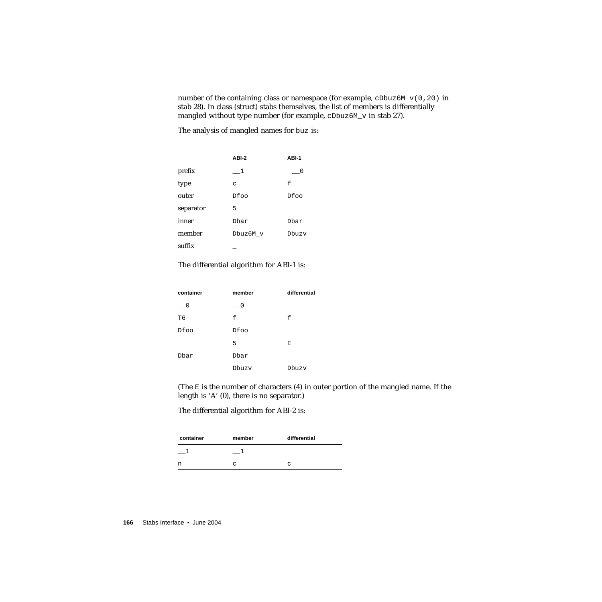number of the containing class or namespace (for example,  $cDbuz6M_v(0,20)$  in stab 28). In class (struct) stabs themselves, the list of members is differentially mangled without type number (for example, cDbuz6M\_v in stab 27).

The analysis of mangled names for buz is:

|           | ABI-2    | ABI-1 |
|-----------|----------|-------|
| prefix    | - 1      |       |
| type      | C        | f     |
| outer     | Dfoo     | Dfoo  |
| separator | 5        |       |
| inner     | Dhar     | Dhar  |
| member    | Dbuz6M v | Dhuzy |
| suffix    |          |       |

The differential algorithm for ABI-1 is:

| container | member | differential |
|-----------|--------|--------------|
| - 0       | - 0    |              |
| T6        | f      | f            |
| Dfoo      | Dfoo   |              |
|           | 5      | Ε            |
| Dbar      | Dbar   |              |
|           | Dbuzv  | Dbuzy        |

(The  $E$  is the number of characters  $(4)$  in outer portion of the mangled name. If the length is 'A' (0), there is no separator.)

The differential algorithm for ABI-2 is:

| container | member | differential |
|-----------|--------|--------------|
|           |        |              |
| n         | C      | $\sim$       |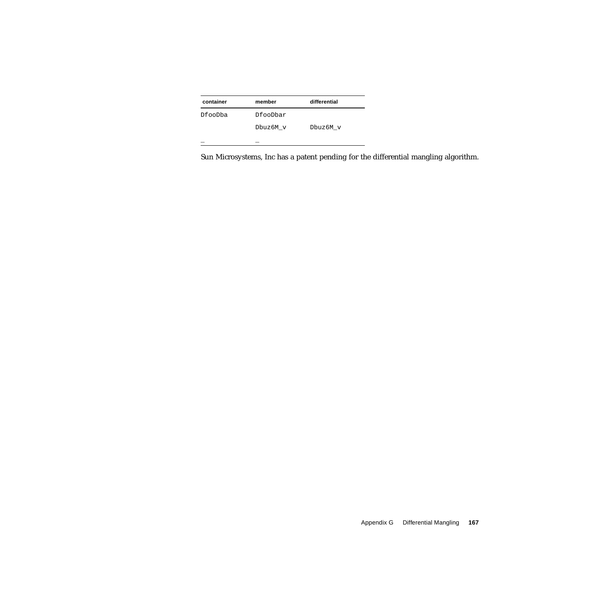| container |          | differential |
|-----------|----------|--------------|
|           | member   |              |
| DfooDba   | DfooDbar |              |
|           | Dbuz6M v | Dbuz6M v     |
|           |          |              |

Sun Microsystems, Inc has a patent pending for the differential mangling algorithm.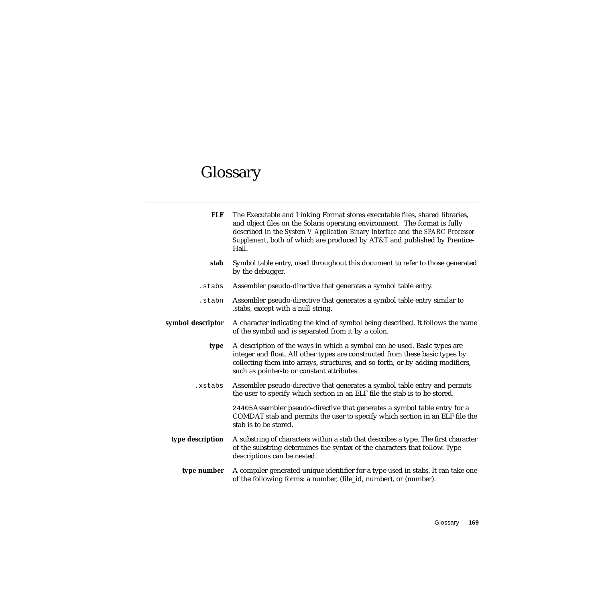# Glossary

| <b>ELF</b>        | The Executable and Linking Format stores executable files, shared libraries,<br>and object files on the Solaris operating environment. The format is fully<br>described in the System V Application Binary Interface and the SPARC Processor<br>Supplement, both of which are produced by AT&T and published by Prentice-<br>Hall. |
|-------------------|------------------------------------------------------------------------------------------------------------------------------------------------------------------------------------------------------------------------------------------------------------------------------------------------------------------------------------|
| stab              | Symbol table entry, used throughout this document to refer to those generated<br>by the debugger.                                                                                                                                                                                                                                  |
| .stabs            | Assembler pseudo-directive that generates a symbol table entry.                                                                                                                                                                                                                                                                    |
| .stabn            | Assembler pseudo-directive that generates a symbol table entry similar to<br>stabs, except with a null string.                                                                                                                                                                                                                     |
| symbol descriptor | A character indicating the kind of symbol being described. It follows the name<br>of the symbol and is separated from it by a colon.                                                                                                                                                                                               |
| type              | A description of the ways in which a symbol can be used. Basic types are<br>integer and float. All other types are constructed from these basic types by<br>collecting them into arrays, structures, and so forth, or by adding modifiers,<br>such as pointer-to or constant attributes.                                           |
| .xstabs           | Assembler pseudo-directive that generates a symbol table entry and permits<br>the user to specify which section in an ELF file the stab is to be stored.                                                                                                                                                                           |
|                   | 24405Assembler pseudo-directive that generates a symbol table entry for a<br>COMDAT stab and permits the user to specify which section in an ELF file the<br>stab is to be stored.                                                                                                                                                 |
| type description  | A substring of characters within a stab that describes a type. The first character<br>of the substring determines the syntax of the characters that follow. Type<br>descriptions can be nested.                                                                                                                                    |
| type number       | A compiler-generated unique identifier for a type used in stabs. It can take one<br>of the following forms: a number, (file_id, number), or (number).                                                                                                                                                                              |